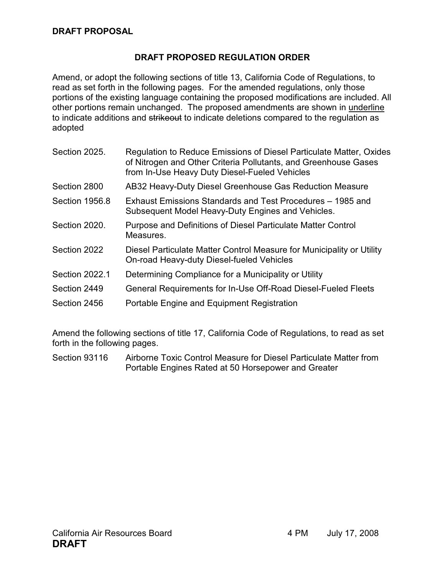## **DRAFT PROPOSED REGULATION ORDER**

Amend, or adopt the following sections of title 13, California Code of Regulations, to read as set forth in the following pages. For the amended regulations, only those portions of the existing language containing the proposed modifications are included. All other portions remain unchanged. The proposed amendments are shown in underline to indicate additions and strikeout to indicate deletions compared to the regulation as adopted

| Section 2025.  | Regulation to Reduce Emissions of Diesel Particulate Matter, Oxides<br>of Nitrogen and Other Criteria Pollutants, and Greenhouse Gases<br>from In-Use Heavy Duty Diesel-Fueled Vehicles |
|----------------|-----------------------------------------------------------------------------------------------------------------------------------------------------------------------------------------|
| Section 2800   | AB32 Heavy-Duty Diesel Greenhouse Gas Reduction Measure                                                                                                                                 |
| Section 1956.8 | Exhaust Emissions Standards and Test Procedures – 1985 and<br>Subsequent Model Heavy-Duty Engines and Vehicles.                                                                         |
| Section 2020.  | Purpose and Definitions of Diesel Particulate Matter Control<br>Measures.                                                                                                               |
| Section 2022   | Diesel Particulate Matter Control Measure for Municipality or Utility<br>On-road Heavy-duty Diesel-fueled Vehicles                                                                      |
| Section 2022.1 | Determining Compliance for a Municipality or Utility                                                                                                                                    |
| Section 2449   | General Requirements for In-Use Off-Road Diesel-Fueled Fleets                                                                                                                           |
| Section 2456   | Portable Engine and Equipment Registration                                                                                                                                              |
|                |                                                                                                                                                                                         |

Amend the following sections of title 17, California Code of Regulations, to read as set forth in the following pages.

Section 93116 Airborne Toxic Control Measure for Diesel Particulate Matter from Portable Engines Rated at 50 Horsepower and Greater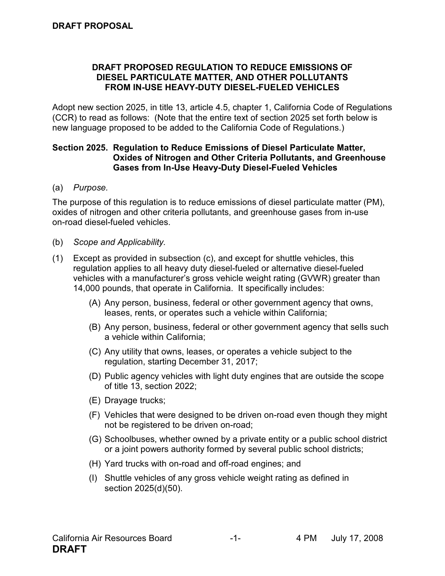### **DRAFT PROPOSED REGULATION TO REDUCE EMISSIONS OF DIESEL PARTICULATE MATTER, AND OTHER POLLUTANTS FROM IN-USE HEAVY-DUTY DIESEL-FUELED VEHICLES**

Adopt new section 2025, in title 13, article 4.5, chapter 1, California Code of Regulations (CCR) to read as follows: (Note that the entire text of section 2025 set forth below is new language proposed to be added to the California Code of Regulations.)

### **Section 2025. Regulation to Reduce Emissions of Diesel Particulate Matter, Oxides of Nitrogen and Other Criteria Pollutants, and Greenhouse Gases from In-Use Heavy-Duty Diesel-Fueled Vehicles**

### (a) *Purpose.*

The purpose of this regulation is to reduce emissions of diesel particulate matter (PM), oxides of nitrogen and other criteria pollutants, and greenhouse gases from in-use on-road diesel-fueled vehicles.

- (b) *Scope and Applicability.*
- (1) Except as provided in subsection (c), and except for shuttle vehicles, this regulation applies to all heavy duty diesel-fueled or alternative diesel-fueled vehicles with a manufacturer's gross vehicle weight rating (GVWR) greater than 14,000 pounds, that operate in California. It specifically includes:
	- (A) Any person, business, federal or other government agency that owns, leases, rents, or operates such a vehicle within California;
	- (B) Any person, business, federal or other government agency that sells such a vehicle within California;
	- (C) Any utility that owns, leases, or operates a vehicle subject to the regulation, starting December 31, 2017;
	- (D) Public agency vehicles with light duty engines that are outside the scope of title 13, section 2022;
	- (E) Drayage trucks;
	- (F) Vehicles that were designed to be driven on-road even though they might not be registered to be driven on-road;
	- (G) Schoolbuses, whether owned by a private entity or a public school district or a joint powers authority formed by several public school districts;
	- (H) Yard trucks with on-road and off-road engines; and
	- (I) Shuttle vehicles of any gross vehicle weight rating as defined in section 2025(d)(50).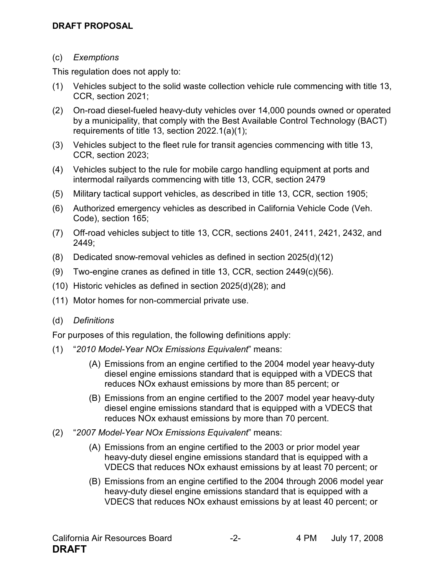### (c) *Exemptions*

This regulation does not apply to:

- (1) Vehicles subject to the solid waste collection vehicle rule commencing with title 13, CCR, section 2021;
- (2) On-road diesel-fueled heavy-duty vehicles over 14,000 pounds owned or operated by a municipality, that comply with the Best Available Control Technology (BACT) requirements of title 13, section 2022.1(a)(1);
- (3) Vehicles subject to the fleet rule for transit agencies commencing with title 13, CCR, section 2023;
- (4) Vehicles subject to the rule for mobile cargo handling equipment at ports and intermodal railyards commencing with title 13, CCR, section 2479
- (5) Military tactical support vehicles, as described in title 13, CCR, section 1905;
- (6) Authorized emergency vehicles as described in California Vehicle Code (Veh. Code), section 165;
- (7) Off-road vehicles subject to title 13, CCR, sections 2401, 2411, 2421, 2432, and 2449;
- (8) Dedicated snow-removal vehicles as defined in section 2025(d)(12)
- (9) Two-engine cranes as defined in title 13, CCR, section 2449(c)(56).
- (10) Historic vehicles as defined in section 2025(d)(28); and
- (11) Motor homes for non-commercial private use.
- (d) *Definitions*

For purposes of this regulation, the following definitions apply:

- (1) "*2010 Model-Year NOx Emissions Equivalent*" means:
	- (A) Emissions from an engine certified to the 2004 model year heavy-duty diesel engine emissions standard that is equipped with a VDECS that reduces NOx exhaust emissions by more than 85 percent; or
	- (B) Emissions from an engine certified to the 2007 model year heavy-duty diesel engine emissions standard that is equipped with a VDECS that reduces NOx exhaust emissions by more than 70 percent.
- (2) "*2007 Model-Year NOx Emissions Equivalent*" means:
	- (A) Emissions from an engine certified to the 2003 or prior model year heavy-duty diesel engine emissions standard that is equipped with a VDECS that reduces NOx exhaust emissions by at least 70 percent; or
	- (B) Emissions from an engine certified to the 2004 through 2006 model year heavy-duty diesel engine emissions standard that is equipped with a VDECS that reduces NOx exhaust emissions by at least 40 percent; or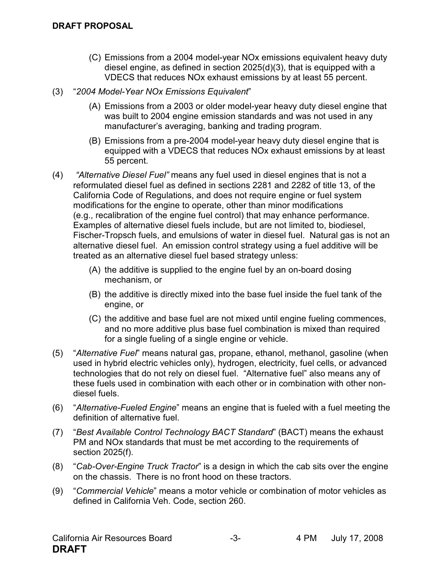- (C) Emissions from a 2004 model-year NOx emissions equivalent heavy duty diesel engine, as defined in section 2025(d)(3), that is equipped with a VDECS that reduces NOx exhaust emissions by at least 55 percent.
- (3) "*2004 Model-Year NOx Emissions Equivalent*"
	- (A) Emissions from a 2003 or older model-year heavy duty diesel engine that was built to 2004 engine emission standards and was not used in any manufacturer's averaging, banking and trading program.
	- (B) Emissions from a pre-2004 model-year heavy duty diesel engine that is equipped with a VDECS that reduces NOx exhaust emissions by at least 55 percent.
- (4) *"Alternative Diesel Fuel"* means any fuel used in diesel engines that is not a reformulated diesel fuel as defined in sections 2281 and 2282 of title 13, of the California Code of Regulations, and does not require engine or fuel system modifications for the engine to operate, other than minor modifications (e.g., recalibration of the engine fuel control) that may enhance performance. Examples of alternative diesel fuels include, but are not limited to, biodiesel, Fischer-Tropsch fuels, and emulsions of water in diesel fuel. Natural gas is not an alternative diesel fuel. An emission control strategy using a fuel additive will be treated as an alternative diesel fuel based strategy unless:
	- (A) the additive is supplied to the engine fuel by an on-board dosing mechanism, or
	- (B) the additive is directly mixed into the base fuel inside the fuel tank of the engine, or
	- (C) the additive and base fuel are not mixed until engine fueling commences, and no more additive plus base fuel combination is mixed than required for a single fueling of a single engine or vehicle.
- (5) "*Alternative Fuel*" means natural gas, propane, ethanol, methanol, gasoline (when used in hybrid electric vehicles only), hydrogen, electricity, fuel cells, or advanced technologies that do not rely on diesel fuel. "Alternative fuel" also means any of these fuels used in combination with each other or in combination with other nondiesel fuels.
- (6) "*Alternative-Fueled Engine*" means an engine that is fueled with a fuel meeting the definition of alternative fuel.
- (7) "*Best Available Control Technology BACT Standard*" (BACT) means the exhaust PM and NOx standards that must be met according to the requirements of section 2025(f).
- (8) "*Cab-Over-Engine Truck Tractor*" is a design in which the cab sits over the engine on the chassis. There is no front hood on these tractors.
- (9) "*Commercial Vehicle*" means a motor vehicle or combination of motor vehicles as defined in California Veh. Code, section 260.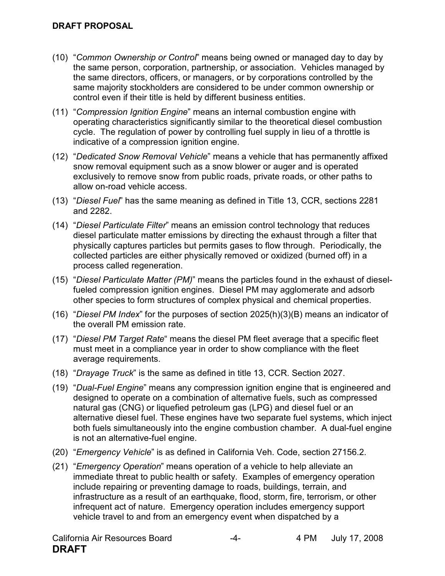- (10) "*Common Ownership or Control*" means being owned or managed day to day by the same person, corporation, partnership, or association. Vehicles managed by the same directors, officers, or managers, or by corporations controlled by the same majority stockholders are considered to be under common ownership or control even if their title is held by different business entities.
- (11) "*Compression Ignition Engine*" means an internal combustion engine with operating characteristics significantly similar to the theoretical diesel combustion cycle. The regulation of power by controlling fuel supply in lieu of a throttle is indicative of a compression ignition engine.
- (12) "*Dedicated Snow Removal Vehicle*" means a vehicle that has permanently affixed snow removal equipment such as a snow blower or auger and is operated exclusively to remove snow from public roads, private roads, or other paths to allow on-road vehicle access.
- (13) "*Diesel Fuel*" has the same meaning as defined in Title 13, CCR, sections 2281 and 2282.
- (14) "*Diesel Particulate Filter*" means an emission control technology that reduces diesel particulate matter emissions by directing the exhaust through a filter that physically captures particles but permits gases to flow through. Periodically, the collected particles are either physically removed or oxidized (burned off) in a process called regeneration.
- (15) "*Diesel Particulate Matter (PM)*" means the particles found in the exhaust of dieselfueled compression ignition engines. Diesel PM may agglomerate and adsorb other species to form structures of complex physical and chemical properties.
- (16) "*Diesel PM Index*" for the purposes of section 2025(h)(3)(B) means an indicator of the overall PM emission rate.
- (17) "*Diesel PM Target Rate*" means the diesel PM fleet average that a specific fleet must meet in a compliance year in order to show compliance with the fleet average requirements.
- (18) "*Drayage Truck*" is the same as defined in title 13, CCR. Section 2027.
- (19) "*Dual-Fuel Engine*" means any compression ignition engine that is engineered and designed to operate on a combination of alternative fuels, such as compressed natural gas (CNG) or liquefied petroleum gas (LPG) and diesel fuel or an alternative diesel fuel. These engines have two separate fuel systems, which inject both fuels simultaneously into the engine combustion chamber. A dual-fuel engine is not an alternative-fuel engine.
- (20) "*Emergency Vehicle*" is as defined in California Veh. Code, section 27156.2.
- (21) "*Emergency Operation*" means operation of a vehicle to help alleviate an immediate threat to public health or safety. Examples of emergency operation include repairing or preventing damage to roads, buildings, terrain, and infrastructure as a result of an earthquake, flood, storm, fire, terrorism, or other infrequent act of nature. Emergency operation includes emergency support vehicle travel to and from an emergency event when dispatched by a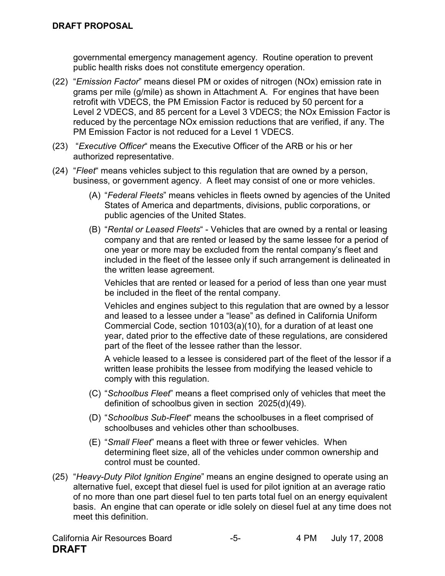governmental emergency management agency. Routine operation to prevent public health risks does not constitute emergency operation.

- (22) "*Emission Factor*" means diesel PM or oxides of nitrogen (NOx) emission rate in grams per mile (g/mile) as shown in Attachment A. For engines that have been retrofit with VDECS, the PM Emission Factor is reduced by 50 percent for a Level 2 VDECS, and 85 percent for a Level 3 VDECS; the NOx Emission Factor is reduced by the percentage NOx emission reductions that are verified, if any. The PM Emission Factor is not reduced for a Level 1 VDECS.
- (23) "*Executive Officer*" means the Executive Officer of the ARB or his or her authorized representative.
- (24) "*Fleet*" means vehicles subject to this regulation that are owned by a person, business, or government agency. A fleet may consist of one or more vehicles.
	- (A) "*Federal Fleets*" means vehicles in fleets owned by agencies of the United States of America and departments, divisions, public corporations, or public agencies of the United States.
	- (B) "*Rental or Leased Fleets*" Vehicles that are owned by a rental or leasing company and that are rented or leased by the same lessee for a period of one year or more may be excluded from the rental company's fleet and included in the fleet of the lessee only if such arrangement is delineated in the written lease agreement.

Vehicles that are rented or leased for a period of less than one year must be included in the fleet of the rental company.

Vehicles and engines subject to this regulation that are owned by a lessor and leased to a lessee under a "lease" as defined in California Uniform Commercial Code, section 10103(a)(10), for a duration of at least one year, dated prior to the effective date of these regulations, are considered part of the fleet of the lessee rather than the lessor.

A vehicle leased to a lessee is considered part of the fleet of the lessor if a written lease prohibits the lessee from modifying the leased vehicle to comply with this regulation.

- (C) "*Schoolbus Fleet*" means a fleet comprised only of vehicles that meet the definition of schoolbus given in section 2025(d)(49).
- (D) "*Schoolbus Sub-Fleet*" means the schoolbuses in a fleet comprised of schoolbuses and vehicles other than schoolbuses.
- (E) "*Small Fleet*" means a fleet with three or fewer vehicles. When determining fleet size, all of the vehicles under common ownership and control must be counted.
- (25) "*Heavy-Duty Pilot Ignition Engine*" means an engine designed to operate using an alternative fuel, except that diesel fuel is used for pilot ignition at an average ratio of no more than one part diesel fuel to ten parts total fuel on an energy equivalent basis. An engine that can operate or idle solely on diesel fuel at any time does not meet this definition.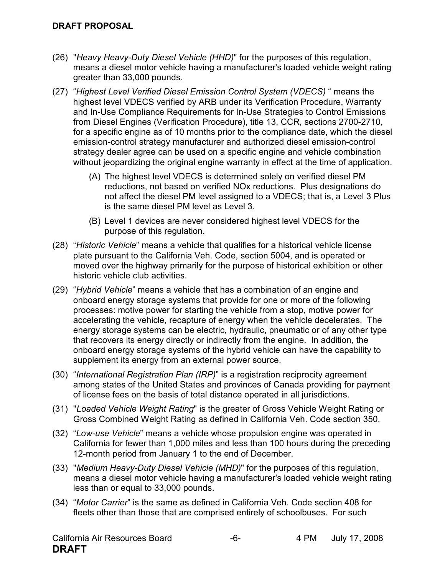- (26) "*Heavy Heavy-Duty Diesel Vehicle (HHD)*" for the purposes of this regulation, means a diesel motor vehicle having a manufacturer's loaded vehicle weight rating greater than 33,000 pounds.
- (27) "*Highest Level Verified Diesel Emission Control System (VDECS)* " means the highest level VDECS verified by ARB under its Verification Procedure, Warranty and In-Use Compliance Requirements for In-Use Strategies to Control Emissions from Diesel Engines (Verification Procedure), title 13, CCR, sections 2700-2710, for a specific engine as of 10 months prior to the compliance date, which the diesel emission-control strategy manufacturer and authorized diesel emission-control strategy dealer agree can be used on a specific engine and vehicle combination without jeopardizing the original engine warranty in effect at the time of application.
	- (A) The highest level VDECS is determined solely on verified diesel PM reductions, not based on verified NOx reductions. Plus designations do not affect the diesel PM level assigned to a VDECS; that is, a Level 3 Plus is the same diesel PM level as Level 3.
	- (B) Level 1 devices are never considered highest level VDECS for the purpose of this regulation.
- (28) "*Historic Vehicle*" means a vehicle that qualifies for a historical vehicle license plate pursuant to the California Veh. Code, section 5004, and is operated or moved over the highway primarily for the purpose of historical exhibition or other historic vehicle club activities.
- (29) "*Hybrid Vehicle*" means a vehicle that has a combination of an engine and onboard energy storage systems that provide for one or more of the following processes: motive power for starting the vehicle from a stop, motive power for accelerating the vehicle, recapture of energy when the vehicle decelerates. The energy storage systems can be electric, hydraulic, pneumatic or of any other type that recovers its energy directly or indirectly from the engine. In addition, the onboard energy storage systems of the hybrid vehicle can have the capability to supplement its energy from an external power source.
- (30) "*International Registration Plan (IRP)*" is a registration reciprocity agreement among states of the United States and provinces of Canada providing for payment of license fees on the basis of total distance operated in all jurisdictions.
- (31) "*Loaded Vehicle Weight Rating*" is the greater of Gross Vehicle Weight Rating or Gross Combined Weight Rating as defined in California Veh. Code section 350.
- (32) "*Low-use Vehicle*" means a vehicle whose propulsion engine was operated in California for fewer than 1,000 miles and less than 100 hours during the preceding 12-month period from January 1 to the end of December.
- (33) "*Medium Heavy-Duty Diesel Vehicle (MHD)*" for the purposes of this regulation, means a diesel motor vehicle having a manufacturer's loaded vehicle weight rating less than or equal to 33,000 pounds.
- (34) "*Motor Carrier*" is the same as defined in California Veh. Code section 408 for fleets other than those that are comprised entirely of schoolbuses. For such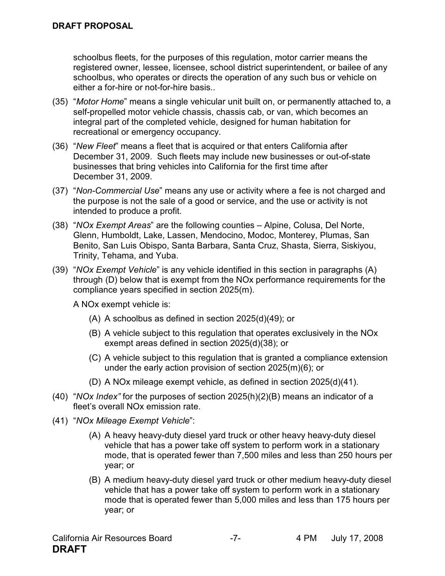schoolbus fleets, for the purposes of this regulation, motor carrier means the registered owner, lessee, licensee, school district superintendent, or bailee of any schoolbus, who operates or directs the operation of any such bus or vehicle on either a for-hire or not-for-hire basis..

- (35) "*Motor Home*" means a single vehicular unit built on, or permanently attached to, a self-propelled motor vehicle chassis, chassis cab, or van, which becomes an integral part of the completed vehicle, designed for human habitation for recreational or emergency occupancy.
- (36) "*New Fleet*" means a fleet that is acquired or that enters California after December 31, 2009. Such fleets may include new businesses or out-of-state businesses that bring vehicles into California for the first time after December 31, 2009.
- (37) "*Non-Commercial Use*" means any use or activity where a fee is not charged and the purpose is not the sale of a good or service, and the use or activity is not intended to produce a profit.
- (38) "*NOx Exempt Areas*" are the following counties Alpine, Colusa, Del Norte, Glenn, Humboldt, Lake, Lassen, Mendocino, Modoc, Monterey, Plumas, San Benito, San Luis Obispo, Santa Barbara, Santa Cruz, Shasta, Sierra, Siskiyou, Trinity, Tehama, and Yuba.
- (39) "*NOx Exempt Vehicle*" is any vehicle identified in this section in paragraphs (A) through (D) below that is exempt from the NOx performance requirements for the compliance years specified in section 2025(m).

A NOx exempt vehicle is:

- (A) A schoolbus as defined in section 2025(d)(49); or
- (B) A vehicle subject to this regulation that operates exclusively in the NOx exempt areas defined in section 2025(d)(38); or
- (C) A vehicle subject to this regulation that is granted a compliance extension under the early action provision of section 2025(m)(6); or
- (D) A NOx mileage exempt vehicle, as defined in section 2025(d)(41).
- (40) "*NOx Index"* for the purposes of section 2025(h)(2)(B) means an indicator of a fleet's overall NOx emission rate.
- (41) "*NOx Mileage Exempt Vehicle*":
	- (A) A heavy heavy-duty diesel yard truck or other heavy heavy-duty diesel vehicle that has a power take off system to perform work in a stationary mode, that is operated fewer than 7,500 miles and less than 250 hours per year; or
	- (B) A medium heavy-duty diesel yard truck or other medium heavy-duty diesel vehicle that has a power take off system to perform work in a stationary mode that is operated fewer than 5,000 miles and less than 175 hours per year; or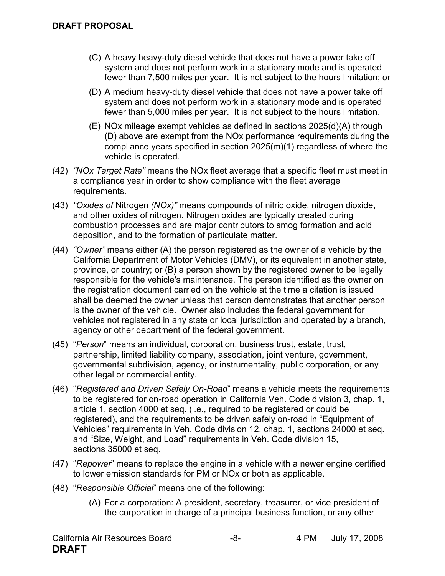- (C) A heavy heavy-duty diesel vehicle that does not have a power take off system and does not perform work in a stationary mode and is operated fewer than 7,500 miles per year. It is not subject to the hours limitation; or
- (D) A medium heavy-duty diesel vehicle that does not have a power take off system and does not perform work in a stationary mode and is operated fewer than 5,000 miles per year. It is not subject to the hours limitation.
- (E) NOx mileage exempt vehicles as defined in sections 2025(d)(A) through (D) above are exempt from the NOx performance requirements during the compliance years specified in section 2025(m)(1) regardless of where the vehicle is operated.
- (42) *"NOx Target Rate"* means the NOx fleet average that a specific fleet must meet in a compliance year in order to show compliance with the fleet average requirements.
- (43) *"Oxides of* Nitrogen *(NOx)"* means compounds of nitric oxide, nitrogen dioxide, and other oxides of nitrogen. Nitrogen oxides are typically created during combustion processes and are major contributors to smog formation and acid deposition, and to the formation of particulate matter.
- (44) *"Owner"* means either (A) the person registered as the owner of a vehicle by the California Department of Motor Vehicles (DMV), or its equivalent in another state, province, or country; or (B) a person shown by the registered owner to be legally responsible for the vehicle's maintenance. The person identified as the owner on the registration document carried on the vehicle at the time a citation is issued shall be deemed the owner unless that person demonstrates that another person is the owner of the vehicle. Owner also includes the federal government for vehicles not registered in any state or local jurisdiction and operated by a branch, agency or other department of the federal government.
- (45) "*Person*" means an individual, corporation, business trust, estate, trust, partnership, limited liability company, association, joint venture, government, governmental subdivision, agency, or instrumentality, public corporation, or any other legal or commercial entity.
- (46) "*Registered and Driven Safely On-Road*" means a vehicle meets the requirements to be registered for on-road operation in California Veh. Code division 3, chap. 1, article 1, section 4000 et seq. (i.e., required to be registered or could be registered), and the requirements to be driven safely on-road in "Equipment of Vehicles" requirements in Veh. Code division 12, chap. 1, sections 24000 et seq. and "Size, Weight, and Load" requirements in Veh. Code division 15, sections 35000 et seq.
- (47) "*Repower*" means to replace the engine in a vehicle with a newer engine certified to lower emission standards for PM or NOx or both as applicable.
- (48) "*Responsible Official*" means one of the following:
	- (A) For a corporation: A president, secretary, treasurer, or vice president of the corporation in charge of a principal business function, or any other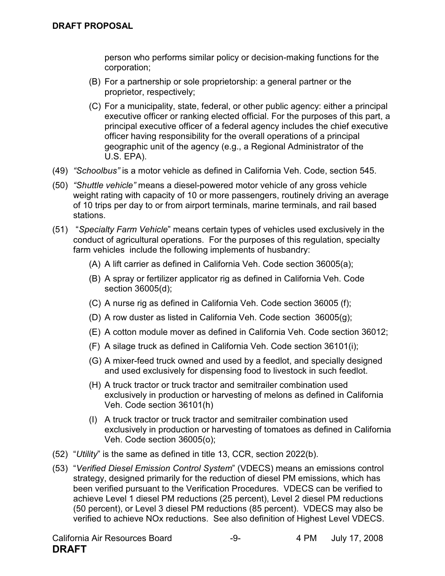person who performs similar policy or decision-making functions for the corporation;

- (B) For a partnership or sole proprietorship: a general partner or the proprietor, respectively;
- (C) For a municipality, state, federal, or other public agency: either a principal executive officer or ranking elected official. For the purposes of this part, a principal executive officer of a federal agency includes the chief executive officer having responsibility for the overall operations of a principal geographic unit of the agency (e.g., a Regional Administrator of the U.S. EPA).
- (49) *"Schoolbus"* is a motor vehicle as defined in California Veh. Code, section 545.
- (50) *"Shuttle vehicle"* means a diesel-powered motor vehicle of any gross vehicle weight rating with capacity of 10 or more passengers, routinely driving an average of 10 trips per day to or from airport terminals, marine terminals, and rail based stations.
- (51) "*Specialty Farm Vehicle*" means certain types of vehicles used exclusively in the conduct of agricultural operations. For the purposes of this regulation, specialty farm vehicles include the following implements of husbandry:
	- (A) A lift carrier as defined in California Veh. Code section 36005(a);
	- (B) A spray or fertilizer applicator rig as defined in California Veh. Code section 36005(d);
	- (C) A nurse rig as defined in California Veh. Code section 36005 (f);
	- (D) A row duster as listed in California Veh. Code section 36005(g);
	- (E) A cotton module mover as defined in California Veh. Code section 36012;
	- (F) A silage truck as defined in California Veh. Code section 36101(i);
	- (G) A mixer-feed truck owned and used by a feedlot, and specially designed and used exclusively for dispensing food to livestock in such feedlot.
	- (H) A truck tractor or truck tractor and semitrailer combination used exclusively in production or harvesting of melons as defined in California Veh. Code section 36101(h)
	- (I) A truck tractor or truck tractor and semitrailer combination used exclusively in production or harvesting of tomatoes as defined in California Veh. Code section 36005(o);
- (52) "*Utility*" is the same as defined in title 13, CCR, section 2022(b).
- (53) "*Verified Diesel Emission Control System*" (VDECS) means an emissions control strategy, designed primarily for the reduction of diesel PM emissions, which has been verified pursuant to the Verification Procedures. VDECS can be verified to achieve Level 1 diesel PM reductions (25 percent), Level 2 diesel PM reductions (50 percent), or Level 3 diesel PM reductions (85 percent). VDECS may also be verified to achieve NOx reductions. See also definition of Highest Level VDECS.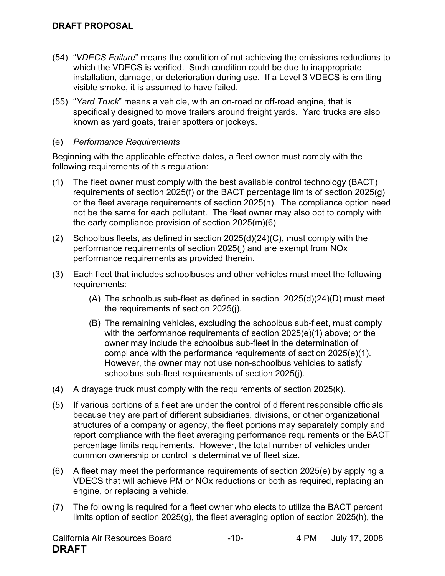- (54) "*VDECS Failure*" means the condition of not achieving the emissions reductions to which the VDECS is verified. Such condition could be due to inappropriate installation, damage, or deterioration during use. If a Level 3 VDECS is emitting visible smoke, it is assumed to have failed.
- (55) "*Yard Truck*" means a vehicle, with an on-road or off-road engine, that is specifically designed to move trailers around freight yards. Yard trucks are also known as yard goats, trailer spotters or jockeys.

### (e) *Performance Requirements*

Beginning with the applicable effective dates, a fleet owner must comply with the following requirements of this regulation:

- (1) The fleet owner must comply with the best available control technology (BACT) requirements of section 2025(f) or the BACT percentage limits of section 2025(g) or the fleet average requirements of section 2025(h). The compliance option need not be the same for each pollutant. The fleet owner may also opt to comply with the early compliance provision of section 2025(m)(6)
- (2) Schoolbus fleets, as defined in section  $2025(d)(24)(C)$ , must comply with the performance requirements of section 2025(j) and are exempt from NOx performance requirements as provided therein.
- (3) Each fleet that includes schoolbuses and other vehicles must meet the following requirements:
	- (A) The schoolbus sub-fleet as defined in section 2025(d)(24)(D) must meet the requirements of section 2025(j).
	- (B) The remaining vehicles, excluding the schoolbus sub-fleet, must comply with the performance requirements of section 2025(e)(1) above; or the owner may include the schoolbus sub-fleet in the determination of compliance with the performance requirements of section 2025(e)(1). However, the owner may not use non-schoolbus vehicles to satisfy schoolbus sub-fleet requirements of section 2025(j).
- (4) A drayage truck must comply with the requirements of section 2025(k).
- (5) If various portions of a fleet are under the control of different responsible officials because they are part of different subsidiaries, divisions, or other organizational structures of a company or agency, the fleet portions may separately comply and report compliance with the fleet averaging performance requirements or the BACT percentage limits requirements. However, the total number of vehicles under common ownership or control is determinative of fleet size.
- (6) A fleet may meet the performance requirements of section 2025(e) by applying a VDECS that will achieve PM or NOx reductions or both as required, replacing an engine, or replacing a vehicle.
- (7) The following is required for a fleet owner who elects to utilize the BACT percent limits option of section 2025(g), the fleet averaging option of section 2025(h), the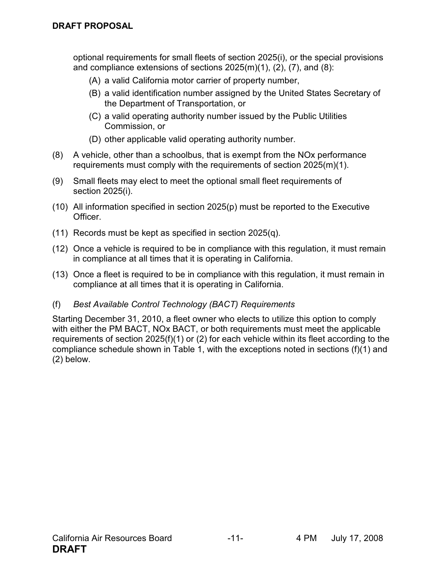optional requirements for small fleets of section 2025(i), or the special provisions and compliance extensions of sections 2025(m)(1), (2), (7), and (8):

- (A) a valid California motor carrier of property number,
- (B) a valid identification number assigned by the United States Secretary of the Department of Transportation, or
- (C) a valid operating authority number issued by the Public Utilities Commission, or
- (D) other applicable valid operating authority number.
- (8) A vehicle, other than a schoolbus, that is exempt from the NOx performance requirements must comply with the requirements of section 2025(m)(1).
- (9) Small fleets may elect to meet the optional small fleet requirements of section 2025(i).
- (10) All information specified in section 2025(p) must be reported to the Executive Officer.
- (11) Records must be kept as specified in section 2025(q).
- (12) Once a vehicle is required to be in compliance with this regulation, it must remain in compliance at all times that it is operating in California.
- (13) Once a fleet is required to be in compliance with this regulation, it must remain in compliance at all times that it is operating in California.
- (f) *Best Available Control Technology (BACT) Requirements*

Starting December 31, 2010, a fleet owner who elects to utilize this option to comply with either the PM BACT, NOx BACT, or both requirements must meet the applicable requirements of section 2025(f)(1) or (2) for each vehicle within its fleet according to the compliance schedule shown in Table 1, with the exceptions noted in sections (f)(1) and (2) below.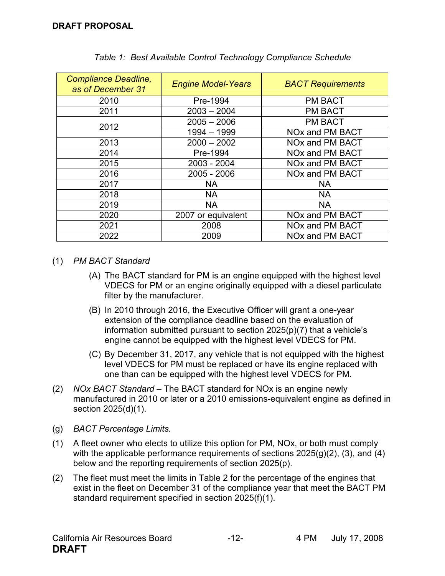| <b>Compliance Deadline,</b><br>as of December 31 | <b>Engine Model-Years</b> | <b>BACT Requirements</b>          |
|--------------------------------------------------|---------------------------|-----------------------------------|
| 2010                                             | Pre-1994                  | <b>PM BACT</b>                    |
| 2011                                             | $2003 - 2004$             | <b>PM BACT</b>                    |
| 2012                                             | $2005 - 2006$             | <b>PM BACT</b>                    |
|                                                  | $1994 - 1999$             | NO <sub>x</sub> and PM BACT       |
| 2013                                             | $2000 - 2002$             | NO <sub>x</sub> and PM BACT       |
| 2014                                             | Pre-1994                  | NO <sub>x</sub> and PM BACT       |
| 2015                                             | 2003 - 2004               | NO <sub>x</sub> and PM BACT       |
| 2016                                             | 2005 - 2006               | NO <sub>x</sub> and PM BACT       |
| 2017                                             | <b>NA</b>                 | <b>NA</b>                         |
| 2018                                             | <b>NA</b>                 | <b>NA</b>                         |
| 2019                                             | <b>NA</b>                 | <b>NA</b>                         |
| 2020                                             | 2007 or equivalent        | NO <sub>x</sub> and PM BACT       |
| 2021                                             | 2008                      | NO <sub>x</sub> and PM BACT       |
| 2022                                             | 2009                      | <b>NO<sub>x</sub></b> and PM BACT |

|  | Table 1: Best Available Control Technology Compliance Schedule |  |  |  |
|--|----------------------------------------------------------------|--|--|--|
|--|----------------------------------------------------------------|--|--|--|

# (1) *PM BACT Standard*

- (A) The BACT standard for PM is an engine equipped with the highest level VDECS for PM or an engine originally equipped with a diesel particulate filter by the manufacturer.
- (B) In 2010 through 2016, the Executive Officer will grant a one-year extension of the compliance deadline based on the evaluation of information submitted pursuant to section 2025(p)(7) that a vehicle's engine cannot be equipped with the highest level VDECS for PM.
- (C) By December 31, 2017, any vehicle that is not equipped with the highest level VDECS for PM must be replaced or have its engine replaced with one than can be equipped with the highest level VDECS for PM.
- (2) *NOx BACT Standard* The BACT standard for NOx is an engine newly manufactured in 2010 or later or a 2010 emissions-equivalent engine as defined in section 2025(d)(1).
- (g) *BACT Percentage Limits.*
- (1) A fleet owner who elects to utilize this option for PM, NOx, or both must comply with the applicable performance requirements of sections  $2025(q)(2)$ , (3), and (4) below and the reporting requirements of section 2025(p).
- (2) The fleet must meet the limits in Table 2 for the percentage of the engines that exist in the fleet on December 31 of the compliance year that meet the BACT PM standard requirement specified in section 2025(f)(1).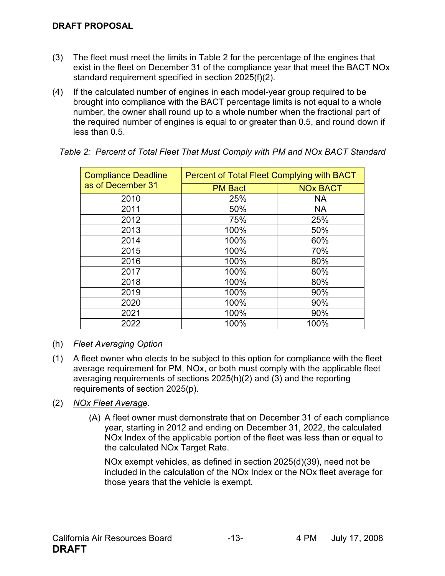- (3) The fleet must meet the limits in Table 2 for the percentage of the engines that exist in the fleet on December 31 of the compliance year that meet the BACT NOx standard requirement specified in section 2025(f)(2).
- (4) If the calculated number of engines in each model-year group required to be brought into compliance with the BACT percentage limits is not equal to a whole number, the owner shall round up to a whole number when the fractional part of the required number of engines is equal to or greater than 0.5, and round down if less than 0.5.

| <b>Compliance Deadline</b> | Percent of Total Fleet Complying with BACT |                 |  |
|----------------------------|--------------------------------------------|-----------------|--|
| as of December 31          | <b>PM Bact</b>                             | <b>NOx BACT</b> |  |
| 2010                       | 25%                                        | <b>NA</b>       |  |
| 2011                       | 50%                                        | <b>NA</b>       |  |
| 2012                       | 75%                                        | 25%             |  |
| 2013                       | 100%                                       | 50%             |  |
| 2014                       | 100%                                       | 60%             |  |
| 2015                       | 100%                                       | 70%             |  |
| 2016                       | 100%                                       | 80%             |  |
| 2017                       | 100%                                       | 80%             |  |
| 2018                       | 100%                                       | 80%             |  |
| 2019                       | 100%                                       | 90%             |  |
| 2020                       | 100%                                       | 90%             |  |
| 2021                       | 100%                                       | 90%             |  |
| 2022                       | 100%                                       | 100%            |  |

*Table 2: Percent of Total Fleet That Must Comply with PM and NOx BACT Standard* 

- (h) *Fleet Averaging Option*
- (1) A fleet owner who elects to be subject to this option for compliance with the fleet average requirement for PM, NOx, or both must comply with the applicable fleet averaging requirements of sections 2025(h)(2) and (3) and the reporting requirements of section 2025(p).
- (2) *NOx Fleet Average*.
	- (A) A fleet owner must demonstrate that on December 31 of each compliance year, starting in 2012 and ending on December 31, 2022, the calculated NOx Index of the applicable portion of the fleet was less than or equal to the calculated NOx Target Rate.

NOx exempt vehicles, as defined in section 2025(d)(39), need not be included in the calculation of the NOx Index or the NOx fleet average for those years that the vehicle is exempt.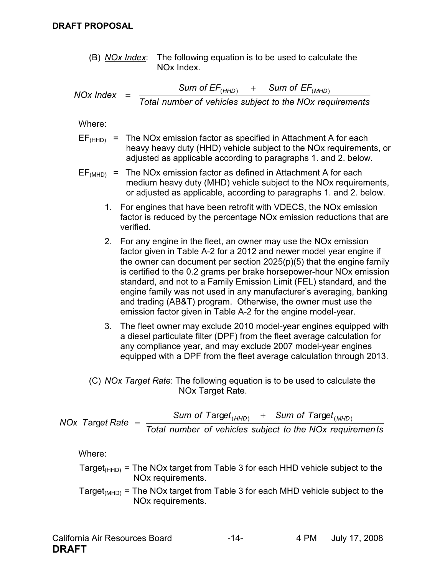(B) *NOx Index*: The following equation is to be used to calculate the NOx Index.

$$
NOx Index = \frac{Sum of EF_{(HHD)} + Sum of EF_{(MHD)} }{Total number of vehicles subject to the NOx requirements}
$$

Where:

$$
EF_{(HHD)} =
$$
 The NOx emission factor as specified in Attachment A for each heavy heavy duty (HHD) vehicle subject to the NOx requirements, or adjusted as applicable according to paragraphs 1. and 2. below.

- $EF<sub>(MHD)</sub> = The NOx emission factor as defined in Attachment A for each$ medium heavy duty (MHD) vehicle subject to the NOx requirements, or adjusted as applicable, according to paragraphs 1. and 2. below.
	- 1. For engines that have been retrofit with VDECS, the NOx emission factor is reduced by the percentage NOx emission reductions that are verified.
	- 2. For any engine in the fleet, an owner may use the NOx emission factor given in Table A-2 for a 2012 and newer model year engine if the owner can document per section  $2025(p)(5)$  that the engine family is certified to the 0.2 grams per brake horsepower-hour NOx emission standard, and not to a Family Emission Limit (FEL) standard, and the engine family was not used in any manufacturer's averaging, banking and trading (AB&T) program. Otherwise, the owner must use the emission factor given in Table A-2 for the engine model-year.
	- 3. The fleet owner may exclude 2010 model-year engines equipped with a diesel particulate filter (DPF) from the fleet average calculation for any compliance year, and may exclude 2007 model-year engines equipped with a DPF from the fleet average calculation through 2013.
	- (C) *NOx Target Rate*: The following equation is to be used to calculate the NOx Target Rate.

Now Target Rate = 
$$
\frac{\text{Sum of Target}_{(HHD)} + \text{Sum of Target}_{(MHD)}_{(MHD)}}
$$

\nNow Target Rate =  $\frac{\text{Total number of vehicles subject to the NOx requirements}}{\text{Total number of vehicles subject to the NOx requirements}}$ 

Where:

- Target<sub>(HHD)</sub> = The NOx target from Table 3 for each HHD vehicle subject to the NOx requirements.
- Target<sub>(MHD)</sub> = The NOx target from Table 3 for each MHD vehicle subject to the NOx requirements.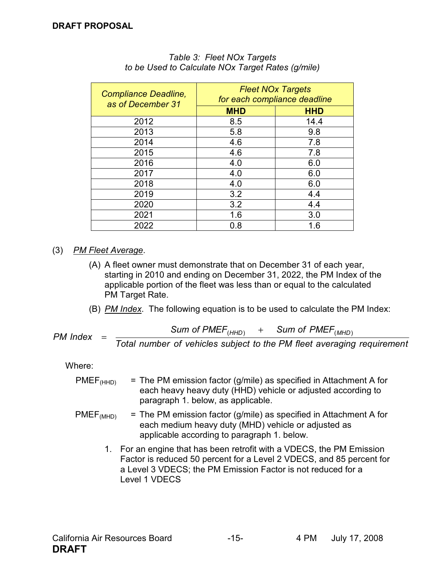| Compliance Deadline,<br>as of December 31 | <b>Fleet NOx Targets</b><br>for each compliance deadline |            |
|-------------------------------------------|----------------------------------------------------------|------------|
|                                           | <b>MHD</b>                                               | <b>HHD</b> |
| 2012                                      | 8.5                                                      | 14.4       |
| 2013                                      | 5.8                                                      | 9.8        |
| 2014                                      | 4.6                                                      | 7.8        |
| 2015                                      | 4.6                                                      | 7.8        |
| 2016                                      | 4.0                                                      | 6.0        |
| 2017                                      | 4.0                                                      | 6.0        |
| 2018                                      | 4.0                                                      | 6.0        |
| 2019                                      | 3.2                                                      | 4.4        |
| 2020                                      | 3.2                                                      | 4.4        |
| 2021                                      | 1.6                                                      | 3.0        |
| 2022                                      | 0.8                                                      | 1.6        |

| Table 3: Fleet NOx Targets                        |
|---------------------------------------------------|
| to be Used to Calculate NOx Target Rates (g/mile) |

## (3) *PM Fleet Average*.

- (A) A fleet owner must demonstrate that on December 31 of each year, starting in 2010 and ending on December 31, 2022, the PM Index of the applicable portion of the fleet was less than or equal to the calculated PM Target Rate.
- (B) *PM Index*. The following equation is to be used to calculate the PM Index:

$$
PM Index = \frac{Sum of PMEF_{(HHD)} + Sum of PMEF_{(MHD)}}{Total number of vehicles subject to the PM fleet average}
$$

*Total number of vehicles subject to the PM fleet averaging requirement*

## Where:

- $PMEF<sub>(HHD)</sub>$  = The PM emission factor (g/mile) as specified in Attachment A for each heavy heavy duty (HHD) vehicle or adjusted according to paragraph 1. below, as applicable.
- $PMEF<sub>(MHD)</sub>$  = The PM emission factor (g/mile) as specified in Attachment A for each medium heavy duty (MHD) vehicle or adjusted as applicable according to paragraph 1. below.
	- 1. For an engine that has been retrofit with a VDECS, the PM Emission Factor is reduced 50 percent for a Level 2 VDECS, and 85 percent for a Level 3 VDECS; the PM Emission Factor is not reduced for a Level 1 VDECS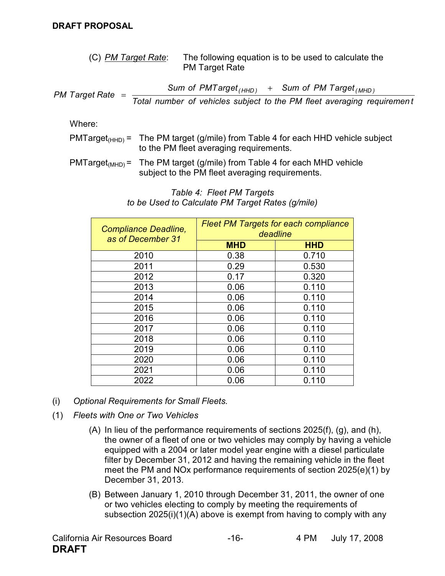(C) *PM Target Rate*: The following equation is to be used to calculate the PM Target Rate

*Total number of vehicles subject to the PM fleet averaging requiremen t PM* Target Rate  $=$   $\frac{\text{Sum of PMTarget}_{(HHD)} + \text{Sum of PM Target}_{(MHD)}}{(\text{Sum of M}, \text{Sum of DM}, \text{Sum of DM})}$  $PM$  Target Rate  $=$ 

Where:

- PMTarget<sub>(HHD)</sub> = The PM target (g/mile) from Table 4 for each HHD vehicle subject to the PM fleet averaging requirements.
- $PMTarget<sub>(MHD)</sub> = The PM target (g/mile) from Table 4 for each MHD vehicle$ subject to the PM fleet averaging requirements.

#### *Table 4: Fleet PM Targets to be Used to Calculate PM Target Rates (g/mile)*

| Compliance Deadline,<br>as of December 31 | <b>Fleet PM Targets for each compliance</b><br>deadline |            |
|-------------------------------------------|---------------------------------------------------------|------------|
|                                           | <b>MHD</b>                                              | <b>HHD</b> |
| 2010                                      | 0.38                                                    | 0.710      |
| 2011                                      | 0.29                                                    | 0.530      |
| 2012                                      | 0.17                                                    | 0.320      |
| 2013                                      | 0.06                                                    | 0.110      |
| 2014                                      | 0.06                                                    | 0.110      |
| 2015                                      | 0.06                                                    | 0.110      |
| 2016                                      | 0.06                                                    | 0.110      |
| 2017                                      | 0.06                                                    | 0.110      |
| 2018                                      | 0.06                                                    | 0.110      |
| 2019                                      | 0.06                                                    | 0.110      |
| 2020                                      | 0.06                                                    | 0.110      |
| 2021                                      | 0.06                                                    | 0.110      |
| 2022                                      | 0.06                                                    | 0.110      |

- (i) *Optional Requirements for Small Fleets.*
- (1) *Fleets with One or Two Vehicles* 
	- (A) In lieu of the performance requirements of sections 2025(f), (g), and (h), the owner of a fleet of one or two vehicles may comply by having a vehicle equipped with a 2004 or later model year engine with a diesel particulate filter by December 31, 2012 and having the remaining vehicle in the fleet meet the PM and NOx performance requirements of section 2025(e)(1) by December 31, 2013.
	- (B) Between January 1, 2010 through December 31, 2011, the owner of one or two vehicles electing to comply by meeting the requirements of subsection  $2025(i)(1)(A)$  above is exempt from having to comply with any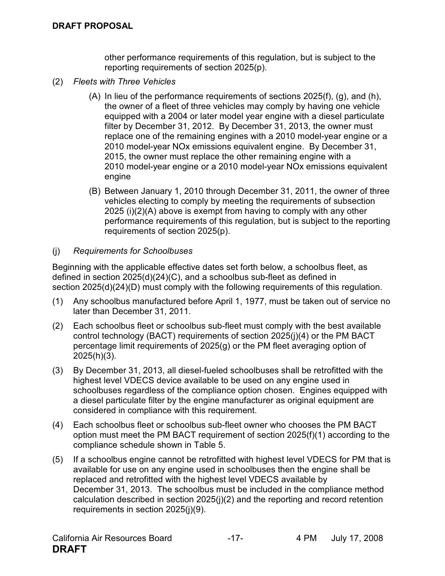other performance requirements of this regulation, but is subject to the reporting requirements of section 2025(p).

- (2) *Fleets with Three Vehicles* 
	- (A) In lieu of the performance requirements of sections 2025(f), (g), and (h), the owner of a fleet of three vehicles may comply by having one vehicle equipped with a 2004 or later model year engine with a diesel particulate filter by December 31, 2012. By December 31, 2013, the owner must replace one of the remaining engines with a 2010 model-year engine or a 2010 model-year NOx emissions equivalent engine. By December 31, 2015, the owner must replace the other remaining engine with a 2010 model-year engine or a 2010 model-year NOx emissions equivalent engine
	- (B) Between January 1, 2010 through December 31, 2011, the owner of three vehicles electing to comply by meeting the requirements of subsection 2025 (i)(2)(A) above is exempt from having to comply with any other performance requirements of this regulation, but is subject to the reporting requirements of section 2025(p).

### (j) *Requirements for Schoolbuses*

Beginning with the applicable effective dates set forth below, a schoolbus fleet, as defined in section 2025(d)(24)(C), and a schoolbus sub-fleet as defined in section 2025(d)(24)(D) must comply with the following requirements of this regulation.

- (1) Any schoolbus manufactured before April 1, 1977, must be taken out of service no later than December 31, 2011.
- (2) Each schoolbus fleet or schoolbus sub-fleet must comply with the best available control technology (BACT) requirements of section 2025(j)(4) or the PM BACT percentage limit requirements of 2025(g) or the PM fleet averaging option of 2025(h)(3).
- (3) By December 31, 2013, all diesel-fueled schoolbuses shall be retrofitted with the highest level VDECS device available to be used on any engine used in schoolbuses regardless of the compliance option chosen. Engines equipped with a diesel particulate filter by the engine manufacturer as original equipment are considered in compliance with this requirement.
- (4) Each schoolbus fleet or schoolbus sub-fleet owner who chooses the PM BACT option must meet the PM BACT requirement of section 2025(f)(1) according to the compliance schedule shown in Table 5.
- (5) If a schoolbus engine cannot be retrofitted with highest level VDECS for PM that is available for use on any engine used in schoolbuses then the engine shall be replaced and retrofitted with the highest level VDECS available by December 31, 2013. The schoolbus must be included in the compliance method calculation described in section 2025(j)(2) and the reporting and record retention requirements in section 2025(j)(9).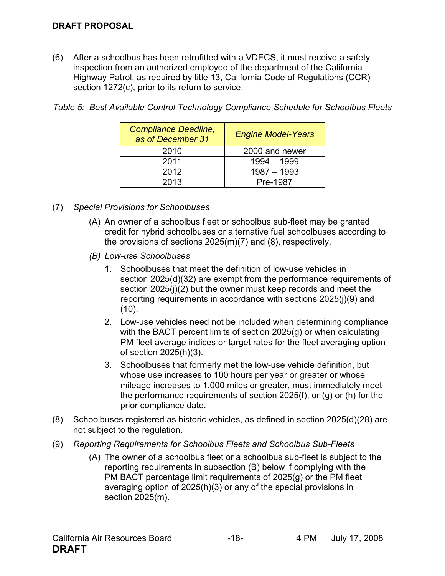(6) After a schoolbus has been retrofitted with a VDECS, it must receive a safety inspection from an authorized employee of the department of the California Highway Patrol, as required by title 13, California Code of Regulations (CCR) section 1272(c), prior to its return to service.

| <b>Compliance Deadline,</b><br>as of December 31 | <b>Engine Model-Years</b> |
|--------------------------------------------------|---------------------------|
| 2010                                             | 2000 and newer            |
| 2011                                             | $1994 - 1999$             |
| 2012                                             | $1987 - 1993$             |
| 2013                                             | Pre-1987                  |
|                                                  |                           |

*Table 5: Best Available Control Technology Compliance Schedule for Schoolbus Fleets* 

- (7) *Special Provisions for Schoolbuses* 
	- (A) An owner of a schoolbus fleet or schoolbus sub-fleet may be granted credit for hybrid schoolbuses or alternative fuel schoolbuses according to the provisions of sections 2025(m)(7) and (8), respectively.
	- *(B) Low-use Schoolbuses* 
		- 1. Schoolbuses that meet the definition of low-use vehicles in section 2025(d)(32) are exempt from the performance requirements of section 2025(j)(2) but the owner must keep records and meet the reporting requirements in accordance with sections 2025(j)(9) and  $(10).$
		- 2. Low-use vehicles need not be included when determining compliance with the BACT percent limits of section 2025(g) or when calculating PM fleet average indices or target rates for the fleet averaging option of section 2025(h)(3).
		- 3. Schoolbuses that formerly met the low-use vehicle definition, but whose use increases to 100 hours per year or greater or whose mileage increases to 1,000 miles or greater, must immediately meet the performance requirements of section 2025(f), or (g) or (h) for the prior compliance date.
- (8) Schoolbuses registered as historic vehicles, as defined in section 2025(d)(28) are not subject to the regulation.
- (9) *Reporting Requirements for Schoolbus Fleets and Schoolbus Sub-Fleets* 
	- (A) The owner of a schoolbus fleet or a schoolbus sub-fleet is subject to the reporting requirements in subsection (B) below if complying with the PM BACT percentage limit requirements of 2025(g) or the PM fleet averaging option of 2025(h)(3) or any of the special provisions in section 2025(m).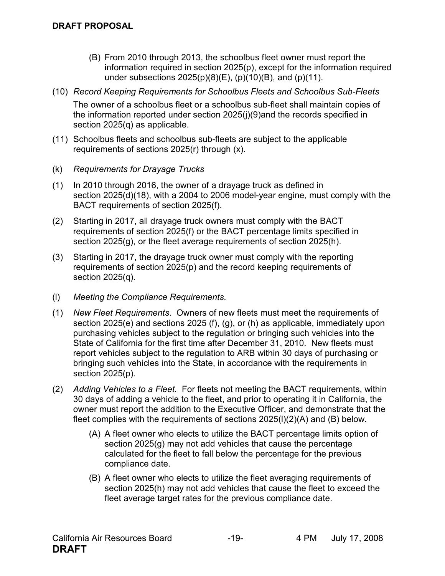- (B) From 2010 through 2013, the schoolbus fleet owner must report the information required in section 2025(p), except for the information required under subsections  $2025(p)(8)(E)$ , (p)(10)(B), and (p)(11).
- (10) *Record Keeping Requirements for Schoolbus Fleets and Schoolbus Sub-Fleets*  The owner of a schoolbus fleet or a schoolbus sub-fleet shall maintain copies of the information reported under section 2025(j)(9)and the records specified in section 2025(q) as applicable.
- (11) Schoolbus fleets and schoolbus sub-fleets are subject to the applicable requirements of sections 2025(r) through (x).
- (k) *Requirements for Drayage Trucks*
- (1) In 2010 through 2016, the owner of a drayage truck as defined in section 2025(d)(18), with a 2004 to 2006 model-year engine, must comply with the BACT requirements of section 2025(f).
- (2) Starting in 2017, all drayage truck owners must comply with the BACT requirements of section 2025(f) or the BACT percentage limits specified in section 2025(g), or the fleet average requirements of section 2025(h).
- (3) Starting in 2017, the drayage truck owner must comply with the reporting requirements of section 2025(p) and the record keeping requirements of section 2025(q).
- (l) *Meeting the Compliance Requirements.*
- (1) *New Fleet Requirements*. Owners of new fleets must meet the requirements of section 2025(e) and sections 2025 (f), (g), or (h) as applicable, immediately upon purchasing vehicles subject to the regulation or bringing such vehicles into the State of California for the first time after December 31, 2010. New fleets must report vehicles subject to the regulation to ARB within 30 days of purchasing or bringing such vehicles into the State, in accordance with the requirements in section 2025(p).
- (2) *Adding Vehicles to a Fleet.* For fleets not meeting the BACT requirements, within 30 days of adding a vehicle to the fleet, and prior to operating it in California, the owner must report the addition to the Executive Officer, and demonstrate that the fleet complies with the requirements of sections 2025(l)(2)(A) and (B) below.
	- (A) A fleet owner who elects to utilize the BACT percentage limits option of section 2025(g) may not add vehicles that cause the percentage calculated for the fleet to fall below the percentage for the previous compliance date.
	- (B) A fleet owner who elects to utilize the fleet averaging requirements of section 2025(h) may not add vehicles that cause the fleet to exceed the fleet average target rates for the previous compliance date.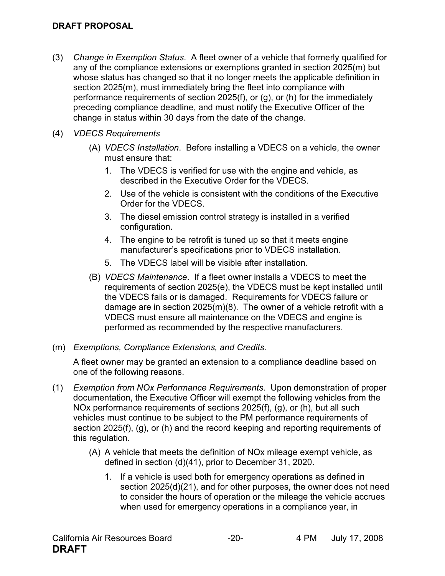- (3) *Change in Exemption Status*. A fleet owner of a vehicle that formerly qualified for any of the compliance extensions or exemptions granted in section 2025(m) but whose status has changed so that it no longer meets the applicable definition in section 2025(m), must immediately bring the fleet into compliance with performance requirements of section 2025(f), or (g), or (h) for the immediately preceding compliance deadline, and must notify the Executive Officer of the change in status within 30 days from the date of the change.
- (4) *VDECS Requirements* 
	- (A) *VDECS Installation*. Before installing a VDECS on a vehicle, the owner must ensure that:
		- 1. The VDECS is verified for use with the engine and vehicle, as described in the Executive Order for the VDECS.
		- 2. Use of the vehicle is consistent with the conditions of the Executive Order for the VDECS.
		- 3. The diesel emission control strategy is installed in a verified configuration.
		- 4. The engine to be retrofit is tuned up so that it meets engine manufacturer's specifications prior to VDECS installation.
		- 5. The VDECS label will be visible after installation.
	- (B) *VDECS Maintenance*. If a fleet owner installs a VDECS to meet the requirements of section 2025(e), the VDECS must be kept installed until the VDECS fails or is damaged. Requirements for VDECS failure or damage are in section 2025(m)(8). The owner of a vehicle retrofit with a VDECS must ensure all maintenance on the VDECS and engine is performed as recommended by the respective manufacturers.
- (m) *Exemptions, Compliance Extensions, and Credits.*

A fleet owner may be granted an extension to a compliance deadline based on one of the following reasons.

- (1) *Exemption from NOx Performance Requirements*. Upon demonstration of proper documentation, the Executive Officer will exempt the following vehicles from the NOx performance requirements of sections 2025(f), (g), or (h), but all such vehicles must continue to be subject to the PM performance requirements of section 2025(f), (g), or (h) and the record keeping and reporting requirements of this regulation.
	- (A) A vehicle that meets the definition of NOx mileage exempt vehicle, as defined in section (d)(41), prior to December 31, 2020.
		- 1. If a vehicle is used both for emergency operations as defined in section 2025(d)(21), and for other purposes, the owner does not need to consider the hours of operation or the mileage the vehicle accrues when used for emergency operations in a compliance year, in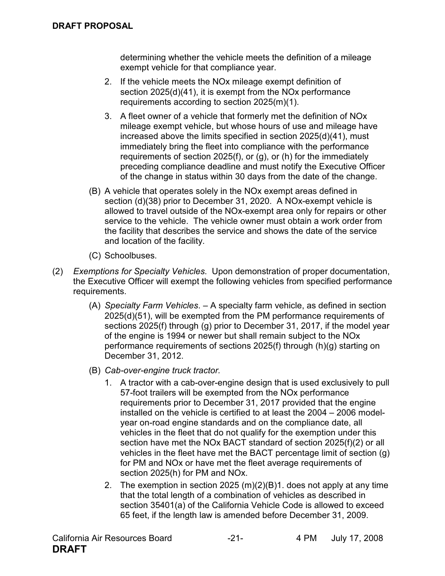determining whether the vehicle meets the definition of a mileage exempt vehicle for that compliance year.

- 2. If the vehicle meets the NOx mileage exempt definition of section 2025(d)(41), it is exempt from the NO<sub>x</sub> performance requirements according to section 2025(m)(1).
- 3. A fleet owner of a vehicle that formerly met the definition of NOx mileage exempt vehicle, but whose hours of use and mileage have increased above the limits specified in section 2025(d)(41), must immediately bring the fleet into compliance with the performance requirements of section 2025(f), or (g), or (h) for the immediately preceding compliance deadline and must notify the Executive Officer of the change in status within 30 days from the date of the change.
- (B) A vehicle that operates solely in the NOx exempt areas defined in section (d)(38) prior to December 31, 2020. A NOx-exempt vehicle is allowed to travel outside of the NOx-exempt area only for repairs or other service to the vehicle. The vehicle owner must obtain a work order from the facility that describes the service and shows the date of the service and location of the facility.
- (C) Schoolbuses.
- (2) *Exemptions for Specialty Vehicles*. Upon demonstration of proper documentation, the Executive Officer will exempt the following vehicles from specified performance requirements.
	- (A) *Specialty Farm Vehicles*. A specialty farm vehicle, as defined in section 2025(d)(51), will be exempted from the PM performance requirements of sections 2025(f) through (g) prior to December 31, 2017, if the model year of the engine is 1994 or newer but shall remain subject to the NOx performance requirements of sections 2025(f) through (h)(g) starting on December 31, 2012.
	- (B) *Cab-over-engine truck tractor.*
		- 1. A tractor with a cab-over-engine design that is used exclusively to pull 57-foot trailers will be exempted from the NOx performance requirements prior to December 31, 2017 provided that the engine installed on the vehicle is certified to at least the 2004 – 2006 modelyear on-road engine standards and on the compliance date, all vehicles in the fleet that do not qualify for the exemption under this section have met the NOx BACT standard of section 2025(f)(2) or all vehicles in the fleet have met the BACT percentage limit of section (g) for PM and NOx or have met the fleet average requirements of section 2025(h) for PM and NOx.
		- 2. The exemption in section 2025 (m)(2)(B)1. does not apply at any time that the total length of a combination of vehicles as described in section 35401(a) of the California Vehicle Code is allowed to exceed 65 feet, if the length law is amended before December 31, 2009.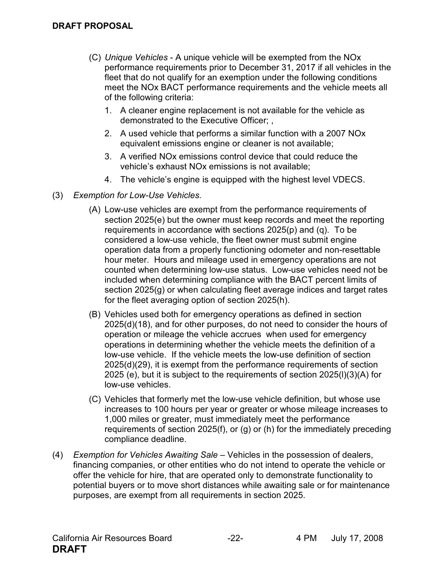- (C) *Unique Vehicles* A unique vehicle will be exempted from the NOx performance requirements prior to December 31, 2017 if all vehicles in the fleet that do not qualify for an exemption under the following conditions meet the NOx BACT performance requirements and the vehicle meets all of the following criteria:
	- 1. A cleaner engine replacement is not available for the vehicle as demonstrated to the Executive Officer; ,
	- 2. A used vehicle that performs a similar function with a 2007 NOx equivalent emissions engine or cleaner is not available;
	- 3. A verified NOx emissions control device that could reduce the vehicle's exhaust NOx emissions is not available;
	- 4. The vehicle's engine is equipped with the highest level VDECS.
- (3) *Exemption for Low-Use Vehicles.* 
	- (A) Low-use vehicles are exempt from the performance requirements of section 2025(e) but the owner must keep records and meet the reporting requirements in accordance with sections 2025(p) and (q). To be considered a low-use vehicle, the fleet owner must submit engine operation data from a properly functioning odometer and non-resettable hour meter. Hours and mileage used in emergency operations are not counted when determining low-use status. Low-use vehicles need not be included when determining compliance with the BACT percent limits of section 2025(g) or when calculating fleet average indices and target rates for the fleet averaging option of section 2025(h).
	- (B) Vehicles used both for emergency operations as defined in section 2025(d)(18), and for other purposes, do not need to consider the hours of operation or mileage the vehicle accrues when used for emergency operations in determining whether the vehicle meets the definition of a low-use vehicle. If the vehicle meets the low-use definition of section 2025(d)(29), it is exempt from the performance requirements of section 2025 (e), but it is subject to the requirements of section 2025(l)(3)(A) for low-use vehicles.
	- (C) Vehicles that formerly met the low-use vehicle definition, but whose use increases to 100 hours per year or greater or whose mileage increases to 1,000 miles or greater, must immediately meet the performance requirements of section 2025(f), or (g) or (h) for the immediately preceding compliance deadline.
- (4) *Exemption for Vehicles Awaiting Sale* Vehicles in the possession of dealers, financing companies, or other entities who do not intend to operate the vehicle or offer the vehicle for hire, that are operated only to demonstrate functionality to potential buyers or to move short distances while awaiting sale or for maintenance purposes, are exempt from all requirements in section 2025.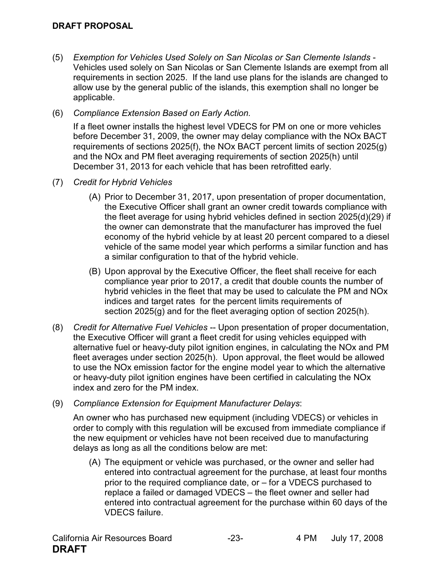- (5) *Exemption for Vehicles Used Solely on San Nicolas or San Clemente Islands* Vehicles used solely on San Nicolas or San Clemente Islands are exempt from all requirements in section 2025. If the land use plans for the islands are changed to allow use by the general public of the islands, this exemption shall no longer be applicable.
- (6) *Compliance Extension Based on Early Action.*

If a fleet owner installs the highest level VDECS for PM on one or more vehicles before December 31, 2009, the owner may delay compliance with the NOx BACT requirements of sections 2025(f), the NOx BACT percent limits of section 2025(g) and the NOx and PM fleet averaging requirements of section 2025(h) until December 31, 2013 for each vehicle that has been retrofitted early.

- (7) *Credit for Hybrid Vehicles* 
	- (A) Prior to December 31, 2017, upon presentation of proper documentation, the Executive Officer shall grant an owner credit towards compliance with the fleet average for using hybrid vehicles defined in section 2025(d)(29) if the owner can demonstrate that the manufacturer has improved the fuel economy of the hybrid vehicle by at least 20 percent compared to a diesel vehicle of the same model year which performs a similar function and has a similar configuration to that of the hybrid vehicle.
	- (B) Upon approval by the Executive Officer, the fleet shall receive for each compliance year prior to 2017, a credit that double counts the number of hybrid vehicles in the fleet that may be used to calculate the PM and NOx indices and target rates for the percent limits requirements of section 2025(g) and for the fleet averaging option of section 2025(h).
- (8) *Credit for Alternative Fuel Vehicles* -- Upon presentation of proper documentation, the Executive Officer will grant a fleet credit for using vehicles equipped with alternative fuel or heavy-duty pilot ignition engines, in calculating the NOx and PM fleet averages under section 2025(h). Upon approval, the fleet would be allowed to use the NOx emission factor for the engine model year to which the alternative or heavy-duty pilot ignition engines have been certified in calculating the NOx index and zero for the PM index.
- (9) *Compliance Extension for Equipment Manufacturer Delays*:

An owner who has purchased new equipment (including VDECS) or vehicles in order to comply with this regulation will be excused from immediate compliance if the new equipment or vehicles have not been received due to manufacturing delays as long as all the conditions below are met:

(A) The equipment or vehicle was purchased, or the owner and seller had entered into contractual agreement for the purchase, at least four months prior to the required compliance date, or – for a VDECS purchased to replace a failed or damaged VDECS – the fleet owner and seller had entered into contractual agreement for the purchase within 60 days of the VDECS failure.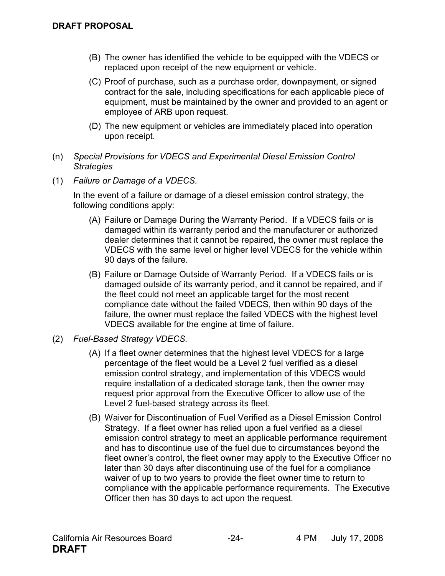- (B) The owner has identified the vehicle to be equipped with the VDECS or replaced upon receipt of the new equipment or vehicle.
- (C) Proof of purchase, such as a purchase order, downpayment, or signed contract for the sale, including specifications for each applicable piece of equipment, must be maintained by the owner and provided to an agent or employee of ARB upon request.
- (D) The new equipment or vehicles are immediately placed into operation upon receipt.
- (n) *Special Provisions for VDECS and Experimental Diesel Emission Control Strategies*
- (1) *Failure or Damage of a VDECS.*

In the event of a failure or damage of a diesel emission control strategy, the following conditions apply:

- (A) Failure or Damage During the Warranty Period. If a VDECS fails or is damaged within its warranty period and the manufacturer or authorized dealer determines that it cannot be repaired, the owner must replace the VDECS with the same level or higher level VDECS for the vehicle within 90 days of the failure.
- (B) Failure or Damage Outside of Warranty Period. If a VDECS fails or is damaged outside of its warranty period, and it cannot be repaired, and if the fleet could not meet an applicable target for the most recent compliance date without the failed VDECS, then within 90 days of the failure, the owner must replace the failed VDECS with the highest level VDECS available for the engine at time of failure.
- (2) *Fuel-Based Strategy VDECS.* 
	- (A) If a fleet owner determines that the highest level VDECS for a large percentage of the fleet would be a Level 2 fuel verified as a diesel emission control strategy, and implementation of this VDECS would require installation of a dedicated storage tank, then the owner may request prior approval from the Executive Officer to allow use of the Level 2 fuel-based strategy across its fleet.
	- (B) Waiver for Discontinuation of Fuel Verified as a Diesel Emission Control Strategy. If a fleet owner has relied upon a fuel verified as a diesel emission control strategy to meet an applicable performance requirement and has to discontinue use of the fuel due to circumstances beyond the fleet owner's control, the fleet owner may apply to the Executive Officer no later than 30 days after discontinuing use of the fuel for a compliance waiver of up to two years to provide the fleet owner time to return to compliance with the applicable performance requirements. The Executive Officer then has 30 days to act upon the request.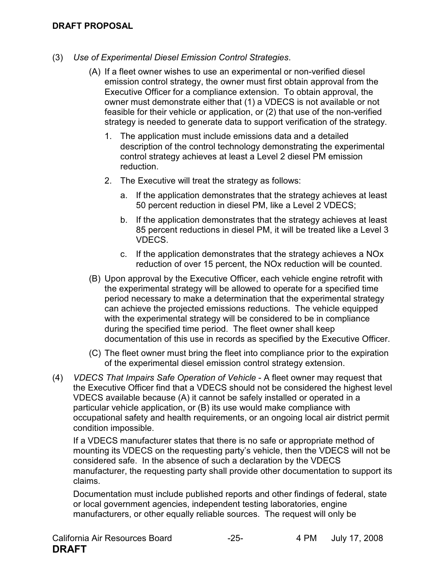- (3) *Use of Experimental Diesel Emission Control Strategies*.
	- (A) If a fleet owner wishes to use an experimental or non-verified diesel emission control strategy, the owner must first obtain approval from the Executive Officer for a compliance extension. To obtain approval, the owner must demonstrate either that (1) a VDECS is not available or not feasible for their vehicle or application, or (2) that use of the non-verified strategy is needed to generate data to support verification of the strategy.
		- 1. The application must include emissions data and a detailed description of the control technology demonstrating the experimental control strategy achieves at least a Level 2 diesel PM emission reduction.
		- 2. The Executive will treat the strategy as follows:
			- a. If the application demonstrates that the strategy achieves at least 50 percent reduction in diesel PM, like a Level 2 VDECS;
			- b. If the application demonstrates that the strategy achieves at least 85 percent reductions in diesel PM, it will be treated like a Level 3 VDECS.
			- c. If the application demonstrates that the strategy achieves a NOx reduction of over 15 percent, the NOx reduction will be counted.
	- (B) Upon approval by the Executive Officer, each vehicle engine retrofit with the experimental strategy will be allowed to operate for a specified time period necessary to make a determination that the experimental strategy can achieve the projected emissions reductions. The vehicle equipped with the experimental strategy will be considered to be in compliance during the specified time period. The fleet owner shall keep documentation of this use in records as specified by the Executive Officer.
	- (C) The fleet owner must bring the fleet into compliance prior to the expiration of the experimental diesel emission control strategy extension.
- (4) *VDECS That Impairs Safe Operation of Vehicle* A fleet owner may request that the Executive Officer find that a VDECS should not be considered the highest level VDECS available because (A) it cannot be safely installed or operated in a particular vehicle application, or (B) its use would make compliance with occupational safety and health requirements, or an ongoing local air district permit condition impossible.

If a VDECS manufacturer states that there is no safe or appropriate method of mounting its VDECS on the requesting party's vehicle, then the VDECS will not be considered safe. In the absence of such a declaration by the VDECS manufacturer, the requesting party shall provide other documentation to support its claims.

Documentation must include published reports and other findings of federal, state or local government agencies, independent testing laboratories, engine manufacturers, or other equally reliable sources. The request will only be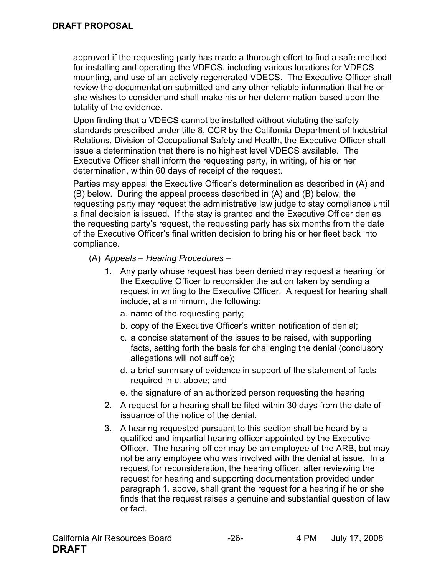approved if the requesting party has made a thorough effort to find a safe method for installing and operating the VDECS, including various locations for VDECS mounting, and use of an actively regenerated VDECS. The Executive Officer shall review the documentation submitted and any other reliable information that he or she wishes to consider and shall make his or her determination based upon the totality of the evidence.

Upon finding that a VDECS cannot be installed without violating the safety standards prescribed under title 8, CCR by the California Department of Industrial Relations, Division of Occupational Safety and Health, the Executive Officer shall issue a determination that there is no highest level VDECS available. The Executive Officer shall inform the requesting party, in writing, of his or her determination, within 60 days of receipt of the request.

Parties may appeal the Executive Officer's determination as described in (A) and (B) below. During the appeal process described in (A) and (B) below, the requesting party may request the administrative law judge to stay compliance until a final decision is issued. If the stay is granted and the Executive Officer denies the requesting party's request, the requesting party has six months from the date of the Executive Officer's final written decision to bring his or her fleet back into compliance.

- (A) *Appeals Hearing Procedures*
	- 1. Any party whose request has been denied may request a hearing for the Executive Officer to reconsider the action taken by sending a request in writing to the Executive Officer. A request for hearing shall include, at a minimum, the following:
		- a. name of the requesting party;
		- b. copy of the Executive Officer's written notification of denial;
		- c. a concise statement of the issues to be raised, with supporting facts, setting forth the basis for challenging the denial (conclusory allegations will not suffice);
		- d. a brief summary of evidence in support of the statement of facts required in c. above; and
		- e. the signature of an authorized person requesting the hearing
	- 2. A request for a hearing shall be filed within 30 days from the date of issuance of the notice of the denial.
	- 3. A hearing requested pursuant to this section shall be heard by a qualified and impartial hearing officer appointed by the Executive Officer. The hearing officer may be an employee of the ARB, but may not be any employee who was involved with the denial at issue. In a request for reconsideration, the hearing officer, after reviewing the request for hearing and supporting documentation provided under paragraph 1. above, shall grant the request for a hearing if he or she finds that the request raises a genuine and substantial question of law or fact.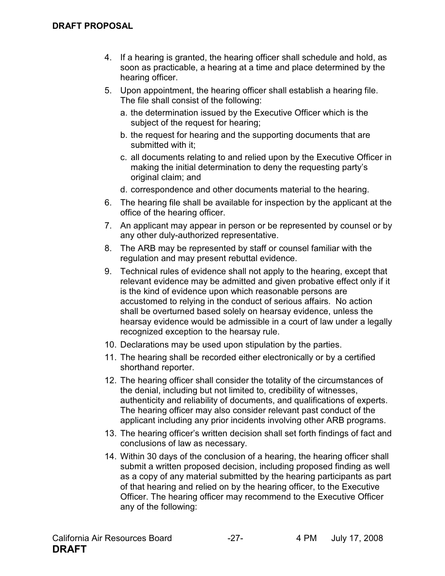- 4. If a hearing is granted, the hearing officer shall schedule and hold, as soon as practicable, a hearing at a time and place determined by the hearing officer.
- 5. Upon appointment, the hearing officer shall establish a hearing file. The file shall consist of the following:
	- a. the determination issued by the Executive Officer which is the subject of the request for hearing;
	- b. the request for hearing and the supporting documents that are submitted with it;
	- c. all documents relating to and relied upon by the Executive Officer in making the initial determination to deny the requesting party's original claim; and
	- d. correspondence and other documents material to the hearing.
- 6. The hearing file shall be available for inspection by the applicant at the office of the hearing officer.
- 7. An applicant may appear in person or be represented by counsel or by any other duly-authorized representative.
- 8. The ARB may be represented by staff or counsel familiar with the regulation and may present rebuttal evidence.
- 9. Technical rules of evidence shall not apply to the hearing, except that relevant evidence may be admitted and given probative effect only if it is the kind of evidence upon which reasonable persons are accustomed to relying in the conduct of serious affairs. No action shall be overturned based solely on hearsay evidence, unless the hearsay evidence would be admissible in a court of law under a legally recognized exception to the hearsay rule.
- 10. Declarations may be used upon stipulation by the parties.
- 11. The hearing shall be recorded either electronically or by a certified shorthand reporter.
- 12. The hearing officer shall consider the totality of the circumstances of the denial, including but not limited to, credibility of witnesses, authenticity and reliability of documents, and qualifications of experts. The hearing officer may also consider relevant past conduct of the applicant including any prior incidents involving other ARB programs.
- 13. The hearing officer's written decision shall set forth findings of fact and conclusions of law as necessary.
- 14. Within 30 days of the conclusion of a hearing, the hearing officer shall submit a written proposed decision, including proposed finding as well as a copy of any material submitted by the hearing participants as part of that hearing and relied on by the hearing officer, to the Executive Officer. The hearing officer may recommend to the Executive Officer any of the following: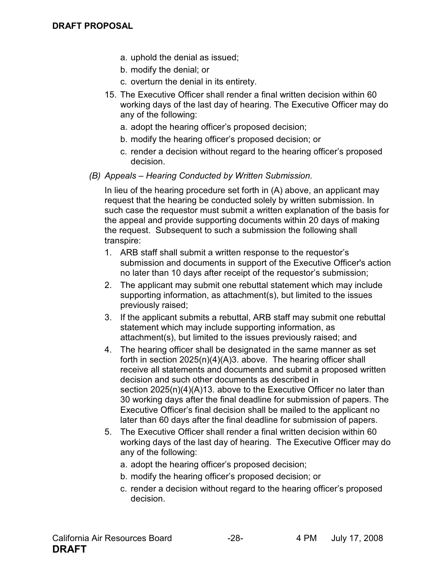- a. uphold the denial as issued;
- b. modify the denial; or
- c. overturn the denial in its entirety.
- 15. The Executive Officer shall render a final written decision within 60 working days of the last day of hearing. The Executive Officer may do any of the following:
	- a. adopt the hearing officer's proposed decision;
	- b. modify the hearing officer's proposed decision; or
	- c. render a decision without regard to the hearing officer's proposed decision.
- *(B) Appeals Hearing Conducted by Written Submission.*

In lieu of the hearing procedure set forth in (A) above, an applicant may request that the hearing be conducted solely by written submission. In such case the requestor must submit a written explanation of the basis for the appeal and provide supporting documents within 20 days of making the request. Subsequent to such a submission the following shall transpire:

- 1. ARB staff shall submit a written response to the requestor's submission and documents in support of the Executive Officer's action no later than 10 days after receipt of the requestor's submission;
- 2. The applicant may submit one rebuttal statement which may include supporting information, as attachment(s), but limited to the issues previously raised;
- 3. If the applicant submits a rebuttal, ARB staff may submit one rebuttal statement which may include supporting information, as attachment(s), but limited to the issues previously raised; and
- 4. The hearing officer shall be designated in the same manner as set forth in section 2025(n)(4)(A)3. above. The hearing officer shall receive all statements and documents and submit a proposed written decision and such other documents as described in section 2025(n)(4)(A)13. above to the Executive Officer no later than 30 working days after the final deadline for submission of papers. The Executive Officer's final decision shall be mailed to the applicant no later than 60 days after the final deadline for submission of papers.
- 5. The Executive Officer shall render a final written decision within 60 working days of the last day of hearing. The Executive Officer may do any of the following:
	- a. adopt the hearing officer's proposed decision;
	- b. modify the hearing officer's proposed decision; or
	- c. render a decision without regard to the hearing officer's proposed decision.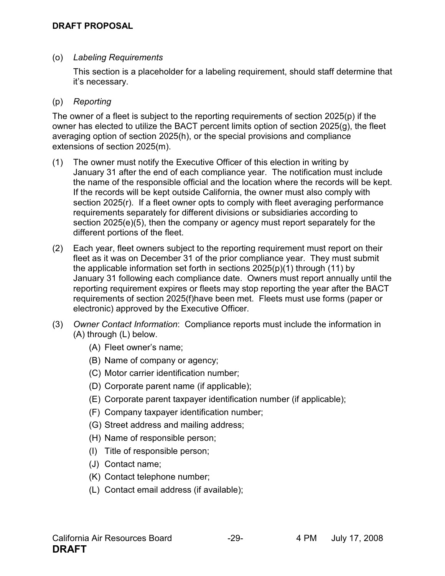(o) *Labeling Requirements* 

This section is a placeholder for a labeling requirement, should staff determine that it's necessary.

### (p) *Reporting*

The owner of a fleet is subject to the reporting requirements of section 2025(p) if the owner has elected to utilize the BACT percent limits option of section 2025(g), the fleet averaging option of section 2025(h), or the special provisions and compliance extensions of section 2025(m).

- (1) The owner must notify the Executive Officer of this election in writing by January 31 after the end of each compliance year. The notification must include the name of the responsible official and the location where the records will be kept. If the records will be kept outside California, the owner must also comply with section 2025(r). If a fleet owner opts to comply with fleet averaging performance requirements separately for different divisions or subsidiaries according to section 2025(e)(5), then the company or agency must report separately for the different portions of the fleet.
- (2) Each year, fleet owners subject to the reporting requirement must report on their fleet as it was on December 31 of the prior compliance year. They must submit the applicable information set forth in sections 2025(p)(1) through (11) by January 31 following each compliance date. Owners must report annually until the reporting requirement expires or fleets may stop reporting the year after the BACT requirements of section 2025(f)have been met. Fleets must use forms (paper or electronic) approved by the Executive Officer.
- (3) *Owner Contact Information*: Compliance reports must include the information in (A) through (L) below.
	- (A) Fleet owner's name;
	- (B) Name of company or agency;
	- (C) Motor carrier identification number;
	- (D) Corporate parent name (if applicable);
	- (E) Corporate parent taxpayer identification number (if applicable);
	- (F) Company taxpayer identification number;
	- (G) Street address and mailing address;
	- (H) Name of responsible person;
	- (I) Title of responsible person;
	- (J) Contact name;
	- (K) Contact telephone number;
	- (L) Contact email address (if available);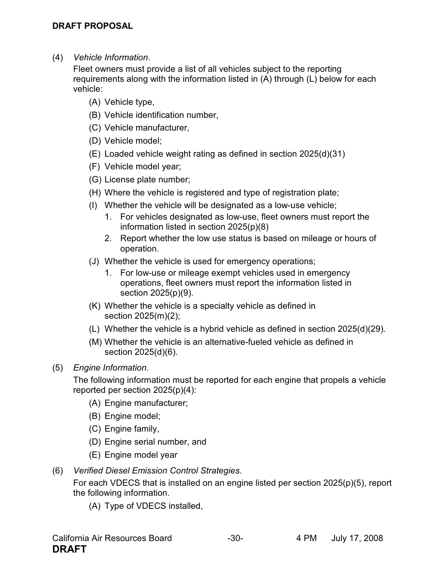(4) *Vehicle Information*.

Fleet owners must provide a list of all vehicles subject to the reporting requirements along with the information listed in (A) through (L) below for each vehicle:

- (A) Vehicle type,
- (B) Vehicle identification number,
- (C) Vehicle manufacturer,
- (D) Vehicle model;
- (E) Loaded vehicle weight rating as defined in section 2025(d)(31)
- (F) Vehicle model year;
- (G) License plate number;
- (H) Where the vehicle is registered and type of registration plate;
- (I) Whether the vehicle will be designated as a low-use vehicle;
	- 1. For vehicles designated as low-use, fleet owners must report the information listed in section 2025(p)(8)
	- 2. Report whether the low use status is based on mileage or hours of operation.
- (J) Whether the vehicle is used for emergency operations;
	- 1. For low-use or mileage exempt vehicles used in emergency operations, fleet owners must report the information listed in section 2025(p)(9).
- (K) Whether the vehicle is a specialty vehicle as defined in section 2025(m)(2);
- (L) Whether the vehicle is a hybrid vehicle as defined in section 2025(d)(29).
- (M) Whether the vehicle is an alternative-fueled vehicle as defined in section 2025(d)(6).
- (5) *Engine Information*.

The following information must be reported for each engine that propels a vehicle reported per section 2025(p)(4):

- (A) Engine manufacturer;
- (B) Engine model;
- (C) Engine family,
- (D) Engine serial number, and
- (E) Engine model year
- (6) *Verified Diesel Emission Control Strategies.*

For each VDECS that is installed on an engine listed per section 2025(p)(5), report the following information.

(A) Type of VDECS installed,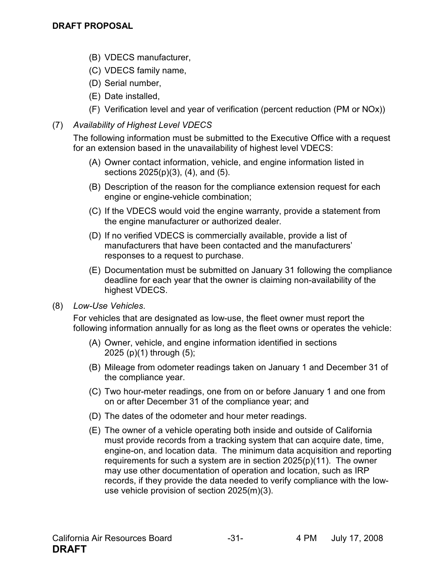- (B) VDECS manufacturer,
- (C) VDECS family name,
- (D) Serial number,
- (E) Date installed,
- (F) Verification level and year of verification (percent reduction (PM or NOx))
- (7) *Availability of Highest Level VDECS*

The following information must be submitted to the Executive Office with a request for an extension based in the unavailability of highest level VDECS:

- (A) Owner contact information, vehicle, and engine information listed in sections 2025(p)(3), (4), and (5).
- (B) Description of the reason for the compliance extension request for each engine or engine-vehicle combination;
- (C) If the VDECS would void the engine warranty, provide a statement from the engine manufacturer or authorized dealer.
- (D) If no verified VDECS is commercially available, provide a list of manufacturers that have been contacted and the manufacturers' responses to a request to purchase.
- (E) Documentation must be submitted on January 31 following the compliance deadline for each year that the owner is claiming non-availability of the highest VDECS.
- (8) *Low-Use Vehicles*.

For vehicles that are designated as low-use, the fleet owner must report the following information annually for as long as the fleet owns or operates the vehicle:

- (A) Owner, vehicle, and engine information identified in sections 2025 (p)(1) through (5);
- (B) Mileage from odometer readings taken on January 1 and December 31 of the compliance year.
- (C) Two hour-meter readings, one from on or before January 1 and one from on or after December 31 of the compliance year; and
- (D) The dates of the odometer and hour meter readings.
- (E) The owner of a vehicle operating both inside and outside of California must provide records from a tracking system that can acquire date, time, engine-on, and location data. The minimum data acquisition and reporting requirements for such a system are in section  $2025(p)(11)$ . The owner may use other documentation of operation and location, such as IRP records, if they provide the data needed to verify compliance with the lowuse vehicle provision of section 2025(m)(3).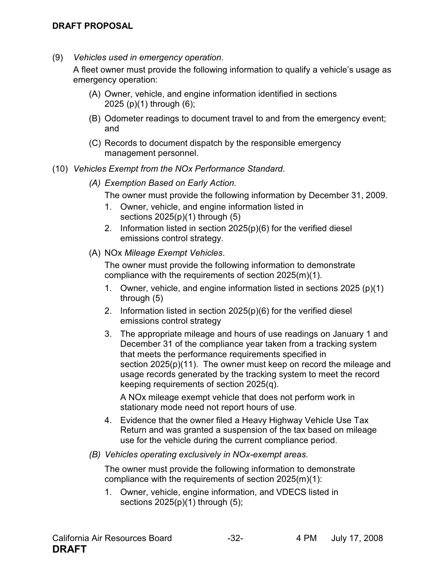(9) *Vehicles used in emergency operation*.

A fleet owner must provide the following information to qualify a vehicle's usage as emergency operation:

- (A) Owner, vehicle, and engine information identified in sections 2025 (p)(1) through (6);
- (B) Odometer readings to document travel to and from the emergency event; and
- (C) Records to document dispatch by the responsible emergency management personnel.
- (10) *Vehicles Exempt from the NOx Performance Standard*.
	- *(A) Exemption Based on Early Action.*

The owner must provide the following information by December 31, 2009.

- 1. Owner, vehicle, and engine information listed in sections 2025(p)(1) through (5)
- 2. Information listed in section 2025(p)(6) for the verified diesel emissions control strategy.
- (A) NOx *Mileage Exempt Vehicles*.

The owner must provide the following information to demonstrate compliance with the requirements of section 2025(m)(1).

- 1. Owner, vehicle, and engine information listed in sections 2025 (p)(1) through (5)
- 2. Information listed in section 2025(p)(6) for the verified diesel emissions control strategy
- 3. The appropriate mileage and hours of use readings on January 1 and December 31 of the compliance year taken from a tracking system that meets the performance requirements specified in section 2025(p)(11). The owner must keep on record the mileage and usage records generated by the tracking system to meet the record keeping requirements of section 2025(q).

A NOx mileage exempt vehicle that does not perform work in stationary mode need not report hours of use.

- 4. Evidence that the owner filed a Heavy Highway Vehicle Use Tax Return and was granted a suspension of the tax based on mileage use for the vehicle during the current compliance period.
- *(B) Vehicles operating exclusively in NOx-exempt areas.*

The owner must provide the following information to demonstrate compliance with the requirements of section 2025(m)(1):

1. Owner, vehicle, engine information, and VDECS listed in sections  $2025(p)(1)$  through  $(5)$ ;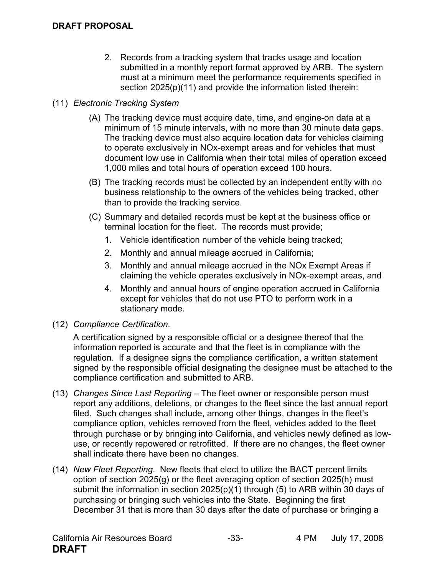2. Records from a tracking system that tracks usage and location submitted in a monthly report format approved by ARB. The system must at a minimum meet the performance requirements specified in section 2025(p)(11) and provide the information listed therein:

# (11) *Electronic Tracking System*

- (A) The tracking device must acquire date, time, and engine-on data at a minimum of 15 minute intervals, with no more than 30 minute data gaps. The tracking device must also acquire location data for vehicles claiming to operate exclusively in NOx-exempt areas and for vehicles that must document low use in California when their total miles of operation exceed 1,000 miles and total hours of operation exceed 100 hours.
- (B) The tracking records must be collected by an independent entity with no business relationship to the owners of the vehicles being tracked, other than to provide the tracking service.
- (C) Summary and detailed records must be kept at the business office or terminal location for the fleet. The records must provide;
	- 1. Vehicle identification number of the vehicle being tracked;
	- 2. Monthly and annual mileage accrued in California;
	- 3. Monthly and annual mileage accrued in the NOx Exempt Areas if claiming the vehicle operates exclusively in NOx-exempt areas, and
	- 4. Monthly and annual hours of engine operation accrued in California except for vehicles that do not use PTO to perform work in a stationary mode.
- (12) *Compliance Certification*.

A certification signed by a responsible official or a designee thereof that the information reported is accurate and that the fleet is in compliance with the regulation. If a designee signs the compliance certification, a written statement signed by the responsible official designating the designee must be attached to the compliance certification and submitted to ARB.

- (13) *Changes Since Last Reporting* The fleet owner or responsible person must report any additions, deletions, or changes to the fleet since the last annual report filed. Such changes shall include, among other things, changes in the fleet's compliance option, vehicles removed from the fleet, vehicles added to the fleet through purchase or by bringing into California, and vehicles newly defined as lowuse, or recently repowered or retrofitted. If there are no changes, the fleet owner shall indicate there have been no changes.
- (14) *New Fleet Reporting*. New fleets that elect to utilize the BACT percent limits option of section 2025(g) or the fleet averaging option of section 2025(h) must submit the information in section  $2025(p)(1)$  through (5) to ARB within 30 days of purchasing or bringing such vehicles into the State. Beginning the first December 31 that is more than 30 days after the date of purchase or bringing a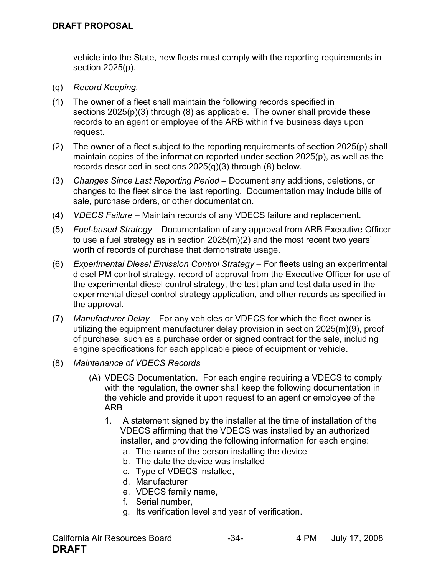vehicle into the State, new fleets must comply with the reporting requirements in section 2025(p).

- (q) *Record Keeping.*
- (1) The owner of a fleet shall maintain the following records specified in sections 2025(p)(3) through (8) as applicable. The owner shall provide these records to an agent or employee of the ARB within five business days upon request.
- (2) The owner of a fleet subject to the reporting requirements of section 2025(p) shall maintain copies of the information reported under section 2025(p), as well as the records described in sections 2025(q)(3) through (8) below.
- (3) *Changes Since Last Reporting Period* Document any additions, deletions, or changes to the fleet since the last reporting. Documentation may include bills of sale, purchase orders, or other documentation.
- (4) *VDECS Failure* Maintain records of any VDECS failure and replacement.
- (5) *Fuel-based Strategy* Documentation of any approval from ARB Executive Officer to use a fuel strategy as in section 2025(m)(2) and the most recent two years' worth of records of purchase that demonstrate usage.
- (6) *Experimental Diesel Emission Control Strategy* For fleets using an experimental diesel PM control strategy, record of approval from the Executive Officer for use of the experimental diesel control strategy, the test plan and test data used in the experimental diesel control strategy application, and other records as specified in the approval.
- (7) *Manufacturer Delay*  For any vehicles or VDECS for which the fleet owner is utilizing the equipment manufacturer delay provision in section 2025(m)(9), proof of purchase, such as a purchase order or signed contract for the sale, including engine specifications for each applicable piece of equipment or vehicle.
- (8) *Maintenance of VDECS Records* 
	- (A) VDECS Documentation. For each engine requiring a VDECS to comply with the regulation, the owner shall keep the following documentation in the vehicle and provide it upon request to an agent or employee of the ARB
		- 1. A statement signed by the installer at the time of installation of the VDECS affirming that the VDECS was installed by an authorized installer, and providing the following information for each engine:
			- a. The name of the person installing the device
			- b. The date the device was installed
			- c. Type of VDECS installed,
			- d. Manufacturer
			- e. VDECS family name,
			- f. Serial number,
			- g. Its verification level and year of verification.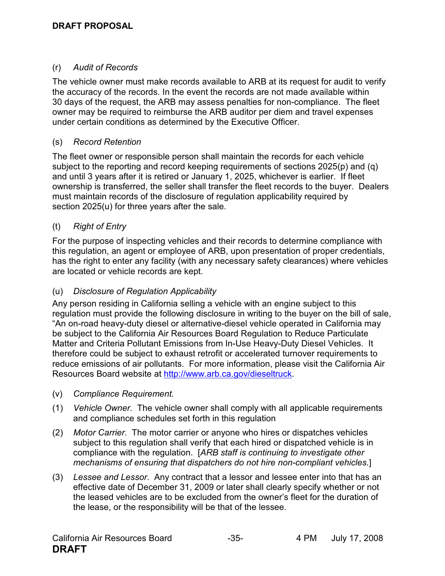## **DRAFT PROPOSAL**

#### (r) *Audit of Records*

The vehicle owner must make records available to ARB at its request for audit to verify the accuracy of the records. In the event the records are not made available within 30 days of the request, the ARB may assess penalties for non-compliance. The fleet owner may be required to reimburse the ARB auditor per diem and travel expenses under certain conditions as determined by the Executive Officer.

#### (s) *Record Retention*

The fleet owner or responsible person shall maintain the records for each vehicle subject to the reporting and record keeping requirements of sections 2025(p) and (q) and until 3 years after it is retired or January 1, 2025, whichever is earlier. If fleet ownership is transferred, the seller shall transfer the fleet records to the buyer. Dealers must maintain records of the disclosure of regulation applicability required by section 2025(u) for three years after the sale.

#### (t) *Right of Entry*

For the purpose of inspecting vehicles and their records to determine compliance with this regulation, an agent or employee of ARB, upon presentation of proper credentials, has the right to enter any facility (with any necessary safety clearances) where vehicles are located or vehicle records are kept.

#### (u) *Disclosure of Regulation Applicability*

Any person residing in California selling a vehicle with an engine subject to this regulation must provide the following disclosure in writing to the buyer on the bill of sale, "An on-road heavy-duty diesel or alternative-diesel vehicle operated in California may be subject to the California Air Resources Board Regulation to Reduce Particulate Matter and Criteria Pollutant Emissions from In-Use Heavy-Duty Diesel Vehicles. It therefore could be subject to exhaust retrofit or accelerated turnover requirements to reduce emissions of air pollutants. For more information, please visit the California Air Resources Board website at http://www.arb.ca.gov/dieseltruck.

- (v) *Compliance Requirement.*
- (1) *Vehicle Owner*. The vehicle owner shall comply with all applicable requirements and compliance schedules set forth in this regulation
- (2) *Motor Carrier*. The motor carrier or anyone who hires or dispatches vehicles subject to this regulation shall verify that each hired or dispatched vehicle is in compliance with the regulation. [*ARB staff is continuing to investigate other mechanisms of ensuring that dispatchers do not hire non-compliant vehicles.*]
- (3) *Lessee and Lessor*. Any contract that a lessor and lessee enter into that has an effective date of December 31, 2009 or later shall clearly specify whether or not the leased vehicles are to be excluded from the owner's fleet for the duration of the lease, or the responsibility will be that of the lessee.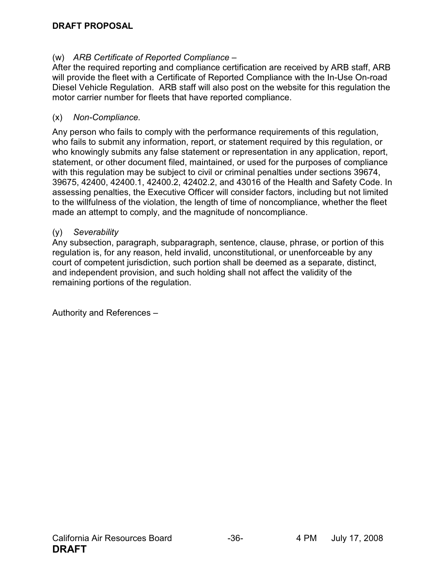## (w) *ARB Certificate of Reported Compliance –*

After the required reporting and compliance certification are received by ARB staff, ARB will provide the fleet with a Certificate of Reported Compliance with the In-Use On-road Diesel Vehicle Regulation. ARB staff will also post on the website for this regulation the motor carrier number for fleets that have reported compliance.

#### (x) *Non-Compliance.*

Any person who fails to comply with the performance requirements of this regulation, who fails to submit any information, report, or statement required by this regulation, or who knowingly submits any false statement or representation in any application, report, statement, or other document filed, maintained, or used for the purposes of compliance with this regulation may be subject to civil or criminal penalties under sections 39674, 39675, 42400, 42400.1, 42400.2, 42402.2, and 43016 of the Health and Safety Code. In assessing penalties, the Executive Officer will consider factors, including but not limited to the willfulness of the violation, the length of time of noncompliance, whether the fleet made an attempt to comply, and the magnitude of noncompliance.

#### (y) *Severability*

Any subsection, paragraph, subparagraph, sentence, clause, phrase, or portion of this regulation is, for any reason, held invalid, unconstitutional, or unenforceable by any court of competent jurisdiction, such portion shall be deemed as a separate, distinct, and independent provision, and such holding shall not affect the validity of the remaining portions of the regulation.

Authority and References –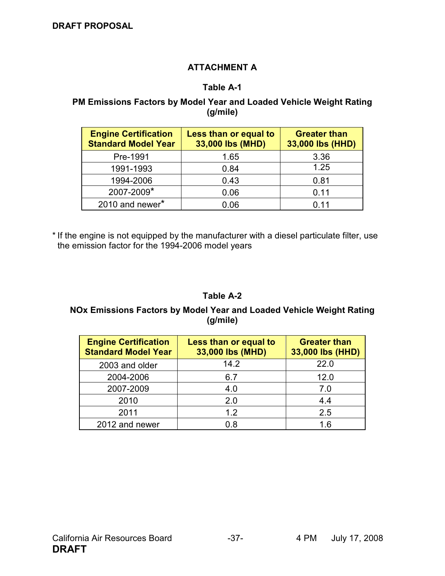## **ATTACHMENT A**

## **Table A-1**

#### **PM Emissions Factors by Model Year and Loaded Vehicle Weight Rating (g/mile)**

| <b>Engine Certification</b><br><b>Standard Model Year</b> | Less than or equal to<br>33,000 lbs (MHD) | <b>Greater than</b><br>33,000 lbs (HHD) |
|-----------------------------------------------------------|-------------------------------------------|-----------------------------------------|
| Pre-1991                                                  | 1.65                                      | 3.36                                    |
| 1991-1993                                                 | 0.84                                      | 1.25                                    |
| 1994-2006                                                 | 0.43                                      | 0.81                                    |
| 2007-2009*                                                | 0.06                                      | 0.11                                    |
| 2010 and newer*                                           | 0.06                                      | 0.11                                    |

\* If the engine is not equipped by the manufacturer with a diesel particulate filter, use the emission factor for the 1994-2006 model years

## **Table A-2**

## **NOx Emissions Factors by Model Year and Loaded Vehicle Weight Rating (g/mile)**

| <b>Engine Certification</b><br><b>Standard Model Year</b> | Less than or equal to<br>33,000 lbs (MHD) | <b>Greater than</b><br>33,000 lbs (HHD) |
|-----------------------------------------------------------|-------------------------------------------|-----------------------------------------|
| 2003 and older                                            | 14.2                                      | 22.0                                    |
| 2004-2006                                                 | 6.7                                       | 12.0                                    |
| 2007-2009                                                 | 4.0                                       | 7.0                                     |
| 2010                                                      | 2.0                                       | 4.4                                     |
| 2011                                                      | 1.2                                       | 2.5                                     |
| 2012 and newer                                            | 0.8                                       | 1 6                                     |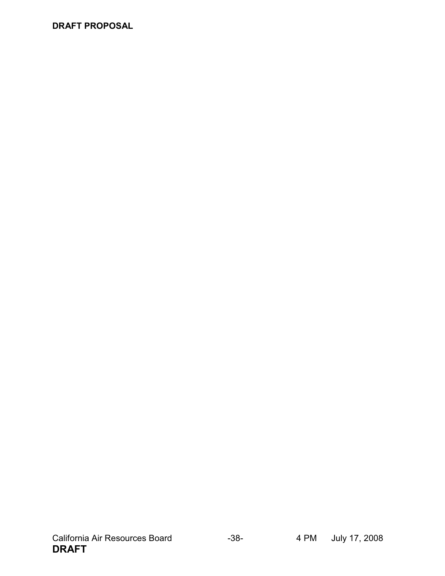## **DRAFT PROPOSAL**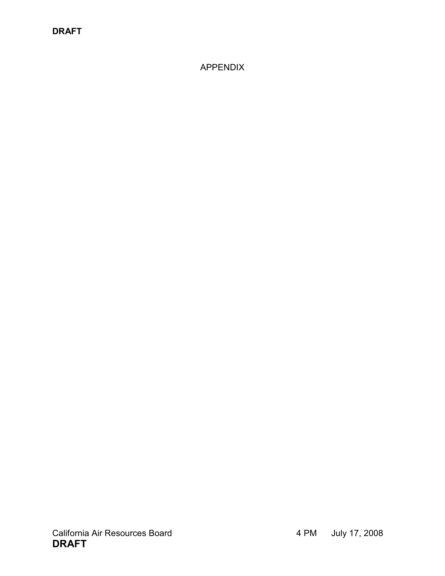APPENDIX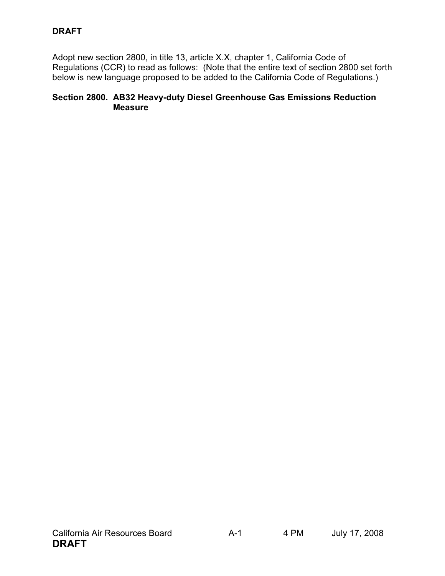Adopt new section 2800, in title 13, article X.X, chapter 1, California Code of Regulations (CCR) to read as follows: (Note that the entire text of section 2800 set forth below is new language proposed to be added to the California Code of Regulations.)

#### **Section 2800. AB32 Heavy-duty Diesel Greenhouse Gas Emissions Reduction Measure**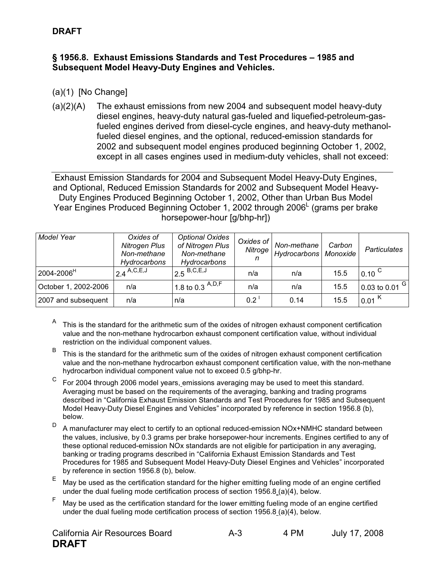#### **§ 1956.8. Exhaust Emissions Standards and Test Procedures – 1985 and Subsequent Model Heavy-Duty Engines and Vehicles.**

#### (a)(1) [No Change]

(a)(2)(A) The exhaust emissions from new 2004 and subsequent model heavy-duty diesel engines, heavy-duty natural gas-fueled and liquefied-petroleum-gasfueled engines derived from diesel-cycle engines, and heavy-duty methanolfueled diesel engines, and the optional, reduced-emission standards for 2002 and subsequent model engines produced beginning October 1, 2002, except in all cases engines used in medium-duty vehicles, shall not exceed:

Exhaust Emission Standards for 2004 and Subsequent Model Heavy-Duty Engines, and Optional, Reduced Emission Standards for 2002 and Subsequent Model Heavy-Duty Engines Produced Beginning October 1, 2002, Other than Urban Bus Model Year Engines Produced Beginning October 1, 2002 through 2006<sup>L</sup> (grams per brake horsepower-hour [g/bhp-hr])

| Model Year             | Oxides of<br>Nitrogen Plus<br>Non-methane<br><b>Hydrocarbons</b> | <b>Optional Oxides</b><br>of Nitrogen Plus<br>Non-methane<br><b>Hydrocarbons</b> | Oxides of $ $<br>Nitroge<br>n | Non-methane<br>Hydrocarbons Monoxide | Carbon | Particulates                 |
|------------------------|------------------------------------------------------------------|----------------------------------------------------------------------------------|-------------------------------|--------------------------------------|--------|------------------------------|
| 2004-2006 <sup>H</sup> | $2.4$ A,C,E,J                                                    | $2.5$ B,C,E,J                                                                    | n/a                           | n/a                                  | 15.5   | 0.10 C                       |
| October 1, 2002-2006   | n/a                                                              | $1.8$ to 0.3 $A, D, F$                                                           | n/a                           | n/a                                  | 15.5   | 10.03 to 0.01 <sup>G</sup> 1 |
| 2007 and subsequent    | n/a                                                              | n/a                                                                              | $0.2^{\circ}$                 | 0.14                                 | 15.5   | $\vert$ 0.01 $\mathrm{K}$    |

- A This is the standard for the arithmetic sum of the oxides of nitrogen exhaust component certification value and the non-methane hydrocarbon exhaust component certification value, without individual restriction on the individual component values.
- B This is the standard for the arithmetic sum of the oxides of nitrogen exhaust component certification value and the non-methane hydrocarbon exhaust component certification value, with the non-methane hydrocarbon individual component value not to exceed 0.5 g/bhp-hr.
- C For 2004 through 2006 model years, emissions averaging may be used to meet this standard. Averaging must be based on the requirements of the averaging, banking and trading programs described in "California Exhaust Emission Standards and Test Procedures for 1985 and Subsequent Model Heavy-Duty Diesel Engines and Vehicles" incorporated by reference in section 1956.8 (b), below.
- D A manufacturer may elect to certify to an optional reduced-emission NOx+NMHC standard between the values, inclusive, by 0.3 grams per brake horsepower-hour increments. Engines certified to any of these optional reduced-emission NOx standards are not eligible for participation in any averaging, banking or trading programs described in "California Exhaust Emission Standards and Test Procedures for 1985 and Subsequent Model Heavy-Duty Diesel Engines and Vehicles" incorporated by reference in section 1956.8 (b), below.
- $E$  May be used as the certification standard for the higher emitting fueling mode of an engine certified under the dual fueling mode certification process of section 1956.8 (a)(4), below.
- <sup>F</sup> May be used as the certification standard for the lower emitting fueling mode of an engine certified under the dual fueling mode certification process of section 1956.8 (a)(4), below.

California Air Resources Board **A-3** 4 PM July 17, 2008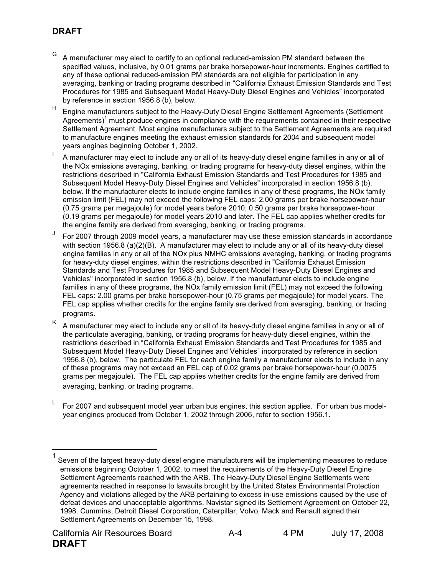- G A manufacturer may elect to certify to an optional reduced-emission PM standard between the specified values, inclusive, by 0.01 grams per brake horsepower-hour increments. Engines certified to any of these optional reduced-emission PM standards are not eligible for participation in any averaging, banking or trading programs described in "California Exhaust Emission Standards and Test Procedures for 1985 and Subsequent Model Heavy-Duty Diesel Engines and Vehicles" incorporated by reference in section 1956.8 (b), below.
- H Engine manufacturers subject to the Heavy-Duty Diesel Engine Settlement Agreements (Settlement Agreements) $1$  must produce engines in compliance with the requirements contained in their respective Settlement Agreement. Most engine manufacturers subject to the Settlement Agreements are required to manufacture engines meeting the exhaust emission standards for 2004 and subsequent model years engines beginning October 1, 2002.
- I A manufacturer may elect to include any or all of its heavy-duty diesel engine families in any or all of the NOx emissions averaging, banking, or trading programs for heavy-duty diesel engines, within the restrictions described in "California Exhaust Emission Standards and Test Procedures for 1985 and Subsequent Model Heavy-Duty Diesel Engines and Vehicles" incorporated in section 1956.8 (b), below. If the manufacturer elects to include engine families in any of these programs, the NOx family emission limit (FEL) may not exceed the following FEL caps: 2.00 grams per brake horsepower-hour (0.75 grams per megajoule) for model years before 2010; 0.50 grams per brake horsepower-hour (0.19 grams per megajoule) for model years 2010 and later. The FEL cap applies whether credits for the engine family are derived from averaging, banking, or trading programs.
- J For 2007 through 2009 model years, a manufacturer may use these emission standards in accordance with section 1956.8 (a)(2)(B). A manufacturer may elect to include any or all of its heavy-duty diesel engine families in any or all of the NOx plus NMHC emissions averaging, banking, or trading programs for heavy-duty diesel engines, within the restrictions described in "California Exhaust Emission Standards and Test Procedures for 1985 and Subsequent Model Heavy-Duty Diesel Engines and Vehicles" incorporated in section 1956.8 (b), below. If the manufacturer elects to include engine families in any of these programs, the NOx family emission limit (FEL) may not exceed the following FEL caps: 2.00 grams per brake horsepower-hour (0.75 grams per megajoule) for model years. The FEL cap applies whether credits for the engine family are derived from averaging, banking, or trading programs.
- K A manufacturer may elect to include any or all of its heavy-duty diesel engine families in any or all of the particulate averaging, banking, or trading programs for heavy-duty diesel engines, within the restrictions described in "California Exhaust Emission Standards and Test Procedures for 1985 and Subsequent Model Heavy-Duty Diesel Engines and Vehicles" incorporated by reference in section 1956.8 (b), below. The particulate FEL for each engine family a manufacturer elects to include in any of these programs may not exceed an FEL cap of 0.02 grams per brake horsepower-hour (0.0075 grams per megajoule). The FEL cap applies whether credits for the engine family are derived from averaging, banking, or trading programs.
- L For 2007 and subsequent model year urban bus engines, this section applies. For urban bus modelyear engines produced from October 1, 2002 through 2006, refer to section 1956.1.

1

<sup>1</sup> Seven of the largest heavy-duty diesel engine manufacturers will be implementing measures to reduce emissions beginning October 1, 2002, to meet the requirements of the Heavy-Duty Diesel Engine Settlement Agreements reached with the ARB. The Heavy-Duty Diesel Engine Settlements were agreements reached in response to lawsuits brought by the United States Environmental Protection Agency and violations alleged by the ARB pertaining to excess in-use emissions caused by the use of defeat devices and unacceptable algorithms. Navistar signed its Settlement Agreement on October 22, 1998. Cummins, Detroit Diesel Corporation, Caterpillar, Volvo, Mack and Renault signed their Settlement Agreements on December 15, 1998.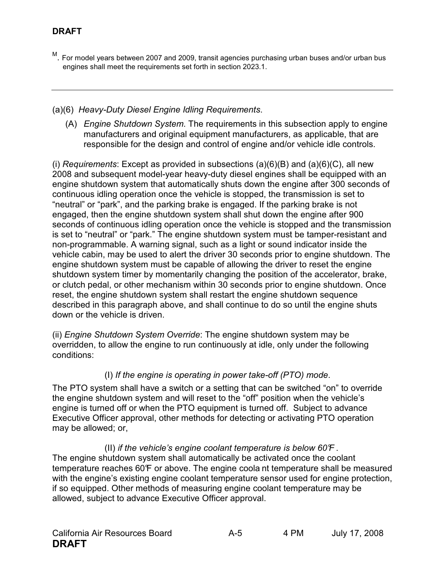<sup>M</sup>. For model years between 2007 and 2009, transit agencies purchasing urban buses and/or urban bus engines shall meet the requirements set forth in section 2023.1.

#### (a)(6) *Heavy-Duty Diesel Engine Idling Requirements*.

(A) *Engine Shutdown System*. The requirements in this subsection apply to engine manufacturers and original equipment manufacturers, as applicable, that are responsible for the design and control of engine and/or vehicle idle controls.

(i) *Requirements*: Except as provided in subsections (a)(6)(B) and (a)(6)(C), all new 2008 and subsequent model-year heavy-duty diesel engines shall be equipped with an engine shutdown system that automatically shuts down the engine after 300 seconds of continuous idling operation once the vehicle is stopped, the transmission is set to "neutral" or "park", and the parking brake is engaged. If the parking brake is not engaged, then the engine shutdown system shall shut down the engine after 900 seconds of continuous idling operation once the vehicle is stopped and the transmission is set to "neutral" or "park." The engine shutdown system must be tamper-resistant and non-programmable. A warning signal, such as a light or sound indicator inside the vehicle cabin, may be used to alert the driver 30 seconds prior to engine shutdown. The engine shutdown system must be capable of allowing the driver to reset the engine shutdown system timer by momentarily changing the position of the accelerator, brake, or clutch pedal, or other mechanism within 30 seconds prior to engine shutdown. Once reset, the engine shutdown system shall restart the engine shutdown sequence described in this paragraph above, and shall continue to do so until the engine shuts down or the vehicle is driven.

(ii) *Engine Shutdown System Override*: The engine shutdown system may be overridden, to allow the engine to run continuously at idle, only under the following conditions:

#### (I) *If the engine is operating in power take-off (PTO) mode*.

The PTO system shall have a switch or a setting that can be switched "on" to override the engine shutdown system and will reset to the "off" position when the vehicle's engine is turned off or when the PTO equipment is turned off. Subject to advance Executive Officer approval, other methods for detecting or activating PTO operation may be allowed; or,

 (II) *if the vehicle's engine coolant temperature is below 60°F* . The engine shutdown system shall automatically be activated once the coolant temperature reaches 60°F or above. The engine coola nt temperature shall be measured with the engine's existing engine coolant temperature sensor used for engine protection, if so equipped. Other methods of measuring engine coolant temperature may be allowed, subject to advance Executive Officer approval.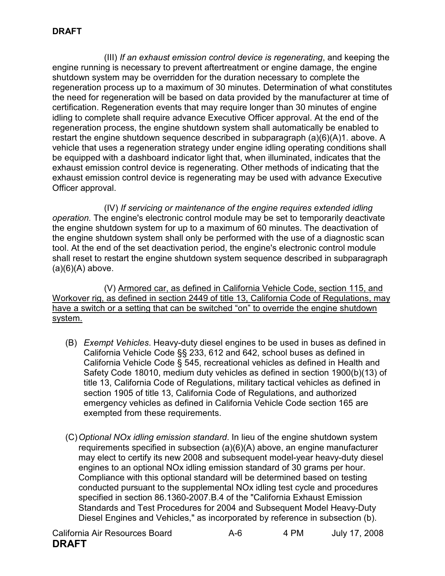(III) *If an exhaust emission control device is regenerating*, and keeping the engine running is necessary to prevent aftertreatment or engine damage, the engine shutdown system may be overridden for the duration necessary to complete the regeneration process up to a maximum of 30 minutes. Determination of what constitutes the need for regeneration will be based on data provided by the manufacturer at time of certification. Regeneration events that may require longer than 30 minutes of engine idling to complete shall require advance Executive Officer approval. At the end of the regeneration process, the engine shutdown system shall automatically be enabled to restart the engine shutdown sequence described in subparagraph (a)(6)(A)1. above. A vehicle that uses a regeneration strategy under engine idling operating conditions shall be equipped with a dashboard indicator light that, when illuminated, indicates that the exhaust emission control device is regenerating. Other methods of indicating that the exhaust emission control device is regenerating may be used with advance Executive Officer approval.

 (IV) *If servicing or maintenance of the engine requires extended idling operation.* The engine's electronic control module may be set to temporarily deactivate the engine shutdown system for up to a maximum of 60 minutes. The deactivation of the engine shutdown system shall only be performed with the use of a diagnostic scan tool. At the end of the set deactivation period, the engine's electronic control module shall reset to restart the engine shutdown system sequence described in subparagraph  $(a)(6)(A)$  above.

 (V) Armored car, as defined in California Vehicle Code, section 115, and Workover rig, as defined in section 2449 of title 13, California Code of Regulations, may have a switch or a setting that can be switched "on" to override the engine shutdown system.

- (B) *Exempt Vehicles*. Heavy-duty diesel engines to be used in buses as defined in California Vehicle Code §§ 233, 612 and 642, school buses as defined in California Vehicle Code § 545, recreational vehicles as defined in Health and Safety Code 18010, medium duty vehicles as defined in section 1900(b)(13) of title 13, California Code of Regulations, military tactical vehicles as defined in section 1905 of title 13, California Code of Regulations, and authorized emergency vehicles as defined in California Vehicle Code section 165 are exempted from these requirements.
- (C) *Optional NOx idling emission standard*. In lieu of the engine shutdown system requirements specified in subsection (a)(6)(A) above, an engine manufacturer may elect to certify its new 2008 and subsequent model-year heavy-duty diesel engines to an optional NOx idling emission standard of 30 grams per hour. Compliance with this optional standard will be determined based on testing conducted pursuant to the supplemental NOx idling test cycle and procedures specified in section 86.1360-2007.B.4 of the "California Exhaust Emission Standards and Test Procedures for 2004 and Subsequent Model Heavy-Duty Diesel Engines and Vehicles," as incorporated by reference in subsection (b).

California Air Resources Board A-6 4 PM July 17, 2008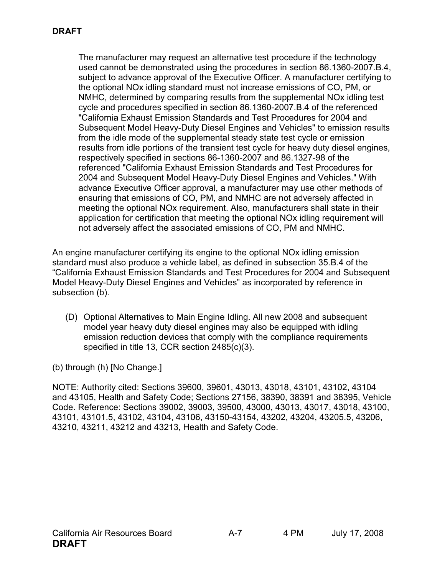The manufacturer may request an alternative test procedure if the technology used cannot be demonstrated using the procedures in section 86.1360-2007.B.4, subject to advance approval of the Executive Officer. A manufacturer certifying to the optional NOx idling standard must not increase emissions of CO, PM, or NMHC, determined by comparing results from the supplemental NOx idling test cycle and procedures specified in section 86.1360-2007.B.4 of the referenced "California Exhaust Emission Standards and Test Procedures for 2004 and Subsequent Model Heavy-Duty Diesel Engines and Vehicles" to emission results from the idle mode of the supplemental steady state test cycle or emission results from idle portions of the transient test cycle for heavy duty diesel engines, respectively specified in sections 86-1360-2007 and 86.1327-98 of the referenced "California Exhaust Emission Standards and Test Procedures for 2004 and Subsequent Model Heavy-Duty Diesel Engines and Vehicles." With advance Executive Officer approval, a manufacturer may use other methods of ensuring that emissions of CO, PM, and NMHC are not adversely affected in meeting the optional NOx requirement. Also, manufacturers shall state in their application for certification that meeting the optional NOx idling requirement will not adversely affect the associated emissions of CO, PM and NMHC.

An engine manufacturer certifying its engine to the optional NOx idling emission standard must also produce a vehicle label, as defined in subsection 35.B.4 of the "California Exhaust Emission Standards and Test Procedures for 2004 and Subsequent Model Heavy-Duty Diesel Engines and Vehicles" as incorporated by reference in subsection (b).

(D) Optional Alternatives to Main Engine Idling. All new 2008 and subsequent model year heavy duty diesel engines may also be equipped with idling emission reduction devices that comply with the compliance requirements specified in title 13, CCR section 2485(c)(3).

(b) through (h) [No Change.]

NOTE: Authority cited: Sections 39600, 39601, 43013, 43018, 43101, 43102, 43104 and 43105, Health and Safety Code; Sections 27156, 38390, 38391 and 38395, Vehicle Code. Reference: Sections 39002, 39003, 39500, 43000, 43013, 43017, 43018, 43100, 43101, 43101.5, 43102, 43104, 43106, 43150-43154, 43202, 43204, 43205.5, 43206, 43210, 43211, 43212 and 43213, Health and Safety Code.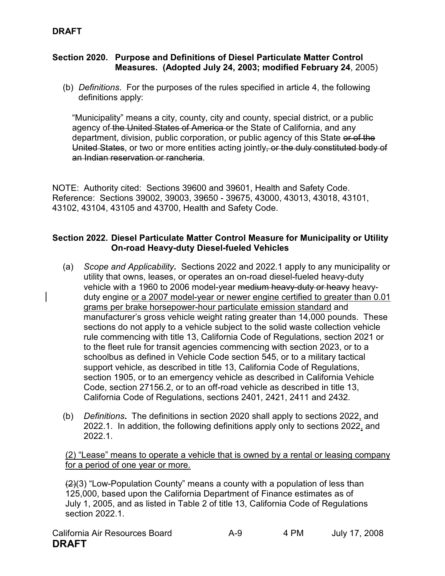#### **Section 2020. Purpose and Definitions of Diesel Particulate Matter Control Measures. (Adopted July 24, 2003; modified February 24**, 2005)

(b) *Definitions*. For the purposes of the rules specified in article 4, the following definitions apply:

"Municipality" means a city, county, city and county, special district, or a public agency of the United States of America or the State of California, and any department, division, public corporation, or public agency of this State or of the United States, or two or more entities acting jointly, or the duly constituted body of an Indian reservation or rancheria.

NOTE: Authority cited: Sections 39600 and 39601, Health and Safety Code. Reference: Sections 39002, 39003, 39650 - 39675, 43000, 43013, 43018, 43101, 43102, 43104, 43105 and 43700, Health and Safety Code.

#### **Section 2022. Diesel Particulate Matter Control Measure for Municipality or Utility On-road Heavy-duty Diesel-fueled Vehicles**

- (a) *Scope and Applicability***.** Sections 2022 and 2022.1 apply to any municipality or utility that owns, leases, or operates an on-road diesel-fueled heavy-duty vehicle with a 1960 to 2006 model-year medium heavy-duty or heavy heavyduty engine or a 2007 model-year or newer engine certified to greater than 0.01 grams per brake horsepower-hour particulate emission standard and manufacturer's gross vehicle weight rating greater than 14,000 pounds. These sections do not apply to a vehicle subject to the solid waste collection vehicle rule commencing with title 13, California Code of Regulations, section 2021 or to the fleet rule for transit agencies commencing with section 2023, or to a schoolbus as defined in Vehicle Code section 545, or to a military tactical support vehicle, as described in title 13, California Code of Regulations, section 1905, or to an emergency vehicle as described in California Vehicle Code, section 27156.2, or to an off-road vehicle as described in title 13, California Code of Regulations, sections 2401, 2421, 2411 and 2432.
- (b) *Definitions***.** The definitions in section 2020 shall apply to sections 2022, and 2022.1. In addition, the following definitions apply only to sections 2022, and 2022.1.

(2) "Lease" means to operate a vehicle that is owned by a rental or leasing company for a period of one year or more.

 $(2)(3)$  "Low-Population County" means a county with a population of less than 125,000, based upon the California Department of Finance estimates as of July 1, 2005, and as listed in Table 2 of title 13, California Code of Regulations section 2022.1.

California Air Resources Board A-9 4 PM July 17, 2008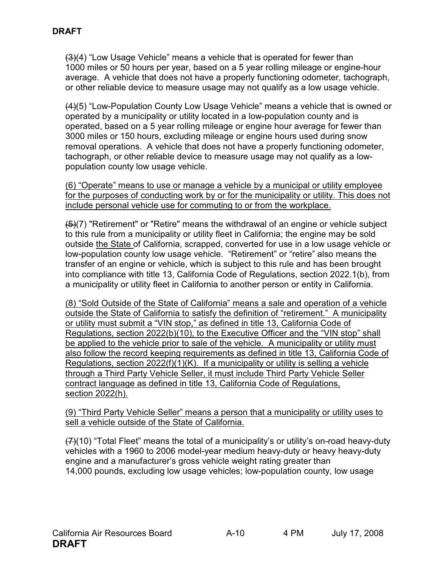$(3)(4)$  "Low Usage Vehicle" means a vehicle that is operated for fewer than 1000 miles or 50 hours per year, based on a 5 year rolling mileage or engine-hour average. A vehicle that does not have a properly functioning odometer, tachograph, or other reliable device to measure usage may not qualify as a low usage vehicle.

(4)(5) "Low-Population County Low Usage Vehicle" means a vehicle that is owned or operated by a municipality or utility located in a low-population county and is operated, based on a 5 year rolling mileage or engine hour average for fewer than 3000 miles or 150 hours, excluding mileage or engine hours used during snow removal operations. A vehicle that does not have a properly functioning odometer, tachograph, or other reliable device to measure usage may not qualify as a lowpopulation county low usage vehicle.

(6) "Operate" means to use or manage a vehicle by a municipal or utility employee for the purposes of conducting work by or for the municipality or utility. This does not include personal vehicle use for commuting to or from the workplace.

 $(5)(7)$  "Retirement" or "Retire" means the withdrawal of an engine or vehicle subject to this rule from a municipality or utility fleet in California; the engine may be sold outside the State of California, scrapped, converted for use in a low usage vehicle or low-population county low usage vehicle. "Retirement" or "retire" also means the transfer of an engine or vehicle, which is subject to this rule and has been brought into compliance with title 13, California Code of Regulations, section 2022.1(b), from a municipality or utility fleet in California to another person or entity in California.

(8) "Sold Outside of the State of California" means a sale and operation of a vehicle outside the State of California to satisfy the definition of "retirement." A municipality or utility must submit a "VIN stop," as defined in title 13, California Code of Regulations, section 2022(b)(10), to the Executive Officer and the "VIN stop" shall be applied to the vehicle prior to sale of the vehicle. A municipality or utility must also follow the record keeping requirements as defined in title 13, California Code of Regulations, section  $2022(f)(1)(K)$ . If a municipality or utility is selling a vehicle through a Third Party Vehicle Seller, it must include Third Party Vehicle Seller contract language as defined in title 13, California Code of Regulations, section 2022(h).

(9) "Third Party Vehicle Seller" means a person that a municipality or utility uses to sell a vehicle outside of the State of California.

(7)(10) "Total Fleet" means the total of a municipality's or utility's on-road heavy-duty vehicles with a 1960 to 2006 model-year medium heavy-duty or heavy heavy-duty engine and a manufacturer's gross vehicle weight rating greater than 14,000 pounds, excluding low usage vehicles; low-population county, low usage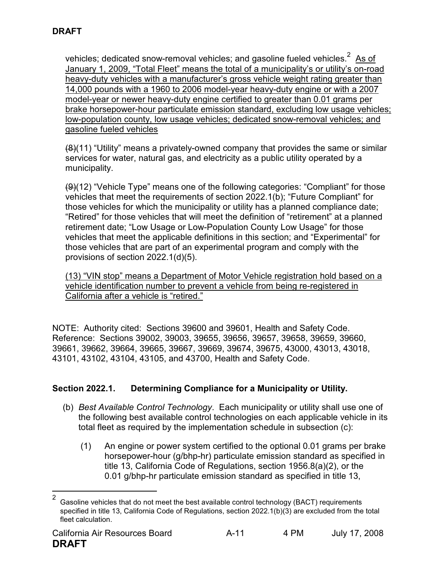vehicles; dedicated snow-removal vehicles; and gasoline fueled vehicles. $^2\,$  <u>As of</u> January 1, 2009, "Total Fleet" means the total of a municipality's or utility's on-road heavy-duty vehicles with a manufacturer's gross vehicle weight rating greater than 14,000 pounds with a 1960 to 2006 model-year heavy-duty engine or with a 2007 model-year or newer heavy-duty engine certified to greater than 0.01 grams per brake horsepower-hour particulate emission standard, excluding low usage vehicles; low-population county, low usage vehicles; dedicated snow-removal vehicles; and gasoline fueled vehicles

 $(8)(11)$  "Utility" means a privately-owned company that provides the same or similar services for water, natural gas, and electricity as a public utility operated by a municipality.

 $(9)(12)$  "Vehicle Type" means one of the following categories: "Compliant" for those vehicles that meet the requirements of section 2022.1(b); "Future Compliant" for those vehicles for which the municipality or utility has a planned compliance date; "Retired" for those vehicles that will meet the definition of "retirement" at a planned retirement date; "Low Usage or Low-Population County Low Usage" for those vehicles that meet the applicable definitions in this section; and "Experimental" for those vehicles that are part of an experimental program and comply with the provisions of section 2022.1(d)(5).

(13) "VIN stop" means a Department of Motor Vehicle registration hold based on a vehicle identification number to prevent a vehicle from being re-registered in California after a vehicle is "retired."

NOTE: Authority cited: Sections 39600 and 39601, Health and Safety Code. Reference: Sections 39002, 39003, 39655, 39656, 39657, 39658, 39659, 39660, 39661, 39662, 39664, 39665, 39667, 39669, 39674, 39675, 43000, 43013, 43018, 43101, 43102, 43104, 43105, and 43700, Health and Safety Code.

## **Section 2022.1. Determining Compliance for a Municipality or Utility.**

- (b) *Best Available Control Technology*. Each municipality or utility shall use one of the following best available control technologies on each applicable vehicle in its total fleet as required by the implementation schedule in subsection (c):
	- (1) An engine or power system certified to the optional 0.01 grams per brake horsepower-hour (g/bhp-hr) particulate emission standard as specified in title 13, California Code of Regulations, section 1956.8(a)(2), or the 0.01 g/bhp-hr particulate emission standard as specified in title 13,

 $\overline{a}$ 

<sup>2</sup> Gasoline vehicles that do not meet the best available control technology (BACT) requirements specified in title 13, California Code of Regulations, section 2022.1(b)(3) are excluded from the total fleet calculation.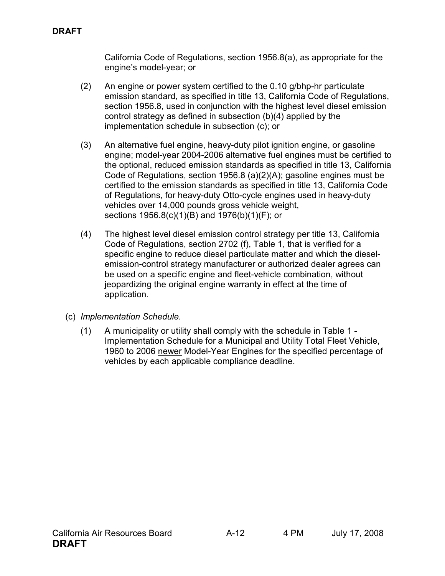California Code of Regulations, section 1956.8(a), as appropriate for the engine's model-year; or

- (2) An engine or power system certified to the 0.10 g/bhp-hr particulate emission standard, as specified in title 13, California Code of Regulations, section 1956.8, used in conjunction with the highest level diesel emission control strategy as defined in subsection (b)(4) applied by the implementation schedule in subsection (c); or
- (3) An alternative fuel engine, heavy-duty pilot ignition engine, or gasoline engine; model-year 2004-2006 alternative fuel engines must be certified to the optional, reduced emission standards as specified in title 13, California Code of Regulations, section 1956.8 (a)(2)(A); gasoline engines must be certified to the emission standards as specified in title 13, California Code of Regulations, for heavy-duty Otto-cycle engines used in heavy-duty vehicles over 14,000 pounds gross vehicle weight, sections 1956.8(c)(1)(B) and 1976(b)(1)(F); or
- (4) The highest level diesel emission control strategy per title 13, California Code of Regulations, section 2702 (f), Table 1, that is verified for a specific engine to reduce diesel particulate matter and which the dieselemission-control strategy manufacturer or authorized dealer agrees can be used on a specific engine and fleet-vehicle combination, without jeopardizing the original engine warranty in effect at the time of application.
- (c) *Implementation Schedule.*
	- (1) A municipality or utility shall comply with the schedule in Table 1 Implementation Schedule for a Municipal and Utility Total Fleet Vehicle, 1960 to 2006 newer Model-Year Engines for the specified percentage of vehicles by each applicable compliance deadline.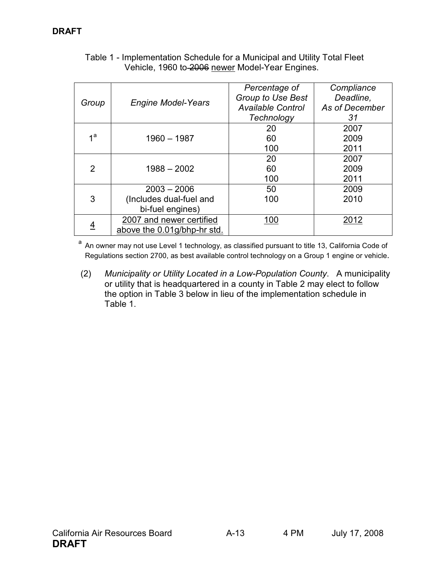|                |                             | Percentage of            | Compliance     |  |
|----------------|-----------------------------|--------------------------|----------------|--|
| Group          | <b>Engine Model-Years</b>   | Group to Use Best        | Deadline.      |  |
|                |                             | <b>Available Control</b> | As of December |  |
|                |                             | Technology               | 31             |  |
| 1 <sup>a</sup> |                             | 20                       | 2007           |  |
|                | $1960 - 1987$               | 60                       | 2009           |  |
|                |                             | 100                      | 2011           |  |
| $\overline{2}$ |                             | 20                       | 2007           |  |
|                | $1988 - 2002$               | 60                       | 2009           |  |
|                |                             | 100                      | 2011           |  |
| 3              | $2003 - 2006$               | 50                       | 2009           |  |
|                | (Includes dual-fuel and     | 100                      | 2010           |  |
|                | bi-fuel engines)            |                          |                |  |
| <u>4</u>       | 2007 and newer certified    | 100                      | 2012           |  |
|                | above the 0.01g/bhp-hr std. |                          |                |  |

#### Table 1 - Implementation Schedule for a Municipal and Utility Total Fleet Vehicle, 1960 to 2006 newer Model-Year Engines.

<sup>a</sup> An owner may not use Level 1 technology, as classified pursuant to title 13, California Code of Regulations section 2700, as best available control technology on a Group 1 engine or vehicle.

(2) *Municipality or Utility Located in a Low-Population County*. A municipality or utility that is headquartered in a county in Table 2 may elect to follow the option in Table 3 below in lieu of the implementation schedule in Table 1.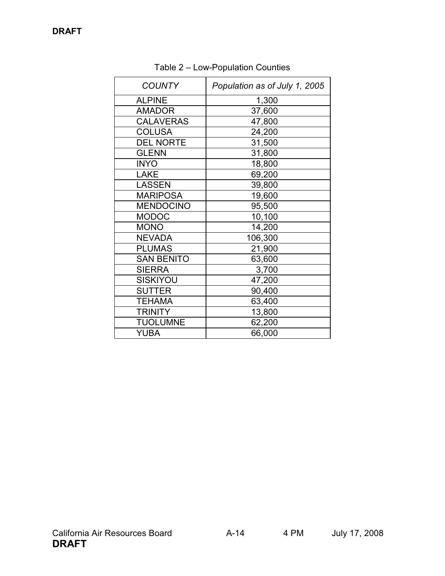| <b>COUNTY</b>     | Population as of July 1, 2005 |
|-------------------|-------------------------------|
| <b>ALPINE</b>     | 1,300                         |
| <b>AMADOR</b>     | 37,600                        |
| <b>CALAVERAS</b>  | 47,800                        |
| <b>COLUSA</b>     | 24,200                        |
| <b>DEL NORTE</b>  | 31,500                        |
| <b>GLENN</b>      | 31,800                        |
| <b>INYO</b>       | 18,800                        |
| <b>LAKE</b>       | 69,200                        |
| <b>LASSEN</b>     | 39,800                        |
| <b>MARIPOSA</b>   | 19,600                        |
| <b>MENDOCINO</b>  | 95,500                        |
| <b>MODOC</b>      | 10,100                        |
| <b>MONO</b>       | 14,200                        |
| <b>NEVADA</b>     | 106,300                       |
| <b>PLUMAS</b>     | 21,900                        |
| <b>SAN BENITO</b> | 63,600                        |
| <b>SIERRA</b>     | 3,700                         |
| <b>SISKIYOU</b>   | 47,200                        |
| <b>SUTTER</b>     | 90,400                        |
| <b>TEHAMA</b>     | 63,400                        |
| <b>TRINITY</b>    | 13,800                        |
| <b>TUOLUMNE</b>   | 62,200                        |
| YUBA              | 66,000                        |

Table 2 – Low-Population Counties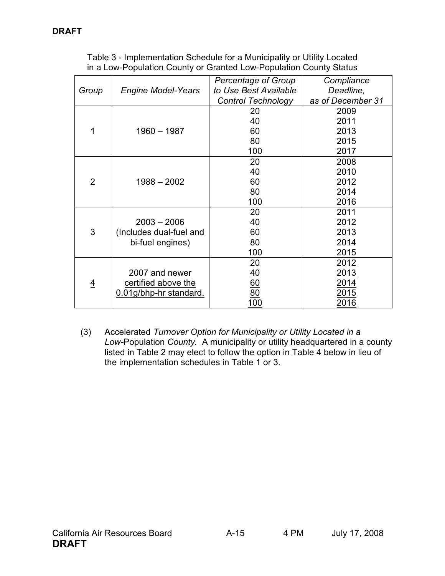|                |                           | Percentage of Group                              | Compliance        |  |
|----------------|---------------------------|--------------------------------------------------|-------------------|--|
| Group          | <b>Engine Model-Years</b> | to Use Best Available                            | Deadline,         |  |
|                |                           | <b>Control Technology</b>                        | as of December 31 |  |
|                |                           | 20                                               | 2009              |  |
|                | $1960 - 1987$             | 40                                               | 2011              |  |
| 1              |                           | 60                                               | 2013              |  |
|                |                           | 80                                               | 2015              |  |
|                |                           | 100                                              | 2017              |  |
|                |                           | 20                                               | 2008              |  |
|                | $1988 - 2002$             | 40                                               | 2010              |  |
| $\overline{2}$ |                           | 60                                               | 2012              |  |
|                |                           | 80                                               | 2014              |  |
|                |                           | 100                                              | 2016              |  |
|                | $2003 - 2006$             | 20                                               | 2011              |  |
|                |                           | 40                                               | 2012              |  |
| 3              | (Includes dual-fuel and   | 60                                               | 2013              |  |
|                | bi-fuel engines)          | 80                                               | 2014              |  |
|                |                           | 100                                              | 2015              |  |
| $\overline{4}$ |                           |                                                  | 2012              |  |
|                | 2007 and newer            |                                                  | 2013              |  |
|                | certified above the       | $\frac{20}{40}$ $\frac{60}{80}$ $\frac{80}{100}$ | 2014              |  |
|                | 0.01g/bhp-hr standard.    |                                                  | <u>2015</u>       |  |
|                |                           |                                                  | 2016              |  |

Table 3 - Implementation Schedule for a Municipality or Utility Located in a Low-Population County or Granted Low-Population County Status

(3) Accelerated *Turnover Option for Municipality or Utility Located in a Low-*Population *County.* A municipality or utility headquartered in a county listed in Table 2 may elect to follow the option in Table 4 below in lieu of the implementation schedules in Table 1 or 3.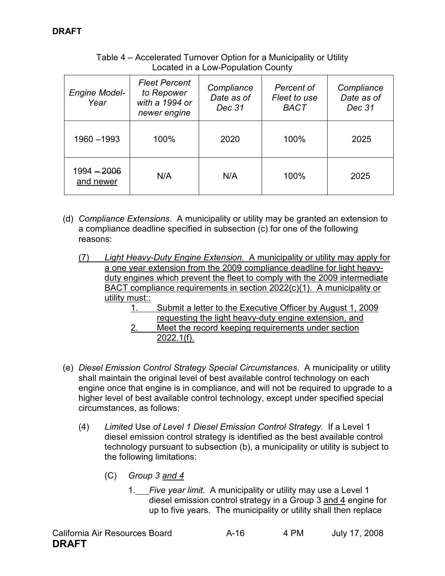| <b>Engine Model-</b><br>Year | <b>Fleet Percent</b><br>to Repower<br>with a 1994 or<br>newer engine | Compliance<br>Date as of<br>Dec 31 | Percent of<br>Fleet to use<br><b>BACT</b> | Compliance<br>Date as of<br>Dec 31 |
|------------------------------|----------------------------------------------------------------------|------------------------------------|-------------------------------------------|------------------------------------|
| 1960 - 1993                  | 100%                                                                 | 2020                               | 100%                                      | 2025                               |
| $1994 - 2006$<br>and newer   | N/A                                                                  | N/A                                | 100%                                      | 2025                               |

## Table 4 – Accelerated Turnover Option for a Municipality or Utility Located in a Low-Population County

- (d) *Compliance Extensions*. A municipality or utility may be granted an extension to a compliance deadline specified in subsection (c) for one of the following reasons:
	- (7) *Light Heavy-Duty Engine Extension.* A municipality or utility may apply for a one year extension from the 2009 compliance deadline for light heavyduty engines which prevent the fleet to comply with the 2009 intermediate BACT compliance requirements in section 2022(c)(1). A municipality or utility must::
		- 1. Submit a letter to the Executive Officer by August 1, 2009 requesting the light heavy-duty engine extension, and
		- 2. Meet the record keeping requirements under section 2022.1(f).
- (e) *Diesel Emission Control Strategy Special Circumstances*. A municipality or utility shall maintain the original level of best available control technology on each engine once that engine is in compliance, and will not be required to upgrade to a higher level of best available control technology, except under specified special circumstances, as follows:
	- (4) *Limited* Use *of Level 1 Diesel Emission Control Strategy.* If a Level 1 diesel emission control strategy is identified as the best available control technology pursuant to subsection (b), a municipality or utility is subject to the following limitations:
		- (C) *Group 3 and 4*
			- 1. *Five year limit.* A municipality or utility may use a Level 1 diesel emission control strategy in a Group 3 and 4 engine for up to five years. The municipality or utility shall then replace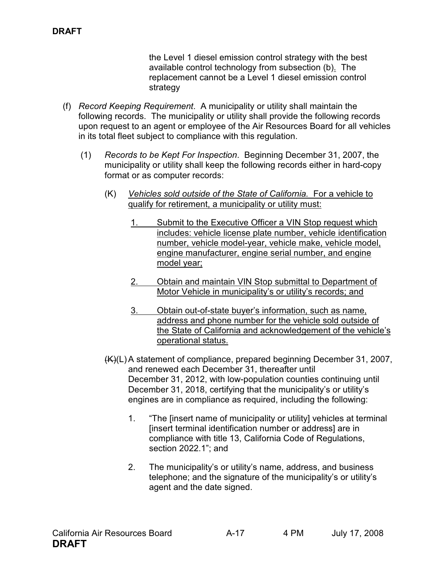the Level 1 diesel emission control strategy with the best available control technology from subsection (b). The replacement cannot be a Level 1 diesel emission control strategy

- (f) *Record Keeping Requirement*. A municipality or utility shall maintain the following records. The municipality or utility shall provide the following records upon request to an agent or employee of the Air Resources Board for all vehicles in its total fleet subject to compliance with this regulation.
	- (1) *Records to be Kept For Inspection*. Beginning December 31, 2007, the municipality or utility shall keep the following records either in hard-copy format or as computer records:
		- (K) *Vehicles sold outside of the State of California.* For a vehicle to qualify for retirement, a municipality or utility must:
			- 1. Submit to the Executive Officer a VIN Stop request which includes: vehicle license plate number, vehicle identification number, vehicle model-year, vehicle make, vehicle model, engine manufacturer, engine serial number, and engine model year;
			- 2. Obtain and maintain VIN Stop submittal to Department of Motor Vehicle in municipality's or utility's records; and
			- 3. Obtain out-of-state buyer's information, such as name, address and phone number for the vehicle sold outside of the State of California and acknowledgement of the vehicle's operational status.
		- (K)(L) A statement of compliance, prepared beginning December 31, 2007, and renewed each December 31, thereafter until December 31, 2012, with low-population counties continuing until December 31, 2018, certifying that the municipality's or utility's engines are in compliance as required, including the following:
			- 1. "The [insert name of municipality or utility] vehicles at terminal [insert terminal identification number or address] are in compliance with title 13, California Code of Regulations, section 2022.1"; and
			- 2. The municipality's or utility's name, address, and business telephone; and the signature of the municipality's or utility's agent and the date signed.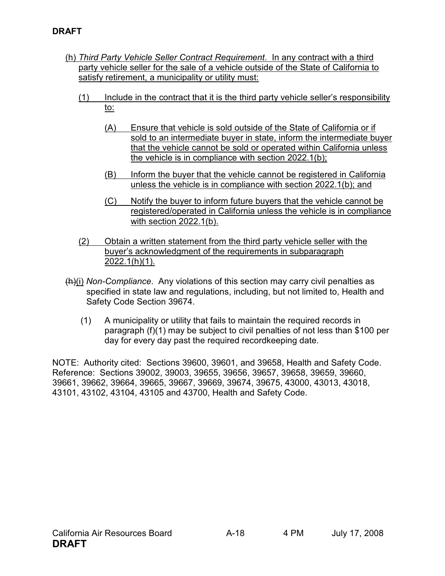- (h) *Third Party Vehicle Seller Contract Requirement*. In any contract with a third party vehicle seller for the sale of a vehicle outside of the State of California to satisfy retirement, a municipality or utility must:
	- (1) Include in the contract that it is the third party vehicle seller's responsibility to:
		- (A) Ensure that vehicle is sold outside of the State of California or if sold to an intermediate buyer in state, inform the intermediate buyer that the vehicle cannot be sold or operated within California unless the vehicle is in compliance with section 2022.1(b);
		- (B) Inform the buyer that the vehicle cannot be registered in California unless the vehicle is in compliance with section 2022.1(b); and
		- (C) Notify the buyer to inform future buyers that the vehicle cannot be registered/operated in California unless the vehicle is in compliance with section 2022.1(b).
	- (2) Obtain a written statement from the third party vehicle seller with the buyer's acknowledgment of the requirements in subparagraph 2022.1(h)(1).
- (h)(i) *Non-Compliance*. Any violations of this section may carry civil penalties as specified in state law and regulations, including, but not limited to, Health and Safety Code Section 39674.
	- (1) A municipality or utility that fails to maintain the required records in paragraph (f)(1) may be subject to civil penalties of not less than \$100 per day for every day past the required recordkeeping date.

NOTE: Authority cited: Sections 39600, 39601, and 39658, Health and Safety Code. Reference: Sections 39002, 39003, 39655, 39656, 39657, 39658, 39659, 39660, 39661, 39662, 39664, 39665, 39667, 39669, 39674, 39675, 43000, 43013, 43018, 43101, 43102, 43104, 43105 and 43700, Health and Safety Code.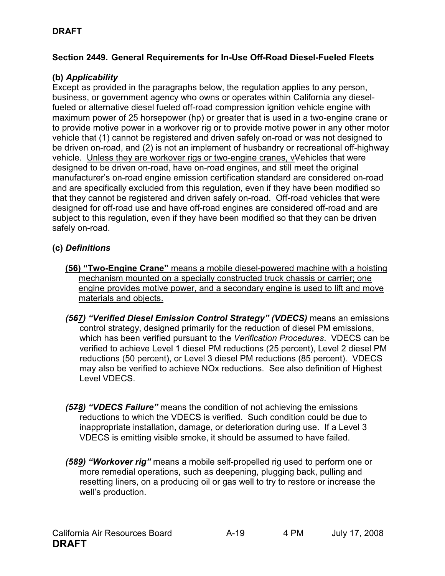### **Section 2449. General Requirements for In-Use Off-Road Diesel-Fueled Fleets**

## **(b)** *Applicability*

Except as provided in the paragraphs below, the regulation applies to any person, business, or government agency who owns or operates within California any dieselfueled or alternative diesel fueled off-road compression ignition vehicle engine with maximum power of 25 horsepower (hp) or greater that is used in a two-engine crane or to provide motive power in a workover rig or to provide motive power in any other motor vehicle that (1) cannot be registered and driven safely on-road or was not designed to be driven on-road, and (2) is not an implement of husbandry or recreational off-highway vehicle. Unless they are workover rigs or two-engine cranes, vVehicles that were designed to be driven on-road, have on-road engines, and still meet the original manufacturer's on-road engine emission certification standard are considered on-road and are specifically excluded from this regulation, even if they have been modified so that they cannot be registered and driven safely on-road. Off-road vehicles that were designed for off-road use and have off-road engines are considered off-road and are subject to this regulation, even if they have been modified so that they can be driven safely on-road.

## **(c)** *Definitions*

- **(56) "Two-Engine Crane"** means a mobile diesel-powered machine with a hoisting mechanism mounted on a specially constructed truck chassis or carrier; one engine provides motive power, and a secondary engine is used to lift and move materials and objects.
- *(567) "Verified Diesel Emission Control Strategy" (VDECS)* means an emissions control strategy, designed primarily for the reduction of diesel PM emissions, which has been verified pursuant to the *Verification Procedures*. VDECS can be verified to achieve Level 1 diesel PM reductions (25 percent), Level 2 diesel PM reductions (50 percent), or Level 3 diesel PM reductions (85 percent). VDECS may also be verified to achieve NOx reductions. See also definition of Highest Level VDECS.
- *(578) "VDECS Failure"* means the condition of not achieving the emissions reductions to which the VDECS is verified. Such condition could be due to inappropriate installation, damage, or deterioration during use. If a Level 3 VDECS is emitting visible smoke, it should be assumed to have failed.
- *(589) "Workover rig"* means a mobile self-propelled rig used to perform one or more remedial operations, such as deepening, plugging back, pulling and resetting liners, on a producing oil or gas well to try to restore or increase the well's production.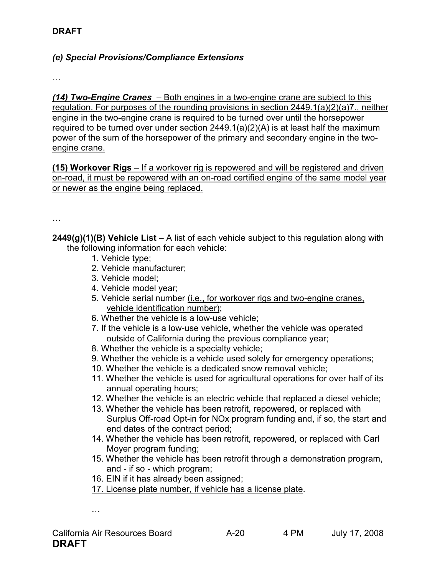## *(e) Special Provisions/Compliance Extensions*

…

*(14) Two-Engine Cranes* – Both engines in a two-engine crane are subject to this regulation. For purposes of the rounding provisions in section 2449.1(a)(2)(a)7., neither engine in the two-engine crane is required to be turned over until the horsepower required to be turned over under section 2449.1(a)(2)(A) is at least half the maximum power of the sum of the horsepower of the primary and secondary engine in the twoengine crane.

**(15) Workover Rigs** – If a workover rig is repowered and will be registered and driven on-road, it must be repowered with an on-road certified engine of the same model year or newer as the engine being replaced.

…

**2449(g)(1)(B) Vehicle List** – A list of each vehicle subject to this regulation along with the following information for each vehicle:

- 1. Vehicle type;
- 2. Vehicle manufacturer;
- 3. Vehicle model;
- 4. Vehicle model year;
- 5. Vehicle serial number (i.e., for workover rigs and two-engine cranes, vehicle identification number);
- 6. Whether the vehicle is a low-use vehicle;
- 7. If the vehicle is a low-use vehicle, whether the vehicle was operated outside of California during the previous compliance year;
- 8. Whether the vehicle is a specialty vehicle;
- 9. Whether the vehicle is a vehicle used solely for emergency operations;
- 10. Whether the vehicle is a dedicated snow removal vehicle;
- 11. Whether the vehicle is used for agricultural operations for over half of its annual operating hours;
- 12. Whether the vehicle is an electric vehicle that replaced a diesel vehicle;
- 13. Whether the vehicle has been retrofit, repowered, or replaced with Surplus Off-road Opt-in for NOx program funding and, if so, the start and end dates of the contract period;
- 14. Whether the vehicle has been retrofit, repowered, or replaced with Carl Moyer program funding;
- 15. Whether the vehicle has been retrofit through a demonstration program, and - if so - which program;
- 16. EIN if it has already been assigned;
- 17. License plate number, if vehicle has a license plate.

…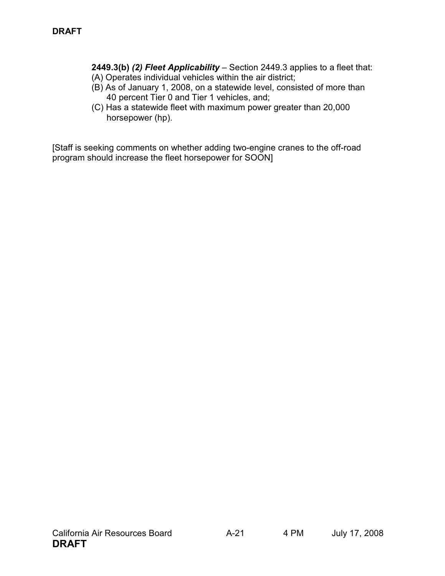- **2449.3(b)** *(2) Fleet Applicability* Section 2449.3 applies to a fleet that:
- (A) Operates individual vehicles within the air district;
- (B) As of January 1, 2008, on a statewide level, consisted of more than 40 percent Tier 0 and Tier 1 vehicles, and;
- (C) Has a statewide fleet with maximum power greater than 20,000 horsepower (hp).

[Staff is seeking comments on whether adding two-engine cranes to the off-road program should increase the fleet horsepower for SOON]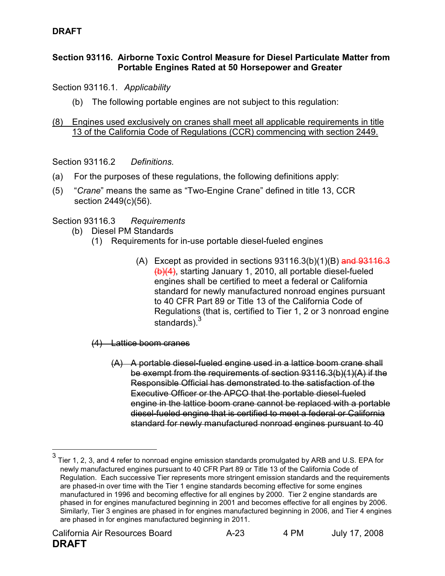#### **Section 93116. Airborne Toxic Control Measure for Diesel Particulate Matter from Portable Engines Rated at 50 Horsepower and Greater**

Section 93116.1. *Applicability*

(b) The following portable engines are not subject to this regulation:

#### (8) Engines used exclusively on cranes shall meet all applicable requirements in title 13 of the California Code of Regulations (CCR) commencing with section 2449.

Section 93116.2 *Definitions.* 

- (a) For the purposes of these regulations, the following definitions apply:
- (5) "*Crane*" means the same as "Two-Engine Crane" defined in title 13, CCR section 2449(c)(56).

Section 93116.3 *Requirements*

- (b) Diesel PM Standards
	- (1) Requirements for in-use portable diesel-fueled engines
		- (A) Except as provided in sections  $93116.3(b)(1)(B)$  and  $93116.3(b)(A)$  $(b)(4)$ , starting January 1, 2010, all portable diesel-fueled engines shall be certified to meet a federal or California standard for newly manufactured nonroad engines pursuant to 40 CFR Part 89 or Title 13 of the California Code of Regulations (that is, certified to Tier 1, 2 or 3 nonroad engine standards).<sup>3</sup>
	- (4) Lattice boom cranes
		- (A) A portable diesel-fueled engine used in a lattice boom crane shall be exempt from the requirements of section 93116.3(b)(1)(A) if the Responsible Official has demonstrated to the satisfaction of the Executive Officer or the APCO that the portable diesel-fueled engine in the lattice boom crane cannot be replaced with a portable diesel-fueled engine that is certified to meet a federal or California standard for newly manufactured nonroad engines pursuant to 40

1

<sup>3</sup> Tier 1, 2, 3, and 4 refer to nonroad engine emission standards promulgated by ARB and U.S. EPA for newly manufactured engines pursuant to 40 CFR Part 89 or Title 13 of the California Code of Regulation. Each successive Tier represents more stringent emission standards and the requirements are phased-in over time with the Tier 1 engine standards becoming effective for some engines manufactured in 1996 and becoming effective for all engines by 2000. Tier 2 engine standards are phased in for engines manufactured beginning in 2001 and becomes effective for all engines by 2006. Similarly, Tier 3 engines are phased in for engines manufactured beginning in 2006, and Tier 4 engines are phased in for engines manufactured beginning in 2011.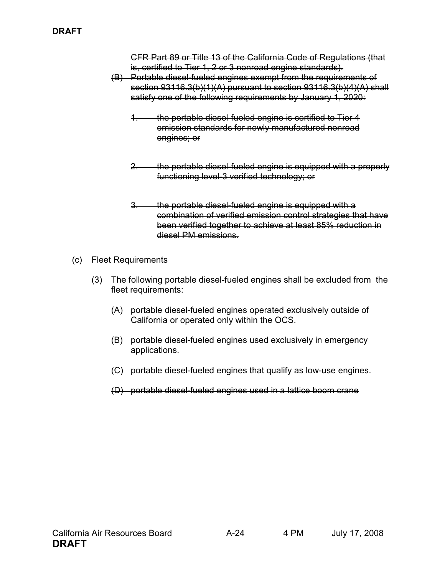CFR Part 89 or Title 13 of the California Code of Regulations (that is, certified to Tier 1, 2 or 3 nonroad engine standards).

- (B) Portable diesel-fueled engines exempt from the requirements of section 93116.3(b)(1)(A) pursuant to section 93116.3(b)(4)(A) shall satisfy one of the following requirements by January 1, 2020:
	- 1. the portable diesel-fueled engine is certified to Tier 4 emission standards for newly manufactured nonroad engines; or
	- 2. the portable diesel-fueled engine is equipped with a properly functioning level-3 verified technology; or
	- 3. the portable diesel-fueled engine is equipped with a combination of verified emission control strategies that have been verified together to achieve at least 85% reduction in diesel PM emissions.
- (c) Fleet Requirements
	- (3) The following portable diesel-fueled engines shall be excluded from the fleet requirements:
		- (A) portable diesel-fueled engines operated exclusively outside of California or operated only within the OCS.
		- (B) portable diesel-fueled engines used exclusively in emergency applications.
		- (C) portable diesel-fueled engines that qualify as low-use engines.
		- (D) portable diesel-fueled engines used in a lattice boom crane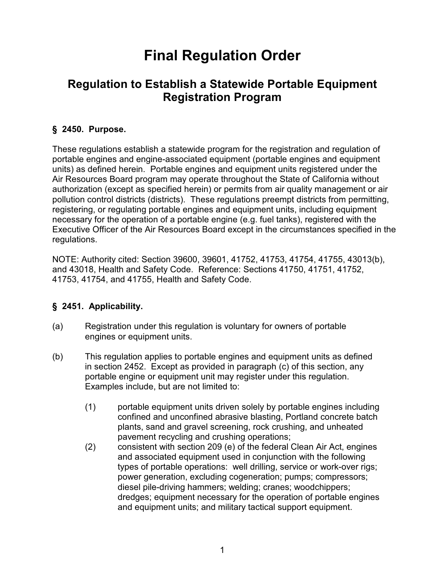# **Final Regulation Order**

## **Regulation to Establish a Statewide Portable Equipment Registration Program**

#### **§ 2450. Purpose.**

These regulations establish a statewide program for the registration and regulation of portable engines and engine-associated equipment (portable engines and equipment units) as defined herein. Portable engines and equipment units registered under the Air Resources Board program may operate throughout the State of California without authorization (except as specified herein) or permits from air quality management or air pollution control districts (districts). These regulations preempt districts from permitting, registering, or regulating portable engines and equipment units, including equipment necessary for the operation of a portable engine (e.g. fuel tanks), registered with the Executive Officer of the Air Resources Board except in the circumstances specified in the regulations.

NOTE: Authority cited: Section 39600, 39601, 41752, 41753, 41754, 41755, 43013(b), and 43018, Health and Safety Code. Reference: Sections 41750, 41751, 41752, 41753, 41754, and 41755, Health and Safety Code.

#### **§ 2451. Applicability.**

- (a) Registration under this regulation is voluntary for owners of portable engines or equipment units.
- (b) This regulation applies to portable engines and equipment units as defined in section 2452. Except as provided in paragraph (c) of this section, any portable engine or equipment unit may register under this regulation. Examples include, but are not limited to:
	- (1) portable equipment units driven solely by portable engines including confined and unconfined abrasive blasting, Portland concrete batch plants, sand and gravel screening, rock crushing, and unheated pavement recycling and crushing operations;
	- (2) consistent with section 209 (e) of the federal Clean Air Act, engines and associated equipment used in conjunction with the following types of portable operations: well drilling, service or work-over rigs; power generation, excluding cogeneration; pumps; compressors; diesel pile-driving hammers; welding; cranes; woodchippers; dredges; equipment necessary for the operation of portable engines and equipment units; and military tactical support equipment.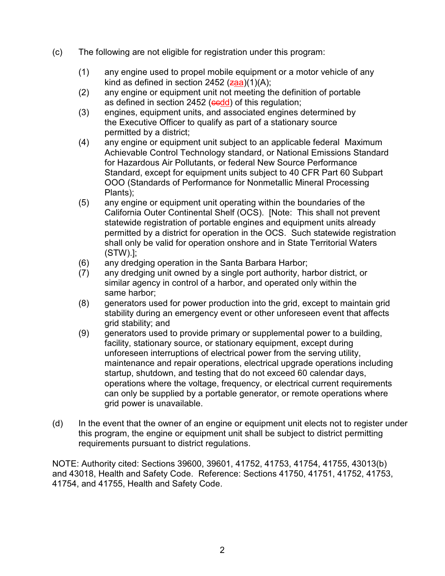- (c) The following are not eligible for registration under this program:
	- (1) any engine used to propel mobile equipment or a motor vehicle of any kind as defined in section 2452  $(zaa)(1)(A)$ ;
	- (2) any engine or equipment unit not meeting the definition of portable as defined in section 2452 ( $\epsilon$  $\epsilon$ dd) of this regulation;
	- (3) engines, equipment units, and associated engines determined by the Executive Officer to qualify as part of a stationary source permitted by a district;
	- (4) any engine or equipment unit subject to an applicable federal Maximum Achievable Control Technology standard, or National Emissions Standard for Hazardous Air Pollutants, or federal New Source Performance Standard, except for equipment units subject to 40 CFR Part 60 Subpart OOO (Standards of Performance for Nonmetallic Mineral Processing Plants);
	- (5) any engine or equipment unit operating within the boundaries of the California Outer Continental Shelf (OCS). [Note: This shall not prevent statewide registration of portable engines and equipment units already permitted by a district for operation in the OCS. Such statewide registration shall only be valid for operation onshore and in State Territorial Waters (STW).];
	- (6) any dredging operation in the Santa Barbara Harbor;
	- (7) any dredging unit owned by a single port authority, harbor district, or similar agency in control of a harbor, and operated only within the same harbor;
	- (8) generators used for power production into the grid, except to maintain grid stability during an emergency event or other unforeseen event that affects grid stability; and
	- (9) generators used to provide primary or supplemental power to a building, facility, stationary source, or stationary equipment, except during unforeseen interruptions of electrical power from the serving utility, maintenance and repair operations, electrical upgrade operations including startup, shutdown, and testing that do not exceed 60 calendar days, operations where the voltage, frequency, or electrical current requirements can only be supplied by a portable generator, or remote operations where grid power is unavailable.
- (d) In the event that the owner of an engine or equipment unit elects not to register under this program, the engine or equipment unit shall be subject to district permitting requirements pursuant to district regulations.

NOTE: Authority cited: Sections 39600, 39601, 41752, 41753, 41754, 41755, 43013(b) and 43018, Health and Safety Code. Reference: Sections 41750, 41751, 41752, 41753, 41754, and 41755, Health and Safety Code.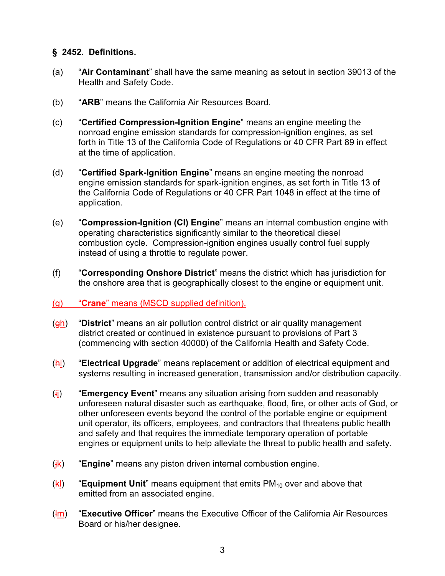#### **§ 2452. Definitions.**

- (a) "**Air Contaminant**" shall have the same meaning as setout in section 39013 of the Health and Safety Code.
- (b) "**ARB**" means the California Air Resources Board.
- (c) "**Certified Compression-Ignition Engine**" means an engine meeting the nonroad engine emission standards for compression-ignition engines, as set forth in Title 13 of the California Code of Regulations or 40 CFR Part 89 in effect at the time of application.
- (d) "**Certified Spark-Ignition Engine**" means an engine meeting the nonroad engine emission standards for spark-ignition engines, as set forth in Title 13 of the California Code of Regulations or 40 CFR Part 1048 in effect at the time of application.
- (e) "**Compression-Ignition (CI) Engine**" means an internal combustion engine with operating characteristics significantly similar to the theoretical diesel combustion cycle. Compression-ignition engines usually control fuel supply instead of using a throttle to regulate power.
- (f) "**Corresponding Onshore District**" means the district which has jurisdiction for the onshore area that is geographically closest to the engine or equipment unit.

#### (g) "**Crane**" means (MSCD supplied definition).

- (gh) "**District**" means an air pollution control district or air quality management district created or continued in existence pursuant to provisions of Part 3 (commencing with section 40000) of the California Health and Safety Code.
- (hi) "**Electrical Upgrade**" means replacement or addition of electrical equipment and systems resulting in increased generation, transmission and/or distribution capacity.
- (ij) "**Emergency Event**" means any situation arising from sudden and reasonably unforeseen natural disaster such as earthquake, flood, fire, or other acts of God, or other unforeseen events beyond the control of the portable engine or equipment unit operator, its officers, employees, and contractors that threatens public health and safety and that requires the immediate temporary operation of portable engines or equipment units to help alleviate the threat to public health and safety.
- (ik) **"Engine**" means any piston driven internal combustion engine.
- (k) **"Equipment Unit**" means equipment that emits PM<sub>10</sub> over and above that emitted from an associated engine.
- (Im) **"Executive Officer**" means the Executive Officer of the California Air Resources Board or his/her designee.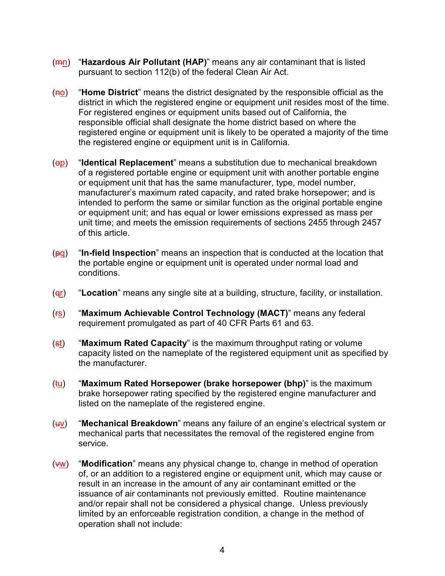- (**mn)** "**Hazardous Air Pollutant (HAP)**" means any air contaminant that is listed pursuant to section 112(b) of the federal Clean Air Act.
- (HO) "**Home District**" means the district designated by the responsible official as the district in which the registered engine or equipment unit resides most of the time. For registered engines or equipment units based out of California, the responsible official shall designate the home district based on where the registered engine or equipment unit is likely to be operated a majority of the time the registered engine or equipment unit is in California.
- (op) "**Identical Replacement**" means a substitution due to mechanical breakdown of a registered portable engine or equipment unit with another portable engine or equipment unit that has the same manufacturer, type, model number, manufacturer's maximum rated capacity, and rated brake horsepower; and is intended to perform the same or similar function as the original portable engine or equipment unit; and has equal or lower emissions expressed as mass per unit time; and meets the emission requirements of sections 2455 through 2457 of this article.
- (pq) "**In-field Inspection**" means an inspection that is conducted at the location that the portable engine or equipment unit is operated under normal load and conditions.
- (qr) "**Location**" means any single site at a building, structure, facility, or installation.
- (rs) "**Maximum Achievable Control Technology (MACT)**" means any federal requirement promulgated as part of 40 CFR Parts 61 and 63.
- (st) "**Maximum Rated Capacity**" is the maximum throughput rating or volume capacity listed on the nameplate of the registered equipment unit as specified by the manufacturer.
- (tu) "**Maximum Rated Horsepower (brake horsepower (bhp)**" is the maximum brake horsepower rating specified by the registered engine manufacturer and listed on the nameplate of the registered engine.
- (Hy) **"Mechanical Breakdown**" means any failure of an engine's electrical system or mechanical parts that necessitates the removal of the registered engine from service.
- (vw) "**Modification**" means any physical change to, change in method of operation of, or an addition to a registered engine or equipment unit, which may cause or result in an increase in the amount of any air contaminant emitted or the issuance of air contaminants not previously emitted. Routine maintenance and/or repair shall not be considered a physical change. Unless previously limited by an enforceable registration condition, a change in the method of operation shall not include: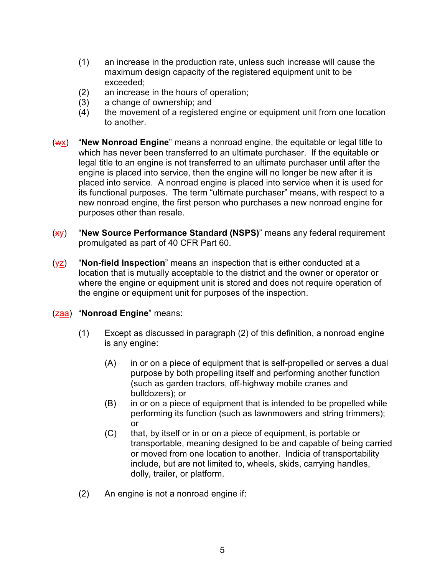- (1) an increase in the production rate, unless such increase will cause the maximum design capacity of the registered equipment unit to be exceeded;
- (2) an increase in the hours of operation;
- (3) a change of ownership; and
- (4) the movement of a registered engine or equipment unit from one location to another.
- (wx) "**New Nonroad Engine**" means a nonroad engine, the equitable or legal title to which has never been transferred to an ultimate purchaser. If the equitable or legal title to an engine is not transferred to an ultimate purchaser until after the engine is placed into service, then the engine will no longer be new after it is placed into service. A nonroad engine is placed into service when it is used for its functional purposes. The term "ultimate purchaser" means, with respect to a new nonroad engine, the first person who purchases a new nonroad engine for purposes other than resale.
- (xy) "**New Source Performance Standard (NSPS)**" means any federal requirement promulgated as part of 40 CFR Part 60.
- (yz) "**Non-field Inspection**" means an inspection that is either conducted at a location that is mutually acceptable to the district and the owner or operator or where the engine or equipment unit is stored and does not require operation of the engine or equipment unit for purposes of the inspection.

#### (zaa) "**Nonroad Engine**" means:

- (1) Except as discussed in paragraph (2) of this definition, a nonroad engine is any engine:
	- (A) in or on a piece of equipment that is self-propelled or serves a dual purpose by both propelling itself and performing another function (such as garden tractors, off-highway mobile cranes and bulldozers); or
	- (B) in or on a piece of equipment that is intended to be propelled while performing its function (such as lawnmowers and string trimmers); or
	- (C) that, by itself or in or on a piece of equipment, is portable or transportable, meaning designed to be and capable of being carried or moved from one location to another. Indicia of transportability include, but are not limited to, wheels, skids, carrying handles, dolly, trailer, or platform.
- (2) An engine is not a nonroad engine if: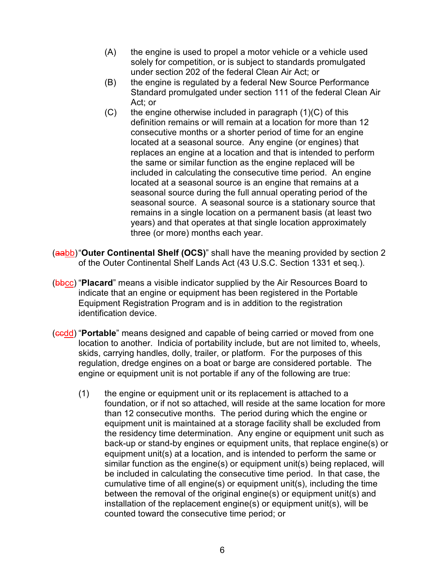- (A) the engine is used to propel a motor vehicle or a vehicle used solely for competition, or is subject to standards promulgated under section 202 of the federal Clean Air Act; or
- (B) the engine is regulated by a federal New Source Performance Standard promulgated under section 111 of the federal Clean Air Act; or
- $(C)$  the engine otherwise included in paragraph  $(1)(C)$  of this definition remains or will remain at a location for more than 12 consecutive months or a shorter period of time for an engine located at a seasonal source. Any engine (or engines) that replaces an engine at a location and that is intended to perform the same or similar function as the engine replaced will be included in calculating the consecutive time period. An engine located at a seasonal source is an engine that remains at a seasonal source during the full annual operating period of the seasonal source. A seasonal source is a stationary source that remains in a single location on a permanent basis (at least two years) and that operates at that single location approximately three (or more) months each year.
- (aabb) "**Outer Continental Shelf (OCS)**" shall have the meaning provided by section 2 of the Outer Continental Shelf Lands Act (43 U.S.C. Section 1331 et seq.).
- (bbcc) "**Placard**" means a visible indicator supplied by the Air Resources Board to indicate that an engine or equipment has been registered in the Portable Equipment Registration Program and is in addition to the registration identification device.
- (ccdd) "**Portable**" means designed and capable of being carried or moved from one location to another. Indicia of portability include, but are not limited to, wheels, skids, carrying handles, dolly, trailer, or platform. For the purposes of this regulation, dredge engines on a boat or barge are considered portable. The engine or equipment unit is not portable if any of the following are true:
	- (1) the engine or equipment unit or its replacement is attached to a foundation, or if not so attached, will reside at the same location for more than 12 consecutive months. The period during which the engine or equipment unit is maintained at a storage facility shall be excluded from the residency time determination. Any engine or equipment unit such as back-up or stand-by engines or equipment units, that replace engine(s) or equipment unit(s) at a location, and is intended to perform the same or similar function as the engine(s) or equipment unit(s) being replaced, will be included in calculating the consecutive time period. In that case, the cumulative time of all engine(s) or equipment unit(s), including the time between the removal of the original engine(s) or equipment unit(s) and installation of the replacement engine(s) or equipment unit(s), will be counted toward the consecutive time period; or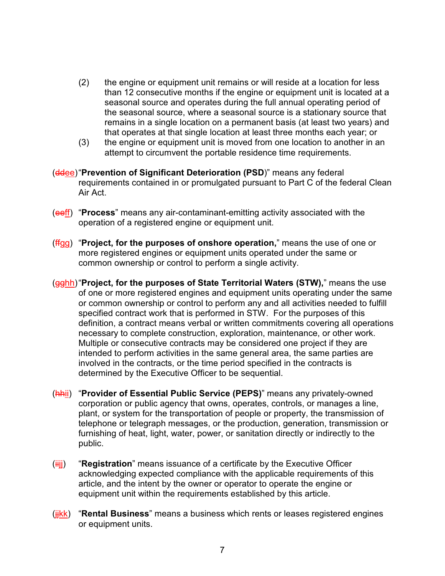- (2) the engine or equipment unit remains or will reside at a location for less than 12 consecutive months if the engine or equipment unit is located at a seasonal source and operates during the full annual operating period of the seasonal source, where a seasonal source is a stationary source that remains in a single location on a permanent basis (at least two years) and that operates at that single location at least three months each year; or
- (3) the engine or equipment unit is moved from one location to another in an attempt to circumvent the portable residence time requirements.
- (ddee) "**Prevention of Significant Deterioration (PSD**)" means any federal requirements contained in or promulgated pursuant to Part C of the federal Clean Air Act.
- (eeff) "**Process**" means any air-contaminant-emitting activity associated with the operation of a registered engine or equipment unit.
- (ffgg) "**Project, for the purposes of onshore operation,**" means the use of one or more registered engines or equipment units operated under the same or common ownership or control to perform a single activity.
- (gghh) "**Project, for the purposes of State Territorial Waters (STW),**" means the use of one or more registered engines and equipment units operating under the same or common ownership or control to perform any and all activities needed to fulfill specified contract work that is performed in STW. For the purposes of this definition, a contract means verbal or written commitments covering all operations necessary to complete construction, exploration, maintenance, or other work. Multiple or consecutive contracts may be considered one project if they are intended to perform activities in the same general area, the same parties are involved in the contracts, or the time period specified in the contracts is determined by the Executive Officer to be sequential.
- (hhii) "**Provider of Essential Public Service (PEPS)**" means any privately-owned corporation or public agency that owns, operates, controls, or manages a line, plant, or system for the transportation of people or property, the transmission of telephone or telegraph messages, or the production, generation, transmission or furnishing of heat, light, water, power, or sanitation directly or indirectly to the public.
- (iiiii) "**Registration**" means issuance of a certificate by the Executive Officer acknowledging expected compliance with the applicable requirements of this article, and the intent by the owner or operator to operate the engine or equipment unit within the requirements established by this article.
- (**ithus**) "**Rental Business**" means a business which rents or leases registered engines or equipment units.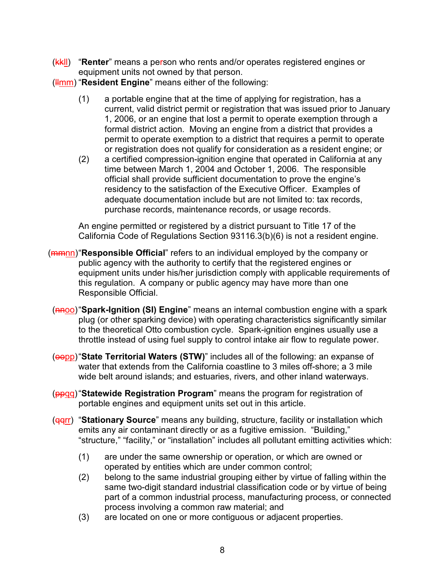(kkll) "**Renter**" means a person who rents and/or operates registered engines or equipment units not owned by that person.

(*Hmm*) "Resident Engine" means either of the following:

- (1) a portable engine that at the time of applying for registration, has a current, valid district permit or registration that was issued prior to January 1, 2006, or an engine that lost a permit to operate exemption through a formal district action. Moving an engine from a district that provides a permit to operate exemption to a district that requires a permit to operate or registration does not qualify for consideration as a resident engine; or
- (2) a certified compression-ignition engine that operated in California at any time between March 1, 2004 and October 1, 2006. The responsible official shall provide sufficient documentation to prove the engine's residency to the satisfaction of the Executive Officer. Examples of adequate documentation include but are not limited to: tax records, purchase records, maintenance records, or usage records.

An engine permitted or registered by a district pursuant to Title 17 of the California Code of Regulations Section 93116.3(b)(6) is not a resident engine.

- (mmnn) "**Responsible Official**" refers to an individual employed by the company or public agency with the authority to certify that the registered engines or equipment units under his/her jurisdiction comply with applicable requirements of this regulation.A company or public agency may have more than one Responsible Official.
- (nnoo) "**Spark-Ignition (SI) Engine**" means an internal combustion engine with a spark plug (or other sparking device) with operating characteristics significantly similar to the theoretical Otto combustion cycle. Spark-ignition engines usually use a throttle instead of using fuel supply to control intake air flow to regulate power.
- (oopp) "**State Territorial Waters (STW)**" includes all of the following: an expanse of water that extends from the California coastline to 3 miles off-shore; a 3 mile wide belt around islands; and estuaries, rivers, and other inland waterways.
- (ppqq) "**Statewide Registration Program**" means the program for registration of portable engines and equipment units set out in this article.
- (qqrr) "**Stationary Source**" means any building, structure, facility or installation which emits any air contaminant directly or as a fugitive emission. "Building," "structure," "facility," or "installation" includes all pollutant emitting activities which:
	- (1) are under the same ownership or operation, or which are owned or operated by entities which are under common control;
	- (2) belong to the same industrial grouping either by virtue of falling within the same two-digit standard industrial classification code or by virtue of being part of a common industrial process, manufacturing process, or connected process involving a common raw material; and
	- (3) are located on one or more contiguous or adjacent properties.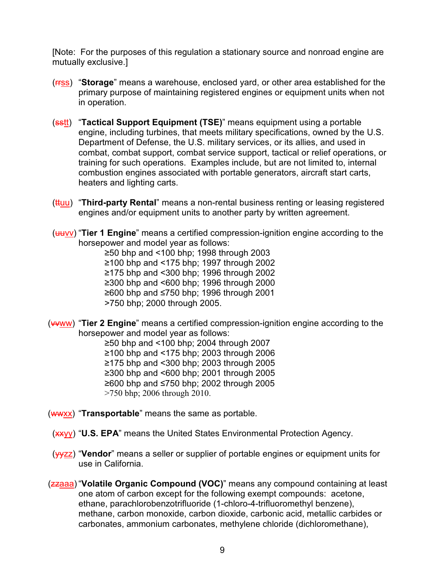[Note: For the purposes of this regulation a stationary source and nonroad engine are mutually exclusive.]

- (rrss) "**Storage**" means a warehouse, enclosed yard, or other area established for the primary purpose of maintaining registered engines or equipment units when not in operation.
- (sstt) "**Tactical Support Equipment (TSE)**" means equipment using a portable engine, including turbines, that meets military specifications, owned by the U.S. Department of Defense, the U.S. military services, or its allies, and used in combat, combat support, combat service support, tactical or relief operations, or training for such operations. Examples include, but are not limited to, internal combustion engines associated with portable generators, aircraft start carts, heaters and lighting carts.
- (**the Suppen Third-party Rental**" means a non-rental business renting or leasing registered engines and/or equipment units to another party by written agreement.
- (uuvv) "**Tier 1 Engine**" means a certified compression-ignition engine according to the horsepower and model year as follows:

50 bhp and <100 bhp; 1998 through 2003 100 bhp and <175 bhp; 1997 through 2002 175 bhp and <300 bhp; 1996 through 2002 300 bhp and <600 bhp; 1996 through 2000 ≥600 bhp and ≤750 bhp; 1996 through 2001 >750 bhp; 2000 through 2005.

(vvww) "**Tier 2 Engine**" means a certified compression-ignition engine according to the horsepower and model year as follows:

50 bhp and <100 bhp; 2004 through 2007 100 bhp and <175 bhp; 2003 through 2006 175 bhp and <300 bhp; 2003 through 2005 300 bhp and <600 bhp; 2001 through 2005 ≥600 bhp and ≤750 bhp; 2002 through 2005 >750 bhp; 2006 through 2010.

- (wwxx) "**Transportable**" means the same as portable.
- (xxyy) "**U.S. EPA**" means the United States Environmental Protection Agency.
- (yyzz) "**Vendor**" means a seller or supplier of portable engines or equipment units for use in California.
- (zzaaa) "**Volatile Organic Compound (VOC)**" means any compound containing at least one atom of carbon except for the following exempt compounds: acetone, ethane, parachlorobenzotrifluoride (1-chloro-4-trifluoromethyl benzene), methane, carbon monoxide, carbon dioxide, carbonic acid, metallic carbides or carbonates, ammonium carbonates, methylene chloride (dichloromethane),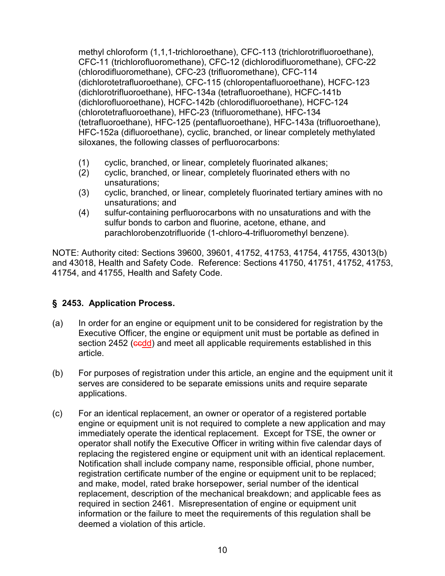methyl chloroform (1,1,1-trichloroethane), CFC-113 (trichlorotrifluoroethane), CFC-11 (trichlorofluoromethane), CFC-12 (dichlorodifluoromethane), CFC-22 (chlorodifluoromethane), CFC-23 (trifluoromethane), CFC-114 (dichlorotetrafluoroethane), CFC-115 (chloropentafluoroethane), HCFC-123 (dichlorotrifluoroethane), HFC-134a (tetrafluoroethane), HCFC-141b (dichlorofluoroethane), HCFC-142b (chlorodifluoroethane), HCFC-124 (chlorotetrafluoroethane), HFC-23 (trifluoromethane), HFC-134 (tetrafluoroethane), HFC-125 (pentafluoroethane), HFC-143a (trifluoroethane), HFC-152a (difluoroethane), cyclic, branched, or linear completely methylated siloxanes, the following classes of perfluorocarbons:

- (1) cyclic, branched, or linear, completely fluorinated alkanes;
- (2) cyclic, branched, or linear, completely fluorinated ethers with no unsaturations;
- (3) cyclic, branched, or linear, completely fluorinated tertiary amines with no unsaturations; and
- (4) sulfur-containing perfluorocarbons with no unsaturations and with the sulfur bonds to carbon and fluorine, acetone, ethane, and parachlorobenzotrifluoride (1-chloro-4-trifluoromethyl benzene).

NOTE: Authority cited: Sections 39600, 39601, 41752, 41753, 41754, 41755, 43013(b) and 43018, Health and Safety Code. Reference: Sections 41750, 41751, 41752, 41753, 41754, and 41755, Health and Safety Code.

# **§ 2453. Application Process.**

- (a) In order for an engine or equipment unit to be considered for registration by the Executive Officer, the engine or equipment unit must be portable as defined in section 2452 (codd) and meet all applicable requirements established in this article.
- (b) For purposes of registration under this article, an engine and the equipment unit it serves are considered to be separate emissions units and require separate applications.
- (c) For an identical replacement, an owner or operator of a registered portable engine or equipment unit is not required to complete a new application and may immediately operate the identical replacement. Except for TSE, the owner or operator shall notify the Executive Officer in writing within five calendar days of replacing the registered engine or equipment unit with an identical replacement. Notification shall include company name, responsible official, phone number, registration certificate number of the engine or equipment unit to be replaced; and make, model, rated brake horsepower, serial number of the identical replacement, description of the mechanical breakdown; and applicable fees as required in section 2461. Misrepresentation of engine or equipment unit information or the failure to meet the requirements of this regulation shall be deemed a violation of this article.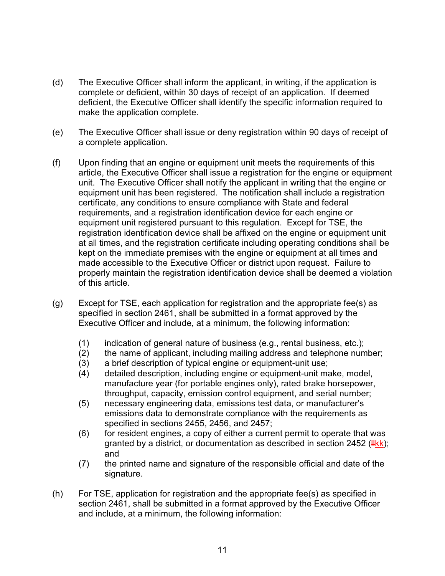- (d) The Executive Officer shall inform the applicant, in writing, if the application is complete or deficient, within 30 days of receipt of an application. If deemed deficient, the Executive Officer shall identify the specific information required to make the application complete.
- (e) The Executive Officer shall issue or deny registration within 90 days of receipt of a complete application.
- (f) Upon finding that an engine or equipment unit meets the requirements of this article, the Executive Officer shall issue a registration for the engine or equipment unit. The Executive Officer shall notify the applicant in writing that the engine or equipment unit has been registered. The notification shall include a registration certificate, any conditions to ensure compliance with State and federal requirements, and a registration identification device for each engine or equipment unit registered pursuant to this regulation. Except for TSE, the registration identification device shall be affixed on the engine or equipment unit at all times, and the registration certificate including operating conditions shall be kept on the immediate premises with the engine or equipment at all times and made accessible to the Executive Officer or district upon request. Failure to properly maintain the registration identification device shall be deemed a violation of this article.
- (g) Except for TSE, each application for registration and the appropriate fee(s) as specified in section 2461, shall be submitted in a format approved by the Executive Officer and include, at a minimum, the following information:
	- (1) indication of general nature of business (e.g., rental business, etc.);
	- (2) the name of applicant, including mailing address and telephone number;
	- (3) a brief description of typical engine or equipment-unit use;
	- (4) detailed description, including engine or equipment-unit make, model, manufacture year (for portable engines only), rated brake horsepower, throughput, capacity, emission control equipment, and serial number;
	- (5) necessary engineering data, emissions test data, or manufacturer's emissions data to demonstrate compliance with the requirements as specified in sections 2455, 2456, and 2457;
	- (6) for resident engines, a copy of either a current permit to operate that was granted by a district, or documentation as described in section 2452 ( $\frac{\mu k}{k}$ ); and
	- (7) the printed name and signature of the responsible official and date of the signature.
- (h) For TSE, application for registration and the appropriate fee(s) as specified in section 2461, shall be submitted in a format approved by the Executive Officer and include, at a minimum, the following information: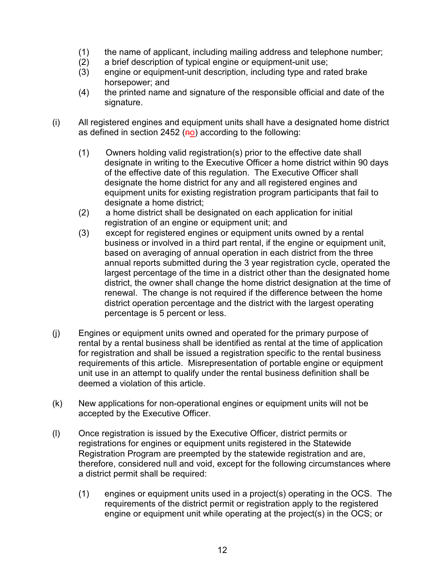- (1) the name of applicant, including mailing address and telephone number;
- (2) a brief description of typical engine or equipment-unit use;
- (3) engine or equipment-unit description, including type and rated brake horsepower; and
- (4) the printed name and signature of the responsible official and date of the signature.
- (i) All registered engines and equipment units shall have a designated home district as defined in section 2452  $(no)$  according to the following:
	- (1) Owners holding valid registration(s) prior to the effective date shall designate in writing to the Executive Officer a home district within 90 days of the effective date of this regulation. The Executive Officer shall designate the home district for any and all registered engines and equipment units for existing registration program participants that fail to designate a home district;
	- (2) a home district shall be designated on each application for initial registration of an engine or equipment unit; and
	- (3) except for registered engines or equipment units owned by a rental business or involved in a third part rental, if the engine or equipment unit, based on averaging of annual operation in each district from the three annual reports submitted during the 3 year registration cycle, operated the largest percentage of the time in a district other than the designated home district, the owner shall change the home district designation at the time of renewal. The change is not required if the difference between the home district operation percentage and the district with the largest operating percentage is 5 percent or less.
- (j) Engines or equipment units owned and operated for the primary purpose of rental by a rental business shall be identified as rental at the time of application for registration and shall be issued a registration specific to the rental business requirements of this article. Misrepresentation of portable engine or equipment unit use in an attempt to qualify under the rental business definition shall be deemed a violation of this article.
- (k) New applications for non-operational engines or equipment units will not be accepted by the Executive Officer.
- (l) Once registration is issued by the Executive Officer, district permits or registrations for engines or equipment units registered in the Statewide Registration Program are preempted by the statewide registration and are, therefore, considered null and void, except for the following circumstances where a district permit shall be required:
	- (1) engines or equipment units used in a project(s) operating in the OCS. The requirements of the district permit or registration apply to the registered engine or equipment unit while operating at the project(s) in the OCS; or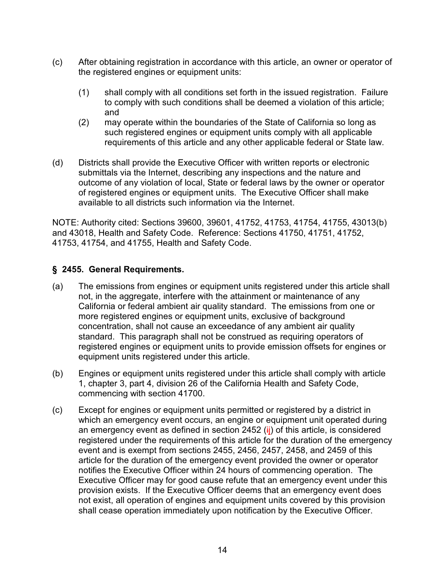- (c) After obtaining registration in accordance with this article, an owner or operator of the registered engines or equipment units:
	- (1) shall comply with all conditions set forth in the issued registration. Failure to comply with such conditions shall be deemed a violation of this article; and
	- (2) may operate within the boundaries of the State of California so long as such registered engines or equipment units comply with all applicable requirements of this article and any other applicable federal or State law.
- (d) Districts shall provide the Executive Officer with written reports or electronic submittals via the Internet, describing any inspections and the nature and outcome of any violation of local, State or federal laws by the owner or operator of registered engines or equipment units. The Executive Officer shall make available to all districts such information via the Internet.

### **§ 2455. General Requirements.**

- (a) The emissions from engines or equipment units registered under this article shall not, in the aggregate, interfere with the attainment or maintenance of any California or federal ambient air quality standard. The emissions from one or more registered engines or equipment units, exclusive of background concentration, shall not cause an exceedance of any ambient air quality standard. This paragraph shall not be construed as requiring operators of registered engines or equipment units to provide emission offsets for engines or equipment units registered under this article.
- (b) Engines or equipment units registered under this article shall comply with article 1, chapter 3, part 4, division 26 of the California Health and Safety Code, commencing with section 41700.
- (c) Except for engines or equipment units permitted or registered by a district in which an emergency event occurs, an engine or equipment unit operated during an emergency event as defined in section 2452  $(i)$  of this article, is considered registered under the requirements of this article for the duration of the emergency event and is exempt from sections 2455, 2456, 2457, 2458, and 2459 of this article for the duration of the emergency event provided the owner or operator notifies the Executive Officer within 24 hours of commencing operation. The Executive Officer may for good cause refute that an emergency event under this provision exists. If the Executive Officer deems that an emergency event does not exist, all operation of engines and equipment units covered by this provision shall cease operation immediately upon notification by the Executive Officer.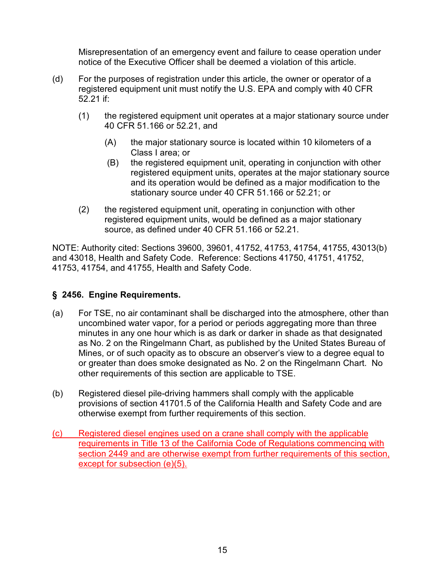Misrepresentation of an emergency event and failure to cease operation under notice of the Executive Officer shall be deemed a violation of this article.

- (d) For the purposes of registration under this article, the owner or operator of a registered equipment unit must notify the U.S. EPA and comply with 40 CFR 52.21 if:
	- (1) the registered equipment unit operates at a major stationary source under 40 CFR 51.166 or 52.21, and
		- (A) the major stationary source is located within 10 kilometers of a Class I area; or
		- (B) the registered equipment unit, operating in conjunction with other registered equipment units, operates at the major stationary source and its operation would be defined as a major modification to the stationary source under 40 CFR 51.166 or 52.21; or
	- (2) the registered equipment unit, operating in conjunction with other registered equipment units, would be defined as a major stationary source, as defined under 40 CFR 51.166 or 52.21.

NOTE: Authority cited: Sections 39600, 39601, 41752, 41753, 41754, 41755, 43013(b) and 43018, Health and Safety Code. Reference: Sections 41750, 41751, 41752, 41753, 41754, and 41755, Health and Safety Code.

### **§ 2456. Engine Requirements.**

- (a) For TSE, no air contaminant shall be discharged into the atmosphere, other than uncombined water vapor, for a period or periods aggregating more than three minutes in any one hour which is as dark or darker in shade as that designated as No. 2 on the Ringelmann Chart, as published by the United States Bureau of Mines, or of such opacity as to obscure an observer's view to a degree equal to or greater than does smoke designated as No. 2 on the Ringelmann Chart. No other requirements of this section are applicable to TSE.
- (b) Registered diesel pile-driving hammers shall comply with the applicable provisions of section 41701.5 of the California Health and Safety Code and are otherwise exempt from further requirements of this section.
- (c) Registered diesel engines used on a crane shall comply with the applicable requirements in Title 13 of the California Code of Regulations commencing with section 2449 and are otherwise exempt from further requirements of this section, except for subsection (e)(5).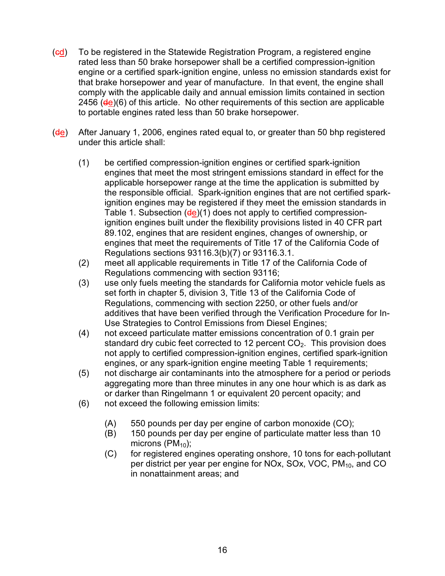- (cd) To be registered in the Statewide Registration Program, a registered engine rated less than 50 brake horsepower shall be a certified compression-ignition engine or a certified spark-ignition engine, unless no emission standards exist for that brake horsepower and year of manufacture. In that event, the engine shall comply with the applicable daily and annual emission limits contained in section 2456 ( $d$ e)(6) of this article. No other requirements of this section are applicable to portable engines rated less than 50 brake horsepower.
- (de) After January 1, 2006, engines rated equal to, or greater than 50 bhp registered under this article shall:
	- (1) be certified compression-ignition engines or certified spark-ignition engines that meet the most stringent emissions standard in effect for the applicable horsepower range at the time the application is submitted by the responsible official. Spark-ignition engines that are not certified sparkignition engines may be registered if they meet the emission standards in Table 1. Subsection  $(d_{\mathbf{\Theta}})(1)$  does not apply to certified compressionignition engines built under the flexibility provisions listed in 40 CFR part 89.102, engines that are resident engines, changes of ownership, or engines that meet the requirements of Title 17 of the California Code of Regulations sections 93116.3(b)(7) or 93116.3.1.
	- (2) meet all applicable requirements in Title 17 of the California Code of Regulations commencing with section 93116;
	- (3) use only fuels meeting the standards for California motor vehicle fuels as set forth in chapter 5, division 3, Title 13 of the California Code of Regulations, commencing with section 2250, or other fuels and/or additives that have been verified through the Verification Procedure for In-Use Strategies to Control Emissions from Diesel Engines;
	- (4) not exceed particulate matter emissions concentration of 0.1 grain per standard dry cubic feet corrected to 12 percent  $CO<sub>2</sub>$ . This provision does not apply to certified compression-ignition engines, certified spark-ignition engines, or any spark-ignition engine meeting Table 1 requirements;
	- (5) not discharge air contaminants into the atmosphere for a period or periods aggregating more than three minutes in any one hour which is as dark as or darker than Ringelmann 1 or equivalent 20 percent opacity; and
	- (6) not exceed the following emission limits:
		- (A) 550 pounds per day per engine of carbon monoxide (CO);
		- (B) 150 pounds per day per engine of particulate matter less than 10 microns  $(PM_{10})$ ;
		- (C) for registered engines operating onshore, 10 tons for each pollutant per district per year per engine for NOx, SOx, VOC, PM<sub>10</sub>, and CO in nonattainment areas; and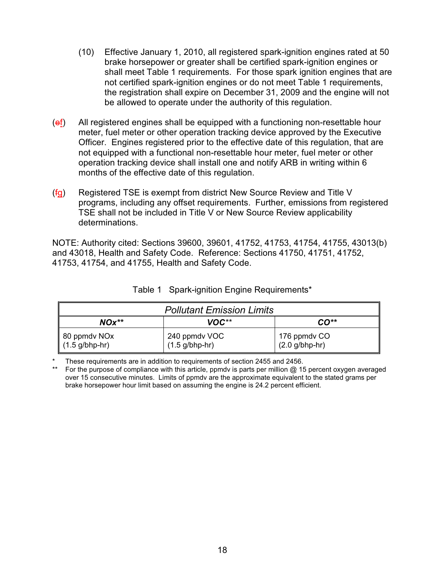- (10) Effective January 1, 2010, all registered spark-ignition engines rated at 50 brake horsepower or greater shall be certified spark-ignition engines or shall meet Table 1 requirements. For those spark ignition engines that are not certified spark-ignition engines or do not meet Table 1 requirements, the registration shall expire on December 31, 2009 and the engine will not be allowed to operate under the authority of this regulation.
- (ef) All registered engines shall be equipped with a functioning non-resettable hour meter, fuel meter or other operation tracking device approved by the Executive Officer. Engines registered prior to the effective date of this regulation, that are not equipped with a functional non-resettable hour meter, fuel meter or other operation tracking device shall install one and notify ARB in writing within 6 months of the effective date of this regulation.
- (fg) Registered TSE is exempt from district New Source Review and Title V programs, including any offset requirements. Further, emissions from registered TSE shall not be included in Title V or New Source Review applicability determinations.

| <b>Pollutant Emission Limits</b>             |                                   |                                  |  |  |
|----------------------------------------------|-----------------------------------|----------------------------------|--|--|
| $NOx^{**}$                                   | $VOC**$                           | CO**                             |  |  |
| $\parallel$ 80 ppmdv NOx<br>$(1.5$ g/bhp-hr) | 240 ppmdv VOC<br>$(1.5$ g/bhp-hr) | 176 ppmdv CO<br>$(2.0$ g/bhp-hr) |  |  |

Table 1 Spark-ignition Engine Requirements\*

These requirements are in addition to requirements of section 2455 and 2456.

For the purpose of compliance with this article, ppmdv is parts per million  $@$  15 percent oxygen averaged over 15 consecutive minutes. Limits of ppmdv are the approximate equivalent to the stated grams per brake horsepower hour limit based on assuming the engine is 24.2 percent efficient.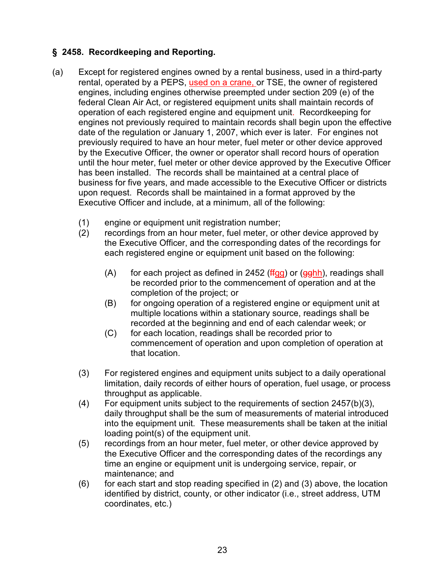### **§ 2458. Recordkeeping and Reporting.**

- (a) Except for registered engines owned by a rental business, used in a third-party rental, operated by a PEPS, used on a crane, or TSE, the owner of registered engines, including engines otherwise preempted under section 209 (e) of the federal Clean Air Act, or registered equipment units shall maintain records of operation of each registered engine and equipment unit. Recordkeeping for engines not previously required to maintain records shall begin upon the effective date of the regulation or January 1, 2007, which ever is later. For engines not previously required to have an hour meter, fuel meter or other device approved by the Executive Officer, the owner or operator shall record hours of operation until the hour meter, fuel meter or other device approved by the Executive Officer has been installed. The records shall be maintained at a central place of business for five years, and made accessible to the Executive Officer or districts upon request. Records shall be maintained in a format approved by the Executive Officer and include, at a minimum, all of the following:
	- (1) engine or equipment unit registration number;
	- (2) recordings from an hour meter, fuel meter, or other device approved by the Executive Officer, and the corresponding dates of the recordings for each registered engine or equipment unit based on the following:
		- (A) for each project as defined in 2452 ( $\frac{f}{f}$ gg) or ( $\frac{g}{g}$ hh), readings shall be recorded prior to the commencement of operation and at the completion of the project; or
		- (B) for ongoing operation of a registered engine or equipment unit at multiple locations within a stationary source, readings shall be recorded at the beginning and end of each calendar week; or
		- (C) for each location, readings shall be recorded prior to commencement of operation and upon completion of operation at that location.
	- (3) For registered engines and equipment units subject to a daily operational limitation, daily records of either hours of operation, fuel usage, or process throughput as applicable.
	- (4) For equipment units subject to the requirements of section 2457(b)(3), daily throughput shall be the sum of measurements of material introduced into the equipment unit. These measurements shall be taken at the initial loading point(s) of the equipment unit.
	- (5) recordings from an hour meter, fuel meter, or other device approved by the Executive Officer and the corresponding dates of the recordings any time an engine or equipment unit is undergoing service, repair, or maintenance; and
	- $(6)$  for each start and stop reading specified in  $(2)$  and  $(3)$  above, the location identified by district, county, or other indicator (i.e., street address, UTM coordinates, etc.)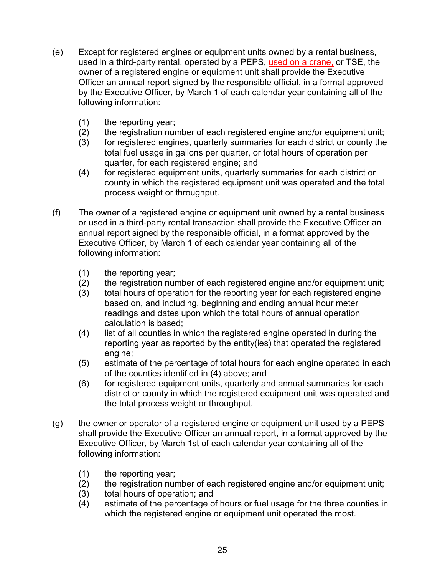- (e) Except for registered engines or equipment units owned by a rental business, used in a third-party rental, operated by a PEPS, used on a crane, or TSE, the owner of a registered engine or equipment unit shall provide the Executive Officer an annual report signed by the responsible official, in a format approved by the Executive Officer, by March 1 of each calendar year containing all of the following information:
	- (1) the reporting year;
	- (2) the registration number of each registered engine and/or equipment unit;
	- (3) for registered engines, quarterly summaries for each district or county the total fuel usage in gallons per quarter, or total hours of operation per quarter, for each registered engine; and
	- (4) for registered equipment units, quarterly summaries for each district or county in which the registered equipment unit was operated and the total process weight or throughput.
- (f) The owner of a registered engine or equipment unit owned by a rental business or used in a third-party rental transaction shall provide the Executive Officer an annual report signed by the responsible official, in a format approved by the Executive Officer, by March 1 of each calendar year containing all of the following information:
	- (1) the reporting year;
	- (2) the registration number of each registered engine and/or equipment unit;
	- (3) total hours of operation for the reporting year for each registered engine based on, and including, beginning and ending annual hour meter readings and dates upon which the total hours of annual operation calculation is based;
	- (4) list of all counties in which the registered engine operated in during the reporting year as reported by the entity(ies) that operated the registered engine;
	- (5) estimate of the percentage of total hours for each engine operated in each of the counties identified in (4) above; and
	- (6) for registered equipment units, quarterly and annual summaries for each district or county in which the registered equipment unit was operated and the total process weight or throughput.
- (g) the owner or operator of a registered engine or equipment unit used by a PEPS shall provide the Executive Officer an annual report, in a format approved by the Executive Officer, by March 1st of each calendar year containing all of the following information:
	-
	- (1) the reporting year;<br>(2) the registration nur the registration number of each registered engine and/or equipment unit;
	- (3) total hours of operation; and
	- (4) estimate of the percentage of hours or fuel usage for the three counties in which the registered engine or equipment unit operated the most.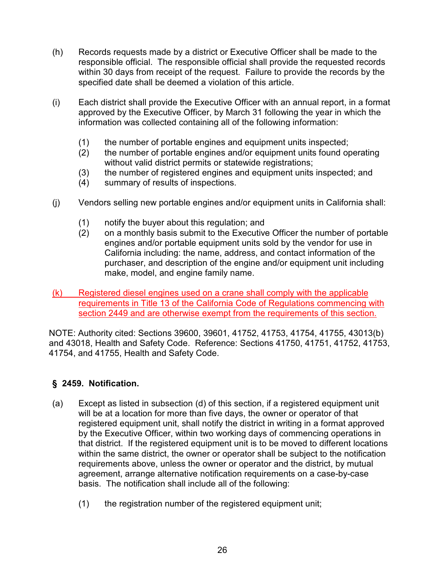- (h) Records requests made by a district or Executive Officer shall be made to the responsible official. The responsible official shall provide the requested records within 30 days from receipt of the request. Failure to provide the records by the specified date shall be deemed a violation of this article.
- (i) Each district shall provide the Executive Officer with an annual report, in a format approved by the Executive Officer, by March 31 following the year in which the information was collected containing all of the following information:
	- (1) the number of portable engines and equipment units inspected;
	- (2) the number of portable engines and/or equipment units found operating without valid district permits or statewide registrations;
	- (3) the number of registered engines and equipment units inspected; and
	- (4) summary of results of inspections.
- (j) Vendors selling new portable engines and/or equipment units in California shall:
	- (1) notify the buyer about this regulation; and
	- (2) on a monthly basis submit to the Executive Officer the number of portable engines and/or portable equipment units sold by the vendor for use in California including: the name, address, and contact information of the purchaser, and description of the engine and/or equipment unit including make, model, and engine family name.
- (k) Registered diesel engines used on a crane shall comply with the applicable requirements in Title 13 of the California Code of Regulations commencing with section 2449 and are otherwise exempt from the requirements of this section.

### **§ 2459. Notification.**

- (a) Except as listed in subsection (d) of this section, if a registered equipment unit will be at a location for more than five days, the owner or operator of that registered equipment unit, shall notify the district in writing in a format approved by the Executive Officer, within two working days of commencing operations in that district. If the registered equipment unit is to be moved to different locations within the same district, the owner or operator shall be subject to the notification requirements above, unless the owner or operator and the district, by mutual agreement, arrange alternative notification requirements on a case-by-case basis. The notification shall include all of the following:
	- (1) the registration number of the registered equipment unit;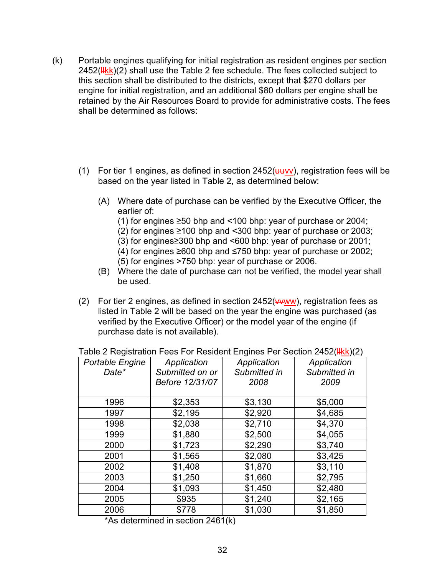- (k) Portable engines qualifying for initial registration as resident engines per section  $2452$ ( $H$ kk)(2) shall use the Table 2 fee schedule. The fees collected subject to this section shall be distributed to the districts, except that \$270 dollars per engine for initial registration, and an additional \$80 dollars per engine shall be retained by the Air Resources Board to provide for administrative costs. The fees shall be determined as follows:
	- (1) For tier 1 engines, as defined in section  $2452(\text{WW})$ , registration fees will be based on the year listed in Table 2, as determined below:
		- (A) Where date of purchase can be verified by the Executive Officer, the earlier of:
			- (1) for engines  $\geq 50$  bhp and  $\leq 100$  bhp: year of purchase or 2004;
			- (2) for engines  $\geq 100$  bhp and <300 bhp: year of purchase or 2003;
			- $(3)$  for engines  $\geq$  300 bhp and <600 bhp: year of purchase or 2001;
			- $(4)$  for engines ≥600 bhp and ≤750 bhp: year of purchase or 2002;
			- (5) for engines >750 bhp: year of purchase or 2006.
		- (B) Where the date of purchase can not be verified, the model year shall be used.
	- (2) For tier 2 engines, as defined in section  $2452(www)$ , registration fees as listed in Table 2 will be based on the year the engine was purchased (as verified by the Executive Officer) or the model year of the engine (if purchase date is not available).

| Portable Engine | Application     | Application  | Application  |
|-----------------|-----------------|--------------|--------------|
| Date*           | Submitted on or | Submitted in | Submitted in |
|                 | Before 12/31/07 | 2008         | 2009         |
|                 |                 |              |              |
| 1996            | \$2,353         | \$3,130      | \$5,000      |
| 1997            | \$2,195         | \$2,920      | \$4,685      |
| 1998            | \$2,038         | \$2,710      | \$4,370      |
| 1999            | \$1,880         | \$2,500      | \$4,055      |
| 2000            | \$1,723         | \$2,290      | \$3,740      |
| 2001            | \$1,565         | \$2,080      | \$3,425      |
| 2002            | \$1,408         | \$1,870      | \$3,110      |
| 2003            | \$1,250         | \$1,660      | \$2,795      |
| 2004            | \$1,093         | \$1,450      | \$2,480      |
| 2005            | \$935           | \$1,240      | \$2,165      |
| 2006            | \$778           | \$1,030      | \$1,850      |

Table 2 Registration Fees For Resident Engines Per Section 2452(*Hkk*)(2)

\*As determined in section 2461(k)